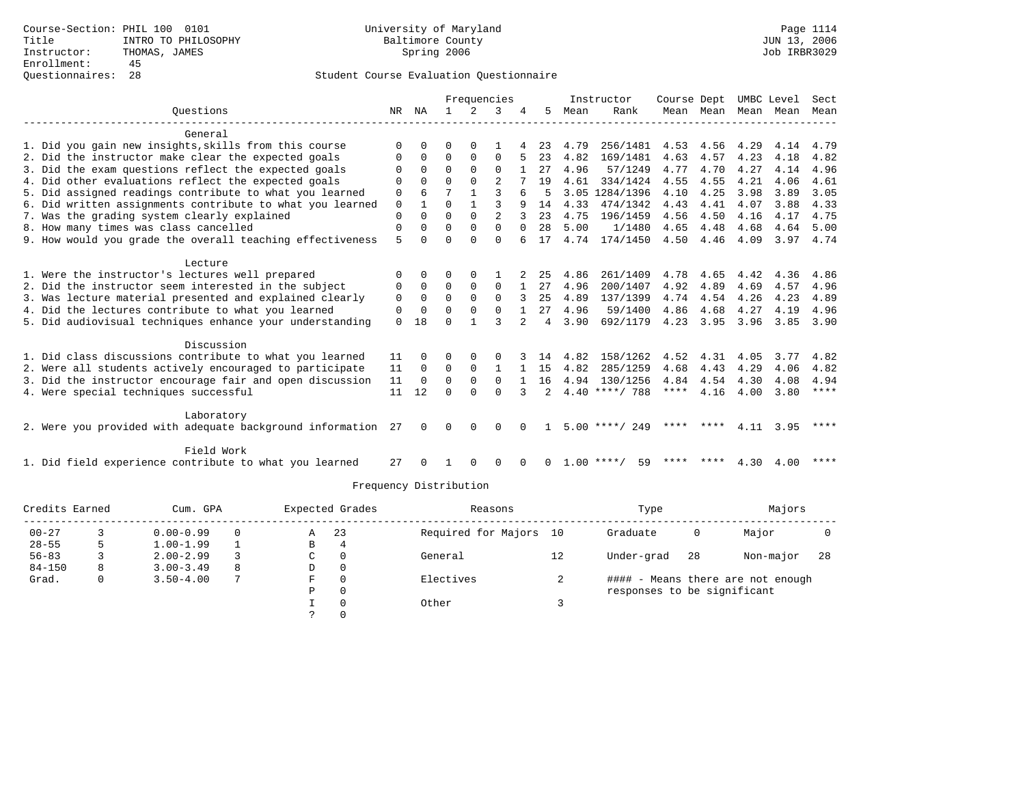|                                                              |              |                |              |                      | Frequencies          |                     |                |      | Instructor         | Course Dept |                         |           | UMBC Level | Sect        |
|--------------------------------------------------------------|--------------|----------------|--------------|----------------------|----------------------|---------------------|----------------|------|--------------------|-------------|-------------------------|-----------|------------|-------------|
| Ouestions                                                    | NR           | ΝA             |              | $\overline{2}$       | 3                    |                     | 5.             | Mean | Rank               |             | Mean Mean               | Mean Mean |            | Mean        |
| General                                                      |              |                |              |                      |                      |                     |                |      |                    |             |                         |           |            |             |
| 1. Did you gain new insights, skills from this course        | <sup>0</sup> | U              | U            |                      |                      |                     | 23             | 4.79 | 256/1481           | 4.53        | 4.56                    | 4.29      | 4.14       | 4.79        |
| 2. Did the instructor make clear the expected goals          | 0            | 0              | $\Omega$     | $\Omega$             | $\Omega$             |                     | 23             | 4.82 | 169/1481           | 4.63        | 4.57                    | 4.23      | 4.18       | 4.82        |
| 3. Did the exam questions reflect the expected goals         |              | $\Omega$       | $\Omega$     | $\Omega$             | $\Omega$             |                     | 27             | 4.96 | 57/1249            | 4.77        | 4.70                    | 4.27      | 4.14       | 4.96        |
| 4. Did other evaluations reflect the expected goals          | U            | $\Omega$       | U            | $\Omega$             | 2                    |                     | 19             | 4.61 | 334/1424           | 4.55        | 4.55                    | 4.21      | 4.06       | 4.61        |
| 5. Did assigned readings contribute to what you learned      | 0            | 6              |              | $\mathbf{1}$         | 3                    | 6                   | 5              |      | 3.05 1284/1396     | 4.10        | 4.25                    | 3.98      | 3.89       | 3.05        |
| 6. Did written assignments contribute to what you learned    | $\mathbf 0$  |                | U            | $\mathbf{1}$         | 3                    | 9                   | 14             | 4.33 | 474/1342           | 4.43        | 4.41                    | 4.07      | 3.88       | 4.33        |
| 7. Was the grading system clearly explained                  | $\Omega$     | $\Omega$       | 0            | $\Omega$             | $\overline{a}$       |                     | 23             | 4.75 | 196/1459           | 4.56        | 4.50                    | 4.16      | 4.17       | 4.75        |
| 8. How many times was class cancelled                        | 0            | $\Omega$       | $\Omega$     | $\Omega$             | $\Omega$             | $\Omega$            | 28             | 5.00 | 1/1480             | 4.65        | 4.48                    | 4.68      | 4.64       | 5.00        |
| 9. How would you grade the overall teaching effectiveness    | 5            | <sup>0</sup>   | U            | $\Omega$             | $\Omega$             |                     | 17             | 4.74 | 174/1450           | 4.50        | 4.46                    | 4.09      |            | 3.97 4.74   |
|                                                              |              |                |              |                      |                      |                     |                |      |                    |             |                         |           |            |             |
| Lecture                                                      |              |                |              |                      |                      |                     |                |      |                    |             |                         |           |            |             |
| 1. Were the instructor's lectures well prepared              | 0            | $\Omega$       | <sup>0</sup> | $\Omega$             |                      |                     | 25             | 4.86 | 261/1409           | 4.78        | 4.65                    | 4.42      | 4.36       | 4.86        |
| 2. Did the instructor seem interested in the subject         | 0            | $\Omega$       | $\Omega$     | $\Omega$             | $\Omega$             |                     | 27             | 4.96 | 200/1407           | 4.92        | 4.89                    | 4.69      | 4.57       | 4.96        |
| 3. Was lecture material presented and explained clearly      | 0            | $\Omega$       | $\Omega$     | $\Omega$<br>$\Omega$ | $\Omega$<br>$\Omega$ | 3<br>$\overline{1}$ | 25             | 4.89 | 137/1399           | 4.74        | 4.54                    | 4.26      | 4.23       | 4.89        |
| 4. Did the lectures contribute to what you learned           | 0            | $\Omega$       | $\Omega$     |                      |                      |                     | 27             | 4.96 | 59/1400            | 4.86        | 4.68                    | 4.27      | 4.19       | 4.96        |
| 5. Did audiovisual techniques enhance your understanding     | 0            | 18             | <sup>n</sup> |                      | 3                    | $2^{1}$             | 4              | 3.90 | 692/1179           |             | 4.23 3.95               | 3.96      | 3.85 3.90  |             |
| Discussion                                                   |              |                |              |                      |                      |                     |                |      |                    |             |                         |           |            |             |
| 1. Did class discussions contribute to what you learned      | 11           | 0              | U            | $\Omega$             | 0                    |                     | 14             | 4.82 | 158/1262           | 4.52        | 4.31                    | 4.05      | 3.77       | 4.82        |
| 2. Were all students actively encouraged to participate      | 11           | $\Omega$       | 0            | 0                    | 1                    |                     | 15             | 4.82 | 285/1259           | 4.68        | 4.43                    | 4.29      | 4.06       | 4.82        |
| 3. Did the instructor encourage fair and open discussion     | 11           | $\Omega$       | $\Omega$     | $\Omega$             | $\Omega$             | $\mathbf{1}$        | 16             | 4.94 | 130/1256           | 4.84        | 4.54                    | 4.30      | 4.08       | 4.94        |
| 4. Were special techniques successful                        | 11           | 12             | U            | $\Omega$             | $\Omega$             | 3                   | $\overline{2}$ |      | $4.40$ ****/ 788   | ****        | 4.16                    | 4.00      | 3.80       | $***$ * * * |
| Laboratory                                                   |              |                |              |                      |                      |                     |                |      |                    |             |                         |           |            |             |
| 2. Were you provided with adequate background information 27 |              | $\overline{0}$ | $\circ$      | $\mathbf{0}$         | $\Omega$             | $\Omega$            | $\overline{1}$ |      | $5.00$ ****/ 249   |             | **** ****               | 4.11      | 3.95       | $***$ * * * |
|                                                              |              |                |              |                      |                      |                     |                |      |                    |             |                         |           |            |             |
| Field Work                                                   |              |                |              |                      |                      |                     |                |      |                    |             |                         |           |            |             |
| 1. Did field experience contribute to what you learned       | 27           | $\Omega$       |              | $\Omega$             | 0                    | $\Omega$            | $\Omega$       |      | 59<br>$1.00$ ****/ |             | **** **** $4.30$ $4.00$ |           |            | ****        |

| Credits Earned |   | Cum. GPA      |   | Expected Grades |          | Reasons                |    | Type                        |    | Majors                            |     |
|----------------|---|---------------|---|-----------------|----------|------------------------|----|-----------------------------|----|-----------------------------------|-----|
| $00 - 27$      |   | $0.00 - 0.99$ |   | Α               | -23      | Required for Majors 10 |    | Graduate                    | 0  | Major                             |     |
| $28 - 55$      |   | $1.00 - 1.99$ |   | В               | 4        |                        |    |                             |    |                                   |     |
| $56 - 83$      |   | $2.00 - 2.99$ |   | C               | $\Omega$ | General                | 12 | Under-grad                  | 28 | Non-major                         | -28 |
| $84 - 150$     | 8 | $3.00 - 3.49$ | 8 | D               | $\Omega$ |                        |    |                             |    |                                   |     |
| Grad.          |   | $3.50 - 4.00$ |   | F.              | $\Omega$ | Electives              |    |                             |    | #### - Means there are not enough |     |
|                |   |               |   | Ρ               | $\Omega$ |                        |    | responses to be significant |    |                                   |     |
|                |   |               |   |                 | $\Omega$ | Other                  |    |                             |    |                                   |     |
|                |   |               |   |                 |          |                        |    |                             |    |                                   |     |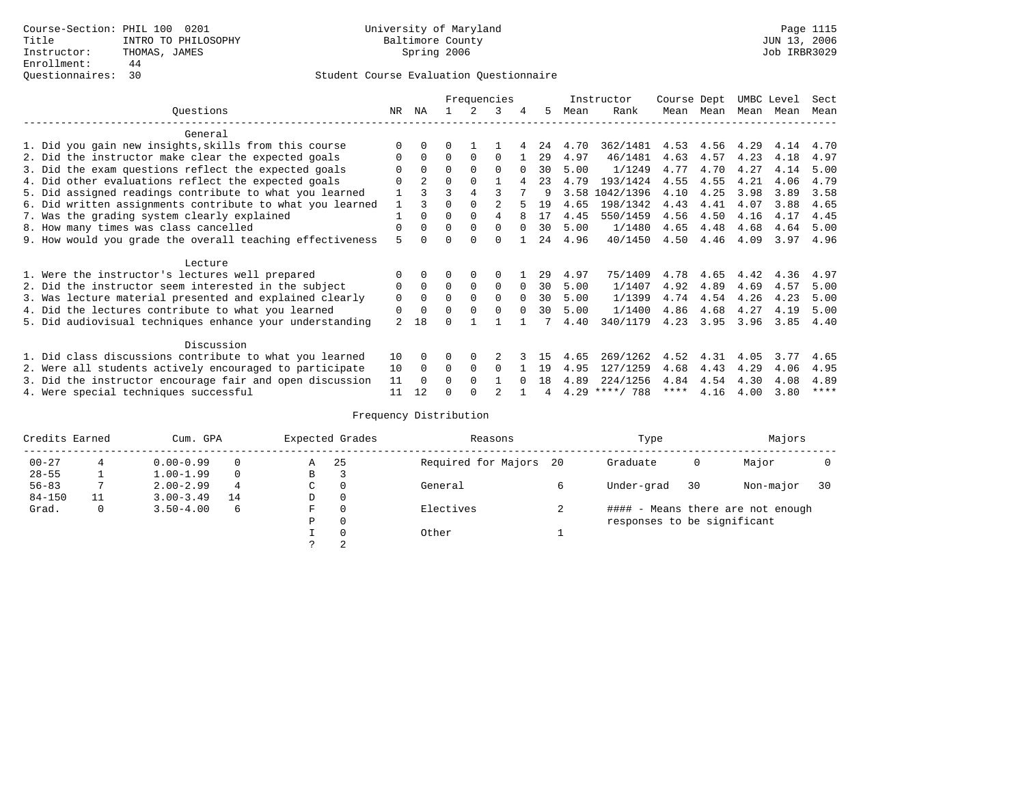## Questionnaires: 30 Student Course Evaluation Questionnaire

|                                                           |                |                |          |          | Frequencies    |          |     |      | Instructor       | Course Dept |      | UMBC Level |      | Sect        |
|-----------------------------------------------------------|----------------|----------------|----------|----------|----------------|----------|-----|------|------------------|-------------|------|------------|------|-------------|
| Ouestions                                                 | NR             | ΝA             |          |          | 3              | 4        | 5.  | Mean | Rank             | Mean        | Mean | Mean       | Mean | Mean        |
| General                                                   |                |                |          |          |                |          |     |      |                  |             |      |            |      |             |
| 1. Did you gain new insights, skills from this course     | $\Omega$       | $\Omega$       | 0        |          |                |          | 24  | 4.70 | 362/1481         | 4.53        | 4.56 | 4.29       | 4.14 | 4.70        |
| 2. Did the instructor make clear the expected goals       | O              | $\Omega$       | $\Omega$ | $\Omega$ | $\Omega$       |          | 29  | 4.97 | 46/1481          | 4.63        | 4.57 | 4.23       | 4.18 | 4.97        |
| 3. Did the exam questions reflect the expected goals      |                | $\Omega$       | $\Omega$ | $\Omega$ | $\Omega$       | $\Omega$ | 30  | 5.00 | 1/1249           | 4.77        | 4.70 | 4.27       | 4.14 | 5.00        |
| 4. Did other evaluations reflect the expected goals       | O              | $\overline{a}$ | $\Omega$ | $\Omega$ |                | 4        | 23  | 4.79 | 193/1424         | 4.55        | 4.55 | 4.21       | 4.06 | 4.79        |
| 5. Did assigned readings contribute to what you learned   |                |                |          |          | ζ              |          | q   | 3.58 | 1042/1396        | 4.10        | 4.25 | 3.98       | 3.89 | 3.58        |
| 6. Did written assignments contribute to what you learned | 1              | ર              |          |          | $\mathfrak{D}$ |          | 19  | 4.65 | 198/1342         | 4.43        | 4.41 | 4.07       | 3.88 | 4.65        |
| 7. Was the grading system clearly explained               |                | $\Omega$       | $\Omega$ | $\Omega$ | 4              |          | 17  | 4.45 | 550/1459         | 4.56        | 4.50 | 4.16       | 4.17 | 4.45        |
| 8. How many times was class cancelled                     | 0              | $\Omega$       | $\Omega$ | $\Omega$ | $\Omega$       | $\Omega$ | 30  | 5.00 | 1/1480           | 4.65        | 4.48 | 4.68       | 4.64 | 5.00        |
|                                                           | 5              | <sup>n</sup>   | U        | $\cap$   | $\cap$         |          | 24  | 4.96 | 40/1450          | 4.50        | 4.46 | 4.09       | 3.97 | 4.96        |
| 9. How would you grade the overall teaching effectiveness |                |                |          |          |                |          |     |      |                  |             |      |            |      |             |
| Lecture                                                   |                |                |          |          |                |          |     |      |                  |             |      |            |      |             |
| 1. Were the instructor's lectures well prepared           |                |                |          | $\Omega$ | 0              |          | 29  | 4.97 | 75/1409          | 4.78        | 4.65 | 4.42       | 4.36 | 4.97        |
| 2. Did the instructor seem interested in the subject      | 0              | $\Omega$       | $\Omega$ | $\Omega$ | $\mathbf 0$    | $\Omega$ | 30  | 5.00 | 1/1407           | 4.92        | 4.89 | 4.69       | 4.57 | 5.00        |
| 3. Was lecture material presented and explained clearly   | $\mathbf 0$    | $\Omega$       | $\Omega$ | $\Omega$ | $\Omega$       | $\Omega$ | 30  | 5.00 | 1/1399           | 4.74        | 4.54 | 4.26       | 4.23 | 5.00        |
| 4. Did the lectures contribute to what you learned        | 0              | $\Omega$       | $\Omega$ | $\Omega$ | $\Omega$       | $\Omega$ | 30  | 5.00 | 1/1400           | 4.86        | 4.68 | 4.27       | 4.19 | 5.00        |
| 5. Did audiovisual techniques enhance your understanding  | $\mathfrak{D}$ | 18             |          |          |                |          |     | 4.40 | 340/1179         | 4.23        | 3.95 | 3.96       | 3.85 | 4.40        |
|                                                           |                |                |          |          |                |          |     |      |                  |             |      |            |      |             |
| Discussion                                                |                |                |          |          |                |          |     |      |                  |             |      |            |      |             |
| 1. Did class discussions contribute to what you learned   | 10             | $\Omega$       | O        | $\Omega$ |                |          | 15  | 4.65 | 269/1262         | 4.52        | 4.31 | 4.05       | 3.77 | 4.65        |
| 2. Were all students actively encouraged to participate   | 10             | $\Omega$       | $\Omega$ | $\Omega$ | $\Omega$       |          | 19  | 4.95 | 127/1259         | 4.68        | 4.43 | 4.29       | 4.06 | 4.95        |
| 3. Did the instructor encourage fair and open discussion  | 11             | $\Omega$       | 0        | $\Omega$ |                | $\cap$   | 1.8 | 4.89 | 224/1256         | 4.84        | 4.54 | 4.30       | 4.08 | 4.89        |
| 4. Were special techniques successful                     | 11             | 12             |          |          |                |          |     |      | $4.29$ ****/ 788 | ****        | 4.16 | 4.00       | 3.80 | $***$ * * * |

| Credits Earned |    | Cum. GPA      |          |    | Expected Grades | Reasons                | Type                        |    | Majors                            |    |
|----------------|----|---------------|----------|----|-----------------|------------------------|-----------------------------|----|-----------------------------------|----|
| $00 - 27$      |    | $0.00 - 0.99$ |          | Α  | 25              | Required for Majors 20 | Graduate                    | 0  | Major                             |    |
| $28 - 55$      |    | $1.00 - 1.99$ | $\Omega$ | В  | 3               |                        |                             |    |                                   |    |
| $56 - 83$      |    | $2.00 - 2.99$ | 4        | C. | $\Omega$        | General                | Under-grad                  | 30 | Non-major                         | 30 |
| $84 - 150$     | 11 | $3.00 - 3.49$ | 14       | D  | 0               |                        |                             |    |                                   |    |
| Grad.          | 0  | $3.50 - 4.00$ | 6        | F  | $\Omega$        | Electives              |                             |    | #### - Means there are not enough |    |
|                |    |               |          | Ρ  | 0               |                        | responses to be significant |    |                                   |    |
|                |    |               |          |    | $\Omega$        | Other                  |                             |    |                                   |    |
|                |    |               |          |    |                 |                        |                             |    |                                   |    |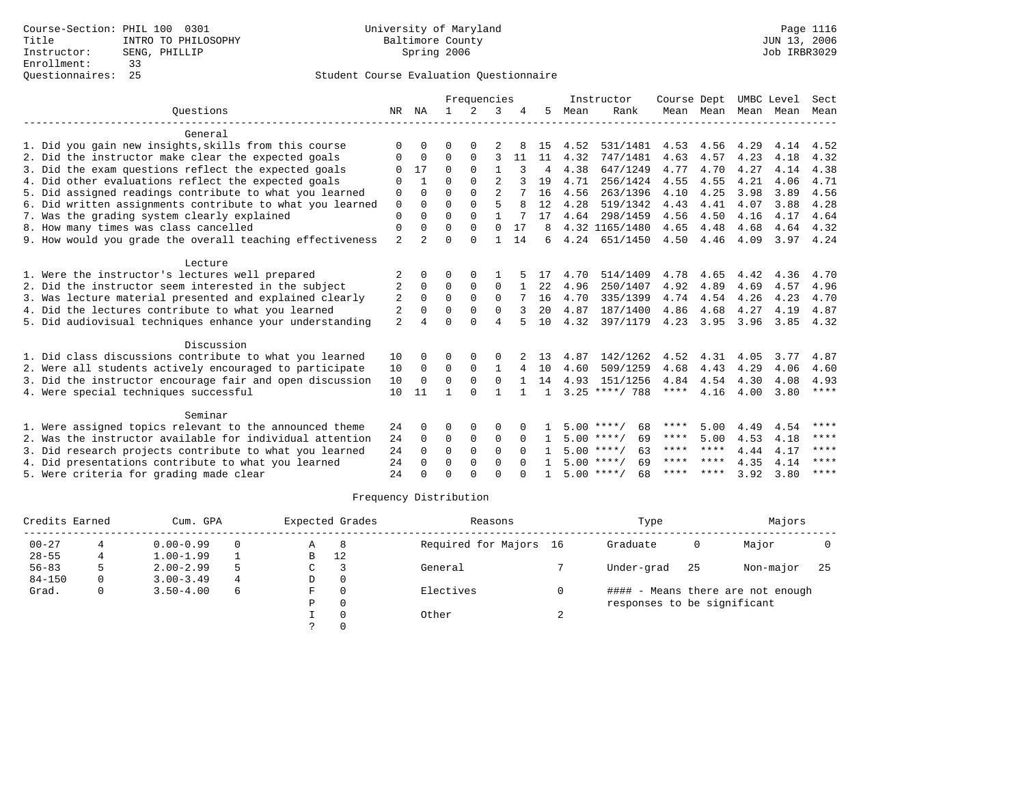|                                                           |                |                |              | Frequencies   |                |          |              |      | Instructor         | Course Dept |           | UMBC Level |      | Sect |
|-----------------------------------------------------------|----------------|----------------|--------------|---------------|----------------|----------|--------------|------|--------------------|-------------|-----------|------------|------|------|
| Ouestions                                                 | NR             | NA             | $\mathbf{1}$ | $\mathcal{L}$ | 3              |          | 5            | Mean | Rank               |             | Mean Mean | Mean       | Mean | Mean |
| General                                                   |                |                |              |               |                |          |              |      |                    |             |           |            |      |      |
| 1. Did you gain new insights, skills from this course     | $\Omega$       | O              | 0            | 0             |                |          | 15           | 4.52 | 531/1481           | 4.53        | 4.56      | 4.29       | 4.14 | 4.52 |
| 2. Did the instructor make clear the expected goals       | $\Omega$       | 0              | $\Omega$     | 0             | 3              | 11       | 11           | 4.32 | 747/1481           | 4.63        | 4.57      | 4.23       | 4.18 | 4.32 |
| 3. Did the exam questions reflect the expected goals      | ∩              | 17             | $\Omega$     | $\Omega$      |                |          | 4            | 4.38 | 647/1249           | 4.77        | 4.70      | 4.27       | 4.14 | 4.38 |
| 4. Did other evaluations reflect the expected goals       | $\Omega$       | $\mathbf{1}$   | $\Omega$     | $\Omega$      | $\mathfrak{D}$ |          | 19           | 4.71 | 256/1424           | 4.55        | 4.55      | 4.21       | 4.06 | 4.71 |
| 5. Did assigned readings contribute to what you learned   | 0              | $\Omega$       | $\Omega$     | $\Omega$      | $\overline{2}$ |          | 16           | 4.56 | 263/1396           | 4.10        | 4.25      | 3.98       | 3.89 | 4.56 |
| 6. Did written assignments contribute to what you learned | $\mathbf 0$    | $\Omega$       | $\Omega$     | $\Omega$      | 5              |          | 12           | 4.28 | 519/1342           | 4.43        | 4.41      | 4.07       | 3.88 | 4.28 |
| 7. Was the grading system clearly explained               | $\mathbf{0}$   | $\Omega$       | $\Omega$     | $\Omega$      | $\mathbf{1}$   |          | 17           | 4.64 | 298/1459           | 4.56        | 4.50      | 4.16       | 4.17 | 4.64 |
| 8. How many times was class cancelled                     | 0              | 0              | $\Omega$     | $\Omega$      | $\Omega$       | 17       | 8            |      | 4.32 1165/1480     | 4.65        | 4.48      | 4.68       | 4.64 | 4.32 |
| 9. How would you grade the overall teaching effectiveness | $\overline{2}$ | $\mathfrak{D}$ | $\Omega$     | $\cap$        | 1              | 14       | 6            | 4.24 | 651/1450           | 4.50        | 4.46      | 4.09       | 3.97 | 4.24 |
| Lecture                                                   |                |                |              |               |                |          |              |      |                    |             |           |            |      |      |
| 1. Were the instructor's lectures well prepared           |                | 0              | 0            | O             |                |          |              | 4.70 | 514/1409           | 4.78        | 4.65      | 4.42       | 4.36 | 4.70 |
| 2. Did the instructor seem interested in the subject      | 2              | 0              | 0            | 0             | $\Omega$       |          | 22           | 4.96 | 250/1407           | 4.92        | 4.89      | 4.69       | 4.57 | 4.96 |
| 3. Was lecture material presented and explained clearly   | 2              | $\Omega$       | $\Omega$     | $\Omega$      | $\Omega$       |          | 16           | 4.70 | 335/1399           | 4.74        | 4.54      | 4.26       | 4.23 | 4.70 |
| 4. Did the lectures contribute to what you learned        | 2              | $\Omega$       | $\Omega$     | $\Omega$      | $\Omega$       |          | 20           | 4.87 | 187/1400           | 4.86        | 4.68      | 4.27       | 4.19 | 4.87 |
| 5. Did audiovisual techniques enhance your understanding  | $\overline{2}$ |                | $\Omega$     | $\Omega$      | $\overline{4}$ | 5        | 10           | 4.32 | 397/1179           | 4.23        | 3.95      | 3.96       | 3.85 | 4.32 |
| Discussion                                                |                |                |              |               |                |          |              |      |                    |             |           |            |      |      |
| 1. Did class discussions contribute to what you learned   | 10             | <sup>0</sup>   | O            | $\Omega$      | $\Omega$       |          | 13           | 4.87 | 142/1262           | 4.52        | 4.31      | 4.05       | 3.77 | 4.87 |
| 2. Were all students actively encouraged to participate   | 10             | 0              | 0            | 0             | 1              | 4        | 10           | 4.60 | 509/1259           | 4.68        | 4.43      | 4.29       | 4.06 | 4.60 |
| 3. Did the instructor encourage fair and open discussion  | 10             | $\Omega$       | $\Omega$     | $\Omega$      | $\Omega$       |          | 14           | 4.93 | 151/1256           | 4.84        | 4.54      | 4.30       | 4.08 | 4.93 |
| 4. Were special techniques successful                     | 10             | 11             | 1            | $\Omega$      | 1              |          | $\mathbf{1}$ |      | $3.25$ ****/ 788   | ****        | 4.16      | 4.00       | 3.80 | **** |
| Seminar                                                   |                |                |              |               |                |          |              |      |                    |             |           |            |      |      |
| 1. Were assigned topics relevant to the announced theme   | 24             | 0              | <sup>0</sup> | O             | $\Omega$       |          |              |      | $5.00$ ****/<br>68 | ****        | 5.00      | 4.49       | 4.54 | **** |
| 2. Was the instructor available for individual attention  | 24             | $\Omega$       | $\Omega$     | $\Omega$      | $\Omega$       | $\Omega$ |              |      | $5.00$ ****/<br>69 | ****        | 5.00      | 4.53       | 4.18 | **** |
| 3. Did research projects contribute to what you learned   | 24             | $\Omega$       | $\mathbf 0$  | $\mathbf 0$   | $\mathbf 0$    |          |              |      | $5.00$ ****/<br>63 | ****        | ****      | 4.44       | 4.17 | **** |
| 4. Did presentations contribute to what you learned       | 24             | $\Omega$       | $\Omega$     | $\Omega$      | $\Omega$       | $\cap$   |              |      | $5.00$ ****/<br>69 | ****        | ****      | 4.35       | 4.14 | **** |
| 5. Were criteria for grading made clear                   | 24             |                | $\Omega$     | ∩             | $\Omega$       |          |              |      | $5.00$ ****/<br>68 | ****        | ****      | 3.92       | 3.80 | **** |

| Credits Earned |    | Cum. GPA      |          |   | Expected Grades | Reasons                |   | Type                        |     | Majors                            |     |
|----------------|----|---------------|----------|---|-----------------|------------------------|---|-----------------------------|-----|-----------------------------------|-----|
| $00 - 27$      |    | $0.00 - 0.99$ | $\Omega$ | Α | - 8             | Required for Majors 16 |   | Graduate                    | 0   | Major                             |     |
| $28 - 55$      |    | $1.00 - 1.99$ |          | В | 12              |                        |   |                             |     |                                   |     |
| $56 - 83$      |    | $2.00 - 2.99$ |          | С |                 | General                |   | Under-grad                  | -25 | Non-major                         | -25 |
| $84 - 150$     | 0. | $3.00 - 3.49$ | 4        | D |                 |                        |   |                             |     |                                   |     |
| Grad.          | 0  | $3.50 - 4.00$ | 6        | F |                 | Electives              |   |                             |     | #### - Means there are not enough |     |
|                |    |               |          | D |                 |                        |   | responses to be significant |     |                                   |     |
|                |    |               |          |   |                 | Other                  | ◠ |                             |     |                                   |     |
|                |    |               |          |   |                 |                        |   |                             |     |                                   |     |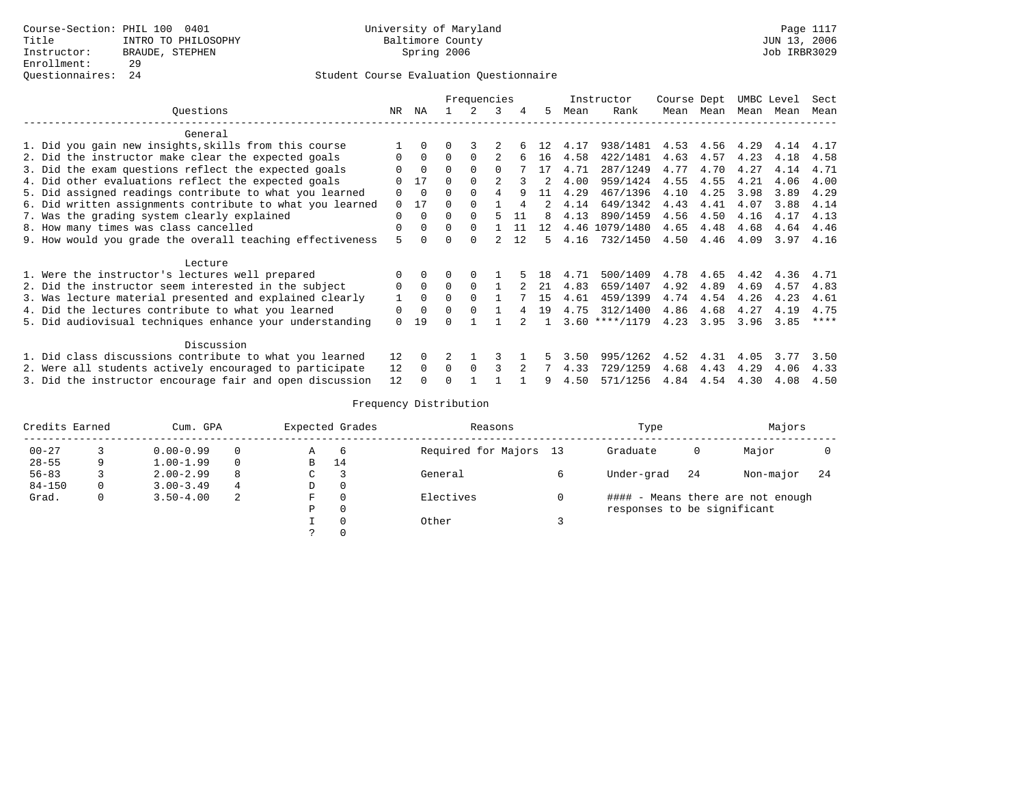|                                                           |             |          |          | Frequencies |               |    |    |      | Instructor       | Course Dept |           | UMBC Level |      | Sect |
|-----------------------------------------------------------|-------------|----------|----------|-------------|---------------|----|----|------|------------------|-------------|-----------|------------|------|------|
| Ouestions                                                 | NR.         | ΝA       |          |             | 3             | 4  | 5. | Mean | Rank             |             | Mean Mean | Mean       | Mean | Mean |
| General                                                   |             |          |          |             |               |    |    |      |                  |             |           |            |      |      |
| 1. Did you gain new insights, skills from this course     |             |          |          |             |               |    | 12 | 4.17 | 938/1481         | 4.53        | 4.56      | 4.29       | 4.14 | 4.17 |
| 2. Did the instructor make clear the expected goals       | 0           | $\Omega$ | $\Omega$ | $\Omega$    |               |    | 16 | 4.58 | 422/1481         | 4.63        | 4.57      | 4.23       | 4.18 | 4.58 |
| 3. Did the exam questions reflect the expected goals      |             | $\Omega$ | 0        |             | $\Omega$      |    | 17 | 4.71 | 287/1249         | 4.77        | 4.70      | 4.27       | 4.14 | 4.71 |
| 4. Did other evaluations reflect the expected goals       | $\Omega$    | 17       | U        |             | $\mathcal{D}$ |    |    | 4.00 | 959/1424         | 4.55        | 4.55      | 4.21       | 4.06 | 4.00 |
| 5. Did assigned readings contribute to what you learned   | 0           | $\Omega$ | O        |             |               | q  | 11 | 4.29 | 467/1396         | 4.10        | 4.25      | 3.98       | 3.89 | 4.29 |
| 6. Did written assignments contribute to what you learned | $\Omega$    | 17       | U        |             |               |    |    | 4.14 | 649/1342         | 4.43        | 4.41      | 4.07       | 3.88 | 4.14 |
| 7. Was the grading system clearly explained               | $\mathbf 0$ | $\Omega$ | 0        | $\Omega$    |               | 11 | 8  | 4.13 | 890/1459         | 4.56        | 4.50      | 4.16       | 4.17 | 4.13 |
| 8. How many times was class cancelled                     | 0           | $\Omega$ | $\Omega$ | $\Omega$    |               | 11 | 12 | 4.46 | 1079/1480        | 4.65        | 4.48      | 4.68       | 4.64 | 4.46 |
| 9. How would you grade the overall teaching effectiveness | 5           |          |          |             |               | 12 | 5  | 4.16 | 732/1450         | 4.50        | 4.46      | 4.09       | 3.97 | 4.16 |
| Lecture                                                   |             |          |          |             |               |    |    |      |                  |             |           |            |      |      |
| 1. Were the instructor's lectures well prepared           |             |          |          |             |               |    | 18 | 4.71 | 500/1409         | 4.78        | 4.65      | 4.42       | 4.36 | 4.71 |
| 2. Did the instructor seem interested in the subject      | 0           | $\Omega$ | $\Omega$ | $\Omega$    |               |    | 21 | 4.83 | 659/1407         | 4.92        | 4.89      | 4.69       | 4.57 | 4.83 |
| 3. Was lecture material presented and explained clearly   | 1           | $\Omega$ | $\Omega$ | $\Omega$    |               |    | 15 | 4.61 | 459/1399         | 4.74        | 4.54      | 4.26       | 4.23 | 4.61 |
| 4. Did the lectures contribute to what you learned        | 0           | $\Omega$ | $\Omega$ | $\Omega$    |               |    | 19 | 4.75 | 312/1400         | 4.86        | 4.68      | 4.27       | 4.19 | 4.75 |
| 5. Did audiovisual techniques enhance your understanding  | $\Omega$    | 19       |          |             |               |    |    |      | $3.60$ ****/1179 | 4.23        | 3.95      | 3.96       | 3.85 | **** |
| Discussion                                                |             |          |          |             |               |    |    |      |                  |             |           |            |      |      |
| 1. Did class discussions contribute to what you learned   | 12          | $\Omega$ |          |             |               |    |    | 3.50 | 995/1262         | 4.52        | 4.31      | 4.05       | 3.77 | 3.50 |
| 2. Were all students actively encouraged to participate   | 12          | $\Omega$ | $\Omega$ | $\Omega$    |               |    |    | 4.33 | 729/1259         | 4.68        | 4.43      | 4.29       | 4.06 | 4.33 |
| 3. Did the instructor encourage fair and open discussion  | 12          |          |          |             |               |    | q  | 4.50 | 571/1256         | 4.84        | 4.54      | 4.30       | 4.08 | 4.50 |

| Credits Earned |    | Cum. GPA      |          |   | Expected Grades | Reasons                | Type                        |    | Majors                            |     |
|----------------|----|---------------|----------|---|-----------------|------------------------|-----------------------------|----|-----------------------------------|-----|
| $00 - 27$      |    | $0.00 - 0.99$ | $\Omega$ | Α | - 6             | Required for Majors 13 | Graduate                    | 0  | Major                             |     |
| $28 - 55$      | 9. | $1.00 - 1.99$ | $\Omega$ | B | 14              |                        |                             |    |                                   |     |
| $56 - 83$      |    | $2.00 - 2.99$ | 8        | C |                 | General                | Under-grad                  | 24 | Non-major                         | -24 |
| $84 - 150$     | 0. | $3.00 - 3.49$ | 4        | D |                 |                        |                             |    |                                   |     |
| Grad.          | 0  | $3.50 - 4.00$ | 2        | F |                 | Electives              |                             |    | #### - Means there are not enough |     |
|                |    |               |          | P |                 |                        | responses to be significant |    |                                   |     |
|                |    |               |          |   |                 | Other                  |                             |    |                                   |     |
|                |    |               |          |   |                 |                        |                             |    |                                   |     |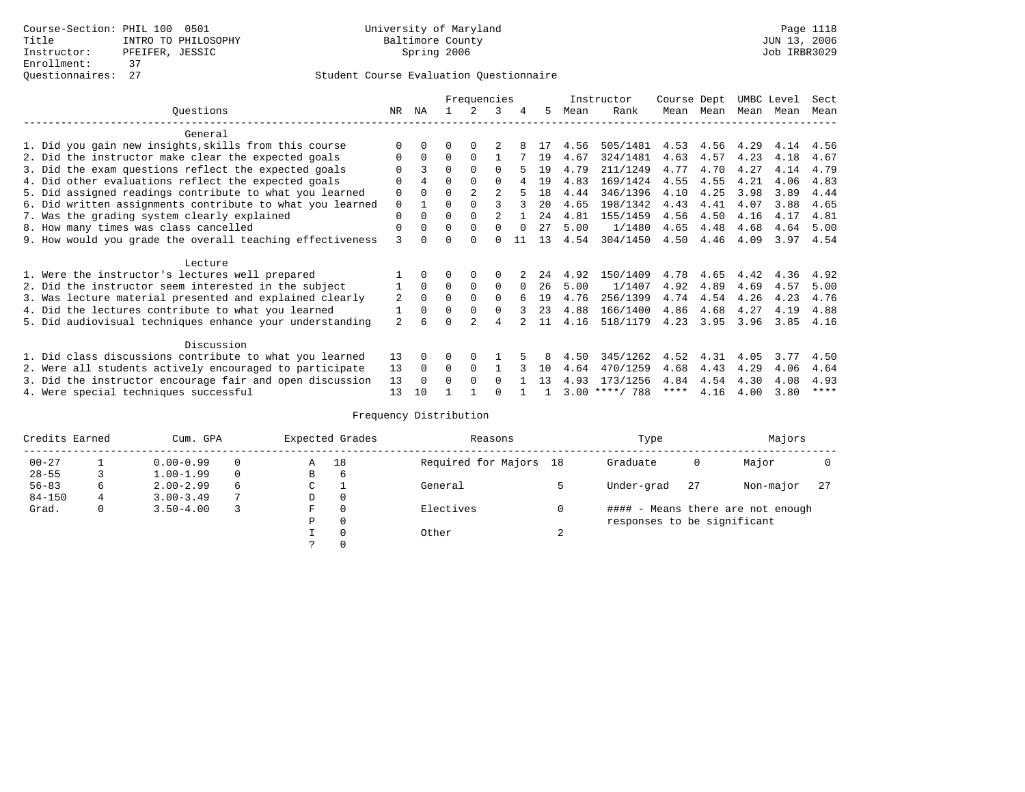|                                                           |                |              |          | Frequencies    |                |          |     |      | Instructor       | Course Dept |           | UMBC Level |      | Sect        |
|-----------------------------------------------------------|----------------|--------------|----------|----------------|----------------|----------|-----|------|------------------|-------------|-----------|------------|------|-------------|
| Ouestions                                                 | NR             | ΝA           |          | 2              | 3              | 4        | 5   | Mean | Rank             |             | Mean Mean | Mean Mean  |      | Mean        |
| General                                                   |                |              |          |                |                |          |     |      |                  |             |           |            |      |             |
| 1. Did you gain new insights, skills from this course     |                | $\Omega$     | 0        | $\Omega$       |                |          | 17  | 4.56 | 505/1481         | 4.53        | 4.56      | 4.29       | 4.14 | 4.56        |
| 2. Did the instructor make clear the expected goals       | 0              | $\Omega$     | $\Omega$ | $\Omega$       |                |          | 19  | 4.67 | 324/1481         | 4.63        | 4.57      | 4.23       | 4.18 | 4.67        |
| 3. Did the exam questions reflect the expected goals      |                | 3            | $\Omega$ | $\Omega$       | $\Omega$       |          | 19  | 4.79 | 211/1249         | 4.77        | 4.70      | 4.27       | 4.14 | 4.79        |
| 4. Did other evaluations reflect the expected goals       |                | 4            | 0        | $\Omega$       | $\Omega$       |          | 19  | 4.83 | 169/1424         | 4.55        | 4.55      | 4.21       | 4.06 | 4.83        |
| 5. Did assigned readings contribute to what you learned   | 0              | $\Omega$     | U        | $\overline{2}$ | 2              |          | 18  | 4.44 | 346/1396         | 4.10        | 4.25      | 3.98       | 3.89 | 4.44        |
| 6. Did written assignments contribute to what you learned | $\mathbf 0$    |              | U        |                |                |          | 20  | 4.65 | 198/1342         | 4.43        | 4.41      | 4.07       | 3.88 | 4.65        |
| 7. Was the grading system clearly explained               | 0              | $\Omega$     | 0        | $\Omega$       | $\mathfrak{D}$ |          | 2.4 | 4.81 | 155/1459         | 4.56        | 4.50      | 4.16       | 4.17 | 4.81        |
| 8. How many times was class cancelled                     | 0              | $\Omega$     | $\Omega$ | $\Omega$       | $\Omega$       | $\Omega$ | 27  | 5.00 | 1/1480           | 4.65        | 4.48      | 4.68       | 4.64 | 5.00        |
| 9. How would you grade the overall teaching effectiveness | 3              | <sup>n</sup> |          | <sup>0</sup>   | <sup>n</sup>   | 11       | 13  | 4.54 | 304/1450         | 4.50        | 4.46      | 4.09       | 3.97 | 4.54        |
| Lecture                                                   |                |              |          |                |                |          |     |      |                  |             |           |            |      |             |
| 1. Were the instructor's lectures well prepared           |                | $\Omega$     |          | $\Omega$       |                |          | 24  | 4.92 | 150/1409         | 4.78        | 4.65      | 4.42       | 4.36 | 4.92        |
| 2. Did the instructor seem interested in the subject      |                | $\Omega$     | $\Omega$ | $\Omega$       | $\Omega$       | $\Omega$ | 26  | 5.00 | 1/1407           | 4.92        | 4.89      | 4.69       | 4.57 | 5.00        |
| 3. Was lecture material presented and explained clearly   | 2              | $\Omega$     | U        | $\Omega$       | $\Omega$       | 6        | 19  | 4.76 | 256/1399         | 4.74        | 4.54      | 4.26       | 4.23 | 4.76        |
| 4. Did the lectures contribute to what you learned        |                | $\Omega$     | 0        | $\Omega$       |                |          | 23  | 4.88 | 166/1400         | 4.86        | 4.68      | 4.27       | 4.19 | 4.88        |
| 5. Did audiovisual techniques enhance your understanding  | $\overline{a}$ | 6            |          | $\mathcal{D}$  | 4              |          | 11  | 4.16 | 518/1179         | 4.23        | 3.95      | 3.96       | 3.85 | 4.16        |
| Discussion                                                |                |              |          |                |                |          |     |      |                  |             |           |            |      |             |
| 1. Did class discussions contribute to what you learned   | 13             | $\Omega$     | 0        | $\Omega$       |                |          |     | 4.50 | 345/1262         | 4.52        | 4.31      | 4.05       | 3.77 | 4.50        |
| 2. Were all students actively encouraged to participate   | 13             | $\Omega$     | $\Omega$ | 0              |                |          | 10  | 4.64 | 470/1259         | 4.68        | 4.43      | 4.29       | 4.06 | 4.64        |
| 3. Did the instructor encourage fair and open discussion  | 13             | $\Omega$     | U        | $\Omega$       | $\Omega$       |          | 13  | 4.93 | 173/1256         | 4.84        | 4.54      | 4.30       | 4.08 | 4.93        |
| 4. Were special techniques successful                     | 13             | 10           |          |                |                |          |     |      | $3.00$ ****/ 788 | ****        | 4.16      | 4.00       | 3.80 | $***$ * * * |

| Credits Earned |   | Cum. GPA      |          |             | Expected Grades | Reasons                |        | Type                        |     | Majors                            |     |
|----------------|---|---------------|----------|-------------|-----------------|------------------------|--------|-----------------------------|-----|-----------------------------------|-----|
| $00 - 27$      |   | $0.00 - 0.99$ |          | Α           | 18              | Required for Majors 18 |        | Graduate                    | 0   | Major                             |     |
| $28 - 55$      | 3 | $1.00 - 1.99$ | $\Omega$ | В           | 6               |                        |        |                             |     |                                   |     |
| $56 - 83$      | 6 | $2.00 - 2.99$ | 6        | $\sim$<br>◡ |                 | General                |        | Under-grad                  | -27 | Non-major                         | -27 |
| $84 - 150$     | 4 | $3.00 - 3.49$ | 7        | D           | 0               |                        |        |                             |     |                                   |     |
| Grad.          | 0 | $3.50 - 4.00$ |          | F           | 0               | Electives              | 0      |                             |     | #### - Means there are not enough |     |
|                |   |               |          | Ρ           | 0               |                        |        | responses to be significant |     |                                   |     |
|                |   |               |          |             | $\Omega$        | Other                  | $\sim$ |                             |     |                                   |     |
|                |   |               |          |             |                 |                        |        |                             |     |                                   |     |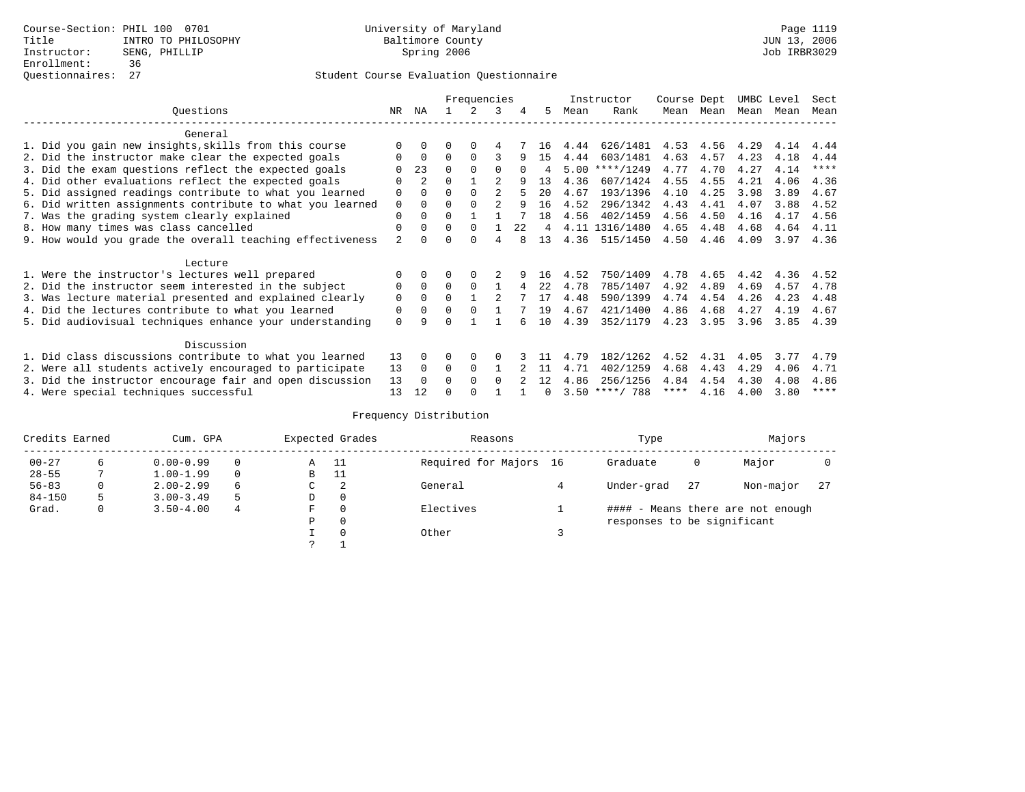|                                                           |             |                |          | Frequencies |                |          |              |      | Instructor       | Course Dept |           | UMBC Level |      | Sect        |
|-----------------------------------------------------------|-------------|----------------|----------|-------------|----------------|----------|--------------|------|------------------|-------------|-----------|------------|------|-------------|
| Ouestions                                                 | NR.         | ΝA             |          |             | 3              | 4        | 5.           | Mean | Rank             |             | Mean Mean | Mean       | Mean | Mean        |
| General                                                   |             |                |          |             |                |          |              |      |                  |             |           |            |      |             |
| 1. Did you gain new insights, skills from this course     |             | $\Omega$       | 0        | $\Omega$    | 4              |          | 16           | 4.44 | 626/1481         | 4.53        | 4.56      | 4.29       | 4.14 | 4.44        |
| 2. Did the instructor make clear the expected goals       | O           | $\Omega$       | $\Omega$ | $\Omega$    | ς              | 9        | 15           | 4.44 | 603/1481         | 4.63        | 4.57      | 4.23       | 4.18 | 4.44        |
| 3. Did the exam questions reflect the expected goals      |             | 23             | $\Omega$ | $\Omega$    | $\Omega$       | $\Omega$ | 4            | 5.00 | $***/1249$       | 4.77        | 4.70      | 4.27       | 4.14 | $***$ * * * |
| 4. Did other evaluations reflect the expected goals       | O           | $\mathfrak{D}$ | $\Omega$ |             |                | q        | 13           | 4.36 | 607/1424         | 4.55        | 4.55      | 4.21       | 4.06 | 4.36        |
| 5. Did assigned readings contribute to what you learned   | $\mathbf 0$ | $\Omega$       | $\Omega$ | $\Omega$    | $\mathfrak{D}$ |          | 20           | 4.67 | 193/1396         | 4.10        | 4.25      | 3.98       | 3.89 | 4.67        |
| 6. Did written assignments contribute to what you learned | $\mathbf 0$ | $\Omega$       | $\Omega$ |             | $\mathfrak{D}$ | q        | 16           | 4.52 | 296/1342         | 4.43        | 4.41      | 4.07       | 3.88 | 4.52        |
| 7. Was the grading system clearly explained               | $\mathbf 0$ | $\Omega$       | $\Omega$ |             |                |          | 18           | 4.56 | 402/1459         | 4.56        | 4.50      | 4.16       | 4.17 | 4.56        |
| 8. How many times was class cancelled                     | 0           | $\Omega$       | $\Omega$ | $\Omega$    |                | 22.      | 4            |      | 4.11 1316/1480   | 4.65        | 4.48      | 4.68       | 4.64 | 4.11        |
| 9. How would you grade the overall teaching effectiveness | 2           | <sup>n</sup>   | U        | ∩           | 4              |          | 13           | 4.36 | 515/1450         | 4.50        | 4.46      | 4.09       | 3.97 | 4.36        |
| Lecture                                                   |             |                |          |             |                |          |              |      |                  |             |           |            |      |             |
| 1. Were the instructor's lectures well prepared           | $\Omega$    |                |          |             |                |          | 16           | 4.52 | 750/1409         | 4.78        | 4.65      | 4.42       | 4.36 | 4.52        |
| 2. Did the instructor seem interested in the subject      | 0           | $\Omega$       | $\Omega$ | $\Omega$    |                | 4        | 2.2.         | 4.78 | 785/1407         | 4.92        | 4.89      | 4.69       | 4.57 | 4.78        |
| 3. Was lecture material presented and explained clearly   | 0           | $\Omega$       | $\Omega$ |             |                |          | 17           | 4.48 | 590/1399         | 4.74        | 4.54      | 4.26       | 4.23 | 4.48        |
| 4. Did the lectures contribute to what you learned        | 0           | $\Omega$       | $\Omega$ | $\Omega$    |                |          | 19           | 4.67 | 421/1400         | 4.86        | 4.68      | 4.27       | 4.19 | 4.67        |
| 5. Did audiovisual techniques enhance your understanding  | $\Omega$    | a              |          |             |                |          | 10           | 4.39 | 352/1179         | 4.23        | 3.95      | 3.96       | 3.85 | 4.39        |
| Discussion                                                |             |                |          |             |                |          |              |      |                  |             |           |            |      |             |
| 1. Did class discussions contribute to what you learned   | 13          | $\Omega$       | O        | $\Omega$    | $\Omega$       |          |              | 4.79 | 182/1262         | 4.52        | 4.31      | 4.05       | 3.77 | 4.79        |
| 2. Were all students actively encouraged to participate   | 13          | $\Omega$       | $\Omega$ | $\Omega$    |                |          | 11           | 4.71 | 402/1259         | 4.68        | 4.43      | 4.29       | 4.06 | 4.71        |
| 3. Did the instructor encourage fair and open discussion  | 13          | $\Omega$       | 0        | $\Omega$    | $\Omega$       |          | 12           | 4.86 | 256/1256         | 4.84        | 4.54      | 4.30       | 4.08 | 4.86        |
| 4. Were special techniques successful                     | 13          | 12             |          |             |                |          | <sup>n</sup> |      | $3.50$ ****/ 788 | ****        | 4.16      | 4.00       | 3.80 | $***$ * * * |

| Credits Earned |              | Cum. GPA      |          |    | Expected Grades | Reasons                | Type                        |    | Majors                            |     |
|----------------|--------------|---------------|----------|----|-----------------|------------------------|-----------------------------|----|-----------------------------------|-----|
| $00 - 27$      | b            | $0.00 - 0.99$ |          | A  | - 11            | Required for Majors 16 | Graduate                    | 0  | Major                             |     |
| $28 - 55$      |              | $1.00 - 1.99$ | $\Omega$ | В  | -11             |                        |                             |    |                                   |     |
| $56 - 83$      |              | $2.00 - 2.99$ | 6        | C. | 2               | General                | Under-grad                  | 27 | Non-major                         | -27 |
| $84 - 150$     | 5            | $3.00 - 3.49$ |          | D  | 0               |                        |                             |    |                                   |     |
| Grad.          | $\mathbf{0}$ | $3.50 - 4.00$ | 4        | F  | $\Omega$        | Electives              |                             |    | #### - Means there are not enough |     |
|                |              |               |          | Ρ  | 0               |                        | responses to be significant |    |                                   |     |
|                |              |               |          |    | $\Omega$        | Other                  |                             |    |                                   |     |
|                |              |               |          |    |                 |                        |                             |    |                                   |     |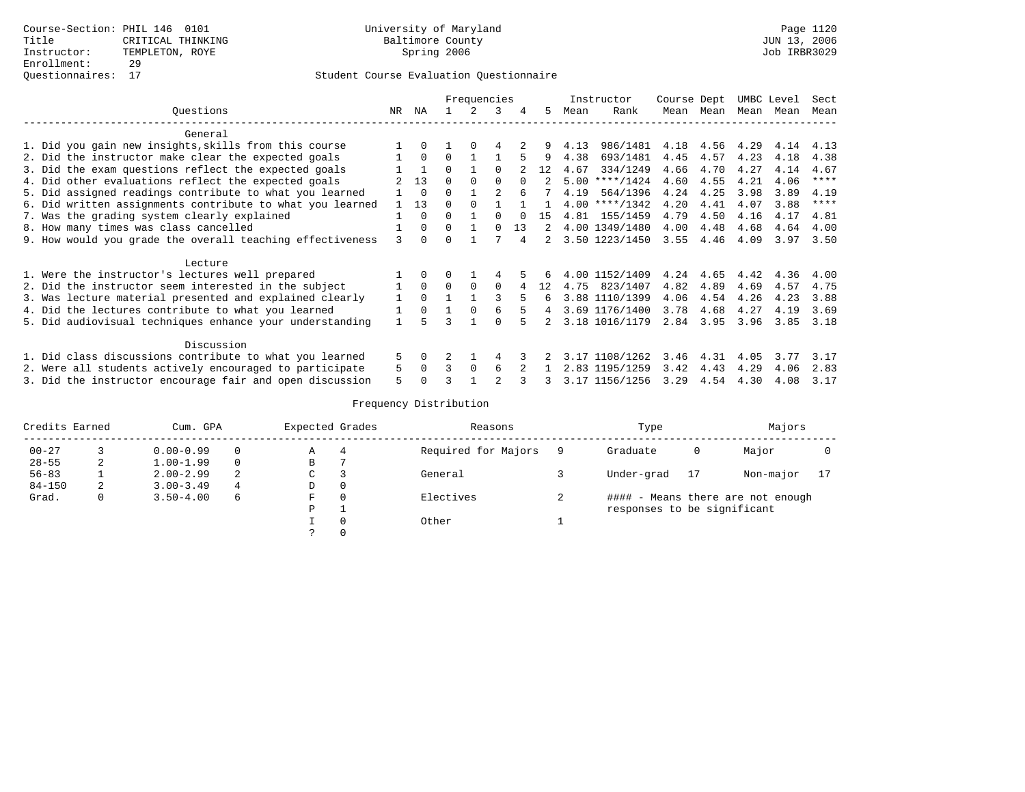|                                                           |              |          |          | Frequencies |                |        |                |      | Instructor       | Course Dept |           | UMBC Level |      | Sect        |
|-----------------------------------------------------------|--------------|----------|----------|-------------|----------------|--------|----------------|------|------------------|-------------|-----------|------------|------|-------------|
| Ouestions                                                 | NR           | ΝA       |          |             | 3              | 4      | 5.             | Mean | Rank             |             | Mean Mean | Mean       | Mean | Mean        |
| General                                                   |              |          |          |             |                |        |                |      |                  |             |           |            |      |             |
| 1. Did you gain new insights, skills from this course     |              |          |          |             |                |        |                | 4.13 | 986/1481         |             | 4.18 4.56 | 4.29       | 4.14 | 4.13        |
| 2. Did the instructor make clear the expected goals       |              | $\Omega$ | $\Omega$ |             |                |        |                | 4.38 | 693/1481         | 4.45        | 4.57      | 4.23       | 4.18 | 4.38        |
| 3. Did the exam questions reflect the expected goals      |              |          | $\cap$   |             |                |        | 12             | 4.67 | 334/1249         | 4.66        | 4.70      | 4.27       | 4.14 | 4.67        |
| 4. Did other evaluations reflect the expected goals       |              | 13       | $\Omega$ |             | $\Omega$       | $\cap$ |                | 5.00 | $***/1424$       | 4.60        | 4.55      | 4.21       | 4.06 | ****        |
| 5. Did assigned readings contribute to what you learned   |              | $\Omega$ | $\Omega$ |             | $\mathfrak{D}$ | 6      |                | 4.19 | 564/1396         | 4.24        | 4.25      | 3.98       | 3.89 | 4.19        |
| 6. Did written assignments contribute to what you learned | $\mathbf{1}$ | 13       | 0        |             |                |        |                |      | $4.00$ ****/1342 | 4.20        | 4.41      | 4.07       | 3.88 | $* * * * *$ |
| 7. Was the grading system clearly explained               |              | $\Omega$ | $\Omega$ |             | $\cap$         | $\cap$ | 15             |      | 4.81 155/1459    | 4.79        | 4.50      | 4.16       | 4.17 | 4.81        |
| 8. How many times was class cancelled                     |              | $\Omega$ | $\Omega$ |             | $\cap$         | 13     |                |      | 4.00 1349/1480   | 4.00        | 4.48      | 4.68       | 4.64 | 4.00        |
| 9. How would you grade the overall teaching effectiveness | 3            | $\cap$   | $\Omega$ |             |                |        | $\overline{a}$ |      | 3.50 1223/1450   | 3.55        | 4.46      | 4.09       | 3.97 | 3.50        |
| Lecture                                                   |              |          |          |             |                |        |                |      |                  |             |           |            |      |             |
| 1. Were the instructor's lectures well prepared           |              | $\Omega$ | 0        |             | 4              |        | 6              |      | 4.00 1152/1409   | 4.24        | 4.65      | 4.42       | 4.36 | 4.00        |
| 2. Did the instructor seem interested in the subject      |              | $\Omega$ | $\Omega$ | $\Omega$    | $\Omega$       |        | 12             | 4.75 | 823/1407         | 4.82        | 4.89      | 4.69       | 4.57 | 4.75        |
| 3. Was lecture material presented and explained clearly   |              | 0        |          |             |                |        | б.             |      | 3.88 1110/1399   | 4.06        | 4.54      | 4.26       | 4.23 | 3.88        |
| 4. Did the lectures contribute to what you learned        |              | $\Omega$ |          | $\Omega$    | 6              | 5      | 4              |      | 3.69 1176/1400   | 3.78        | 4.68      | 4.27       | 4.19 | 3.69        |
| 5. Did audiovisual techniques enhance your understanding  |              |          | ζ        |             | ∩              |        |                |      | 3.18 1016/1179   | 2.84        | 3.95      | 3.96       | 3.85 | 3.18        |
| Discussion                                                |              |          |          |             |                |        |                |      |                  |             |           |            |      |             |
| 1. Did class discussions contribute to what you learned   | 5            | 0        |          |             | 4              |        |                |      | 3.17 1108/1262   | 3.46        | 4.31      | 4.05       | 3.77 | 3.17        |
| 2. Were all students actively encouraged to participate   | 5            | $\Omega$ | ζ        | $\Omega$    | 6              |        |                |      | 2.83 1195/1259   | 3.42        | 4.43      | 4.29       | 4.06 | 2.83        |
| 3. Did the instructor encourage fair and open discussion  | 5            |          |          |             |                |        |                |      | 3.17 1156/1256   | 3.29        | 4.54      | 4.30       | 4.08 | 3.17        |

| Credits Earned |   | Cum. GPA      |          | Expected Grades |          | Reasons             | Type                        |    | Majors                            |    |
|----------------|---|---------------|----------|-----------------|----------|---------------------|-----------------------------|----|-----------------------------------|----|
| $00 - 27$      |   | $0.00 - 0.99$ | 0        | Α               | 4        | Required for Majors | Graduate                    | 0  | Major                             |    |
| $28 - 55$      | 2 | $1.00 - 1.99$ | $\Omega$ | В               |          |                     |                             |    |                                   |    |
| $56 - 83$      |   | $2.00 - 2.99$ | 2        | C               |          | General             | Under-grad                  | 17 | Non-major                         | 17 |
| $84 - 150$     | 2 | $3.00 - 3.49$ | 4        | D               | $\Omega$ |                     |                             |    |                                   |    |
| Grad.          |   | $3.50 - 4.00$ | 6        | F               |          | Electives           |                             |    | #### - Means there are not enough |    |
|                |   |               |          | Ρ               |          |                     | responses to be significant |    |                                   |    |
|                |   |               |          |                 |          | Other               |                             |    |                                   |    |
|                |   |               |          |                 |          |                     |                             |    |                                   |    |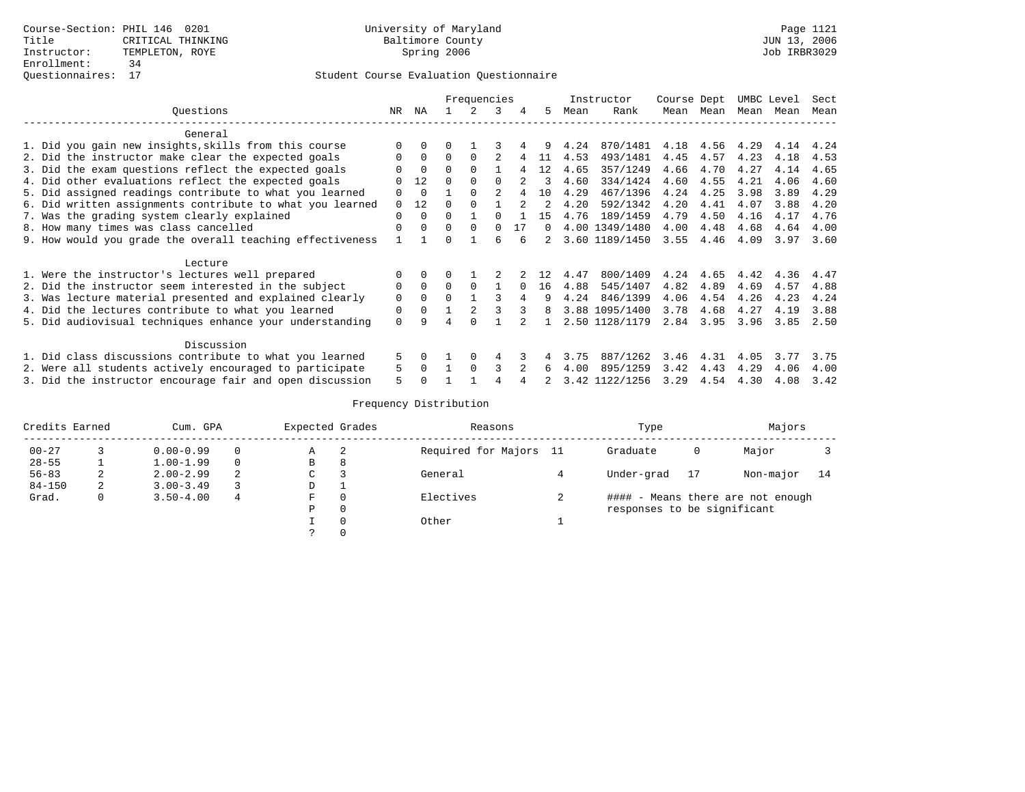### Questionnaires: 17 Student Course Evaluation Questionnaire

|                                                           |          |          |          | Frequencies    |              |          |                |      | Instructor     | Course Dept |                | UMBC Level |      | Sect |
|-----------------------------------------------------------|----------|----------|----------|----------------|--------------|----------|----------------|------|----------------|-------------|----------------|------------|------|------|
| Ouestions                                                 | NR       | NA       |          |                | 3            |          | .5             | Mean | Rank           | Mean        | Mean           | Mean       | Mean | Mean |
| General                                                   |          |          |          |                |              |          |                |      |                |             |                |            |      |      |
| 1. Did you gain new insights, skills from this course     | $\Omega$ |          |          |                |              |          |                | 4.24 | 870/1481       |             | 4.18 4.56 4.29 |            | 4.14 | 4.24 |
| 2. Did the instructor make clear the expected goals       | $\Omega$ | $\Omega$ | $\Omega$ | $\Omega$       |              |          | 11             | 4.53 | 493/1481       | 4.45        | 4.57           | 4.23       | 4.18 | 4.53 |
| 3. Did the exam questions reflect the expected goals      |          | $\Omega$ | $\Omega$ |                |              |          | 12             | 4.65 | 357/1249       | 4.66        | 4.70           | 4.27       | 4.14 | 4.65 |
| 4. Did other evaluations reflect the expected goals       |          | 12       | O        |                |              |          |                | 4.60 | 334/1424       | 4.60        | 4.55           | 4.21       | 4.06 | 4.60 |
| 5. Did assigned readings contribute to what you learned   | $\Omega$ | $\Omega$ |          |                |              |          | 10             | 4.29 | 467/1396       | 4.24        | 4.25           | 3.98       | 3.89 | 4.29 |
| 6. Did written assignments contribute to what you learned | $\Omega$ | 12       | U        |                |              |          |                | 4.20 | 592/1342       | 4.20        | 4.41           | 4.07       | 3.88 | 4.20 |
| 7. Was the grading system clearly explained               | $\Omega$ | $\Omega$ | $\Omega$ |                |              |          | 15             | 4.76 | 189/1459       | 4.79        | 4.50           | 4.16       | 4.17 | 4.76 |
| 8. How many times was class cancelled                     | $\Omega$ | $\Omega$ | $\Omega$ | $\Omega$       | $\Omega$     | 17       | <sup>0</sup>   |      | 4.00 1349/1480 | 4.00        | 4.48           | 4.68       | 4.64 | 4.00 |
| 9. How would you grade the overall teaching effectiveness |          |          | $\cap$   |                | 6            | 6        | $\overline{a}$ |      | 3.60 1189/1450 | 3.55        | 4.46           | 4.09       | 3.97 | 3.60 |
| Lecture                                                   |          |          |          |                |              |          |                |      |                |             |                |            |      |      |
| 1. Were the instructor's lectures well prepared           |          |          |          |                |              |          | 12             | 4.47 | 800/1409       | 4.24        | 4.65           | 4.42       | 4.36 | 4.47 |
| 2. Did the instructor seem interested in the subject      | $\Omega$ | $\Omega$ | $\Omega$ | $\Omega$       | $\mathbf{1}$ | $\Omega$ | 16             | 4.88 | 545/1407       | 4.82        | 4.89           | 4.69       | 4.57 | 4.88 |
| 3. Was lecture material presented and explained clearly   | $\Omega$ | $\Omega$ | $\Omega$ |                |              | 4        | 9              | 4.24 | 846/1399       | 4.06        | 4.54           | 4.26       | 4.23 | 4.24 |
| 4. Did the lectures contribute to what you learned        | $\Omega$ | $\Omega$ |          | $\mathfrak{D}$ | २            | २        | 8              |      | 3.88 1095/1400 | 3.78        | 4.68           | 4.27       | 4.19 | 3.88 |
| 5. Did audiovisual techniques enhance your understanding  | $\Omega$ | q        |          | ∩              |              |          |                |      | 2.50 1128/1179 | 2.84        | 3.95           | 3.96       | 3.85 | 2.50 |
| Discussion                                                |          |          |          |                |              |          |                |      |                |             |                |            |      |      |
| 1. Did class discussions contribute to what you learned   | 5        | 0        |          | $\Omega$       | 4            |          |                | 3.75 | 887/1262       | 3.46        | 4.31           | 4.05       | 3.77 | 3.75 |
| 2. Were all students actively encouraged to participate   | 5        | $\Omega$ |          | $\Omega$       | ς            |          | 6              | 4.00 | 895/1259       | 3.42        | 4.43           | 4.29       | 4.06 | 4.00 |
| 3. Did the instructor encourage fair and open discussion  | 5        |          |          |                |              |          |                |      | 3.42 1122/1256 | 3.29        | 4.54           | 4.30       | 4.08 | 3.42 |

| Credits Earned |   | Cum. GPA      |   | Expected Grades |   | Reasons             |      | Type                        |    | Majors                            |      |
|----------------|---|---------------|---|-----------------|---|---------------------|------|-----------------------------|----|-----------------------------------|------|
| $00 - 27$      |   | $0.00 - 0.99$ | 0 | Α               | 2 | Required for Majors | - 11 | Graduate                    | 0  | Major                             |      |
| $28 - 55$      |   | $1.00 - 1.99$ | 0 | B               | 8 |                     |      |                             |    |                                   |      |
| $56 - 83$      | 2 | $2.00 - 2.99$ | 2 | C               |   | General             |      | Under-grad                  | 17 | Non-major                         | - 14 |
| $84 - 150$     | 2 | $3.00 - 3.49$ |   | D               |   |                     |      |                             |    |                                   |      |
| Grad.          |   | $3.50 - 4.00$ | 4 | F               |   | Electives           |      |                             |    | #### - Means there are not enough |      |
|                |   |               |   | Ρ               | 0 |                     |      | responses to be significant |    |                                   |      |
|                |   |               |   |                 |   | Other               |      |                             |    |                                   |      |
|                |   |               |   |                 |   |                     |      |                             |    |                                   |      |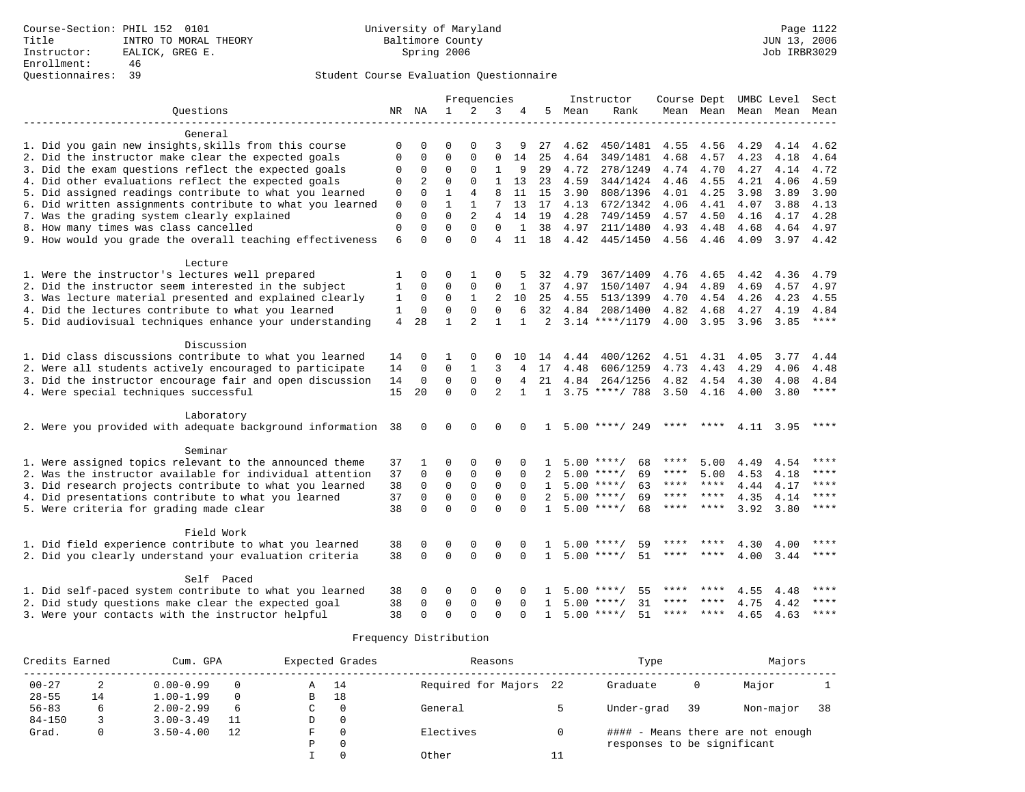|                                                                                                              |             |             |                         | Frequencies          |                               |              |              |      | Instructor         |              |                 |      | Course Dept UMBC Level | Sect          |
|--------------------------------------------------------------------------------------------------------------|-------------|-------------|-------------------------|----------------------|-------------------------------|--------------|--------------|------|--------------------|--------------|-----------------|------|------------------------|---------------|
| Ouestions                                                                                                    |             | NR NA       | $\mathbf{1}$            | $\overline{2}$       | 3                             | 4            | 5            | Mean | Rank               |              | Mean Mean       |      | Mean Mean              | Mean          |
|                                                                                                              |             |             |                         |                      |                               |              |              |      |                    |              |                 |      |                        |               |
| General                                                                                                      | $\Omega$    | $\Omega$    | $\Omega$                |                      | 3                             | 9            |              | 4.62 | 450/1481           | 4.55         | 4.56            | 4.29 | 4.14                   | 4.62          |
| 1. Did you gain new insights, skills from this course<br>2. Did the instructor make clear the expected goals | 0           | 0           | 0                       | 0                    | $\mathbf 0$                   | 14           | 27<br>25     | 4.64 | 349/1481           | 4.68         | 4.57            | 4.23 | 4.18                   | 4.64          |
| 3. Did the exam questions reflect the expected goals                                                         | 0           | 0           | $\Omega$                | $\Omega$             | $\mathbf{1}$                  | 9            | 29           | 4.72 | 278/1249           | 4.74         | 4.70            | 4.27 | 4.14                   | 4.72          |
| 4. Did other evaluations reflect the expected goals                                                          | $\Omega$    | 2           | $\Omega$                | $\Omega$             | $\mathbf{1}$                  | 13           | 23           | 4.59 | 344/1424           | 4.46         | 4.55            | 4.21 | 4.06                   | 4.59          |
| 5. Did assigned readings contribute to what you learned                                                      | 0           | 0           | $\mathbf{1}$            | 4                    | 8                             | 11           | 15           | 3.90 | 808/1396           | 4.01         | 4.25            | 3.98 | 3.89                   | 3.90          |
| 6. Did written assignments contribute to what you learned                                                    | $\mathbf 0$ | $\Omega$    | $\mathbf{1}$            | $\mathbf{1}$         | 7                             | 13           | 17           | 4.13 | 672/1342           | 4.06         | 4.41            | 4.07 | 3.88                   | 4.13          |
| 7. Was the grading system clearly explained                                                                  | $\Omega$    | $\Omega$    | $\Omega$                | $\overline{a}$       | 4                             | 14           | 19           | 4.28 | 749/1459           | 4.57         | 4.50            | 4.16 | 4.17                   | 4.28          |
| 8. How many times was class cancelled                                                                        | $\mathbf 0$ | $\Omega$    | $\Omega$                | $\Omega$             | $\Omega$                      | $\mathbf{1}$ | 38           | 4.97 | 211/1480           | 4.93         | 4.48            | 4.68 | 4.64                   | 4.97          |
| 9. How would you grade the overall teaching effectiveness                                                    | 6           | $\Omega$    | $\Omega$                | $\Omega$             | 4                             | 11           | 18           | 4.42 | 445/1450           | 4.56         | 4.46            | 4.09 | $3.97$ 4.42            |               |
|                                                                                                              |             |             |                         |                      |                               |              |              |      |                    |              |                 |      |                        |               |
| Lecture                                                                                                      |             |             |                         |                      |                               |              |              |      |                    |              |                 |      |                        |               |
| 1. Were the instructor's lectures well prepared                                                              | 1           | $\Omega$    | 0                       | 1                    | 0                             | 5            | 32           | 4.79 | 367/1409           | 4.76         | 4.65            | 4.42 | 4.36                   | 4.79          |
| 2. Did the instructor seem interested in the subject                                                         | 1           | $\Omega$    | $\Omega$                | $\Omega$             | $\Omega$                      | 1            | 37           | 4.97 | 150/1407           | 4.94         | 4.89            | 4.69 | 4.57                   | 4.97          |
| 3. Was lecture material presented and explained clearly                                                      | $1\,$       | $\Omega$    | $\Omega$                | $\mathbf{1}$         | $\overline{2}$                | 10           | 25           | 4.55 | 513/1399           | 4.70         | 4.54            | 4.26 | 4.23                   | 4.55          |
| 4. Did the lectures contribute to what you learned                                                           | 1           | 0           | $\mathbf 0$             | $\mathbf 0$          | $\mathbf 0$                   | 6            | 32           | 4.84 | 208/1400           | 4.82         | 4.68            | 4.27 | 4.19                   | 4.84          |
| 5. Did audiovisual techniques enhance your understanding                                                     | 4           | 28          | $\mathbf{1}$            | $\mathfrak{D}$       | 1                             | 1            | 2            |      | $3.14$ ****/1179   | 4.00         | 3.95            | 3.96 | 3.85                   | ****          |
|                                                                                                              |             |             |                         |                      |                               |              |              |      |                    |              |                 |      |                        |               |
| Discussion                                                                                                   |             |             |                         |                      |                               |              |              |      |                    |              |                 |      |                        |               |
| 1. Did class discussions contribute to what you learned                                                      | 14          | 0           | 1                       | $\Omega$             | $\mathbf 0$                   | 10           | 14           | 4.44 | 400/1262           | 4.51         | 4.31            | 4.05 | 3.77                   | 4.44          |
| 2. Were all students actively encouraged to participate                                                      | 14          | $\mathbf 0$ | $\Omega$                | $\mathbf{1}$         | 3                             | 4            | 17           | 4.48 | 606/1259           | 4.73         | 4.43            | 4.29 | 4.06                   | 4.48          |
| 3. Did the instructor encourage fair and open discussion                                                     | 14          | $\mathbf 0$ | $\mathbf 0$<br>$\Omega$ | $\Omega$<br>$\Omega$ | $\mathbf 0$<br>$\overline{2}$ | 4            | 21           | 4.84 | 264/1256           | 4.82         | 4.54            | 4.30 | 4.08                   | 4.84<br>$***$ |
| 4. Were special techniques successful                                                                        | 15          | 20          |                         |                      |                               | $\mathbf{1}$ | $\mathbf{1}$ |      | $3.75$ ****/ 788   | 3.50         | 4.16            | 4.00 | 3.80                   |               |
| Laboratory                                                                                                   |             |             |                         |                      |                               |              |              |      |                    |              |                 |      |                        |               |
| 2. Were you provided with adequate background information 38                                                 |             | 0           | 0                       | $\Omega$             | $\Omega$                      |              | $\mathbf{1}$ |      | $5.00$ ****/ 249   |              |                 | 4.11 | 3.95                   | ****          |
|                                                                                                              |             |             |                         |                      |                               |              |              |      |                    |              |                 |      |                        |               |
| Seminar                                                                                                      |             |             |                         |                      |                               |              |              |      |                    |              |                 |      |                        |               |
| 1. Were assigned topics relevant to the announced theme                                                      | 37          | 1           | 0                       | $\Omega$             | $\Omega$                      |              |              |      | $5.00$ ****/<br>68 | ****         | 5.00            | 4.49 | 4.54                   | ****          |
| 2. Was the instructor available for individual attention                                                     | 37          | $\Omega$    | $\Omega$                | $\Omega$             | $\Omega$                      | $\Omega$     |              |      | $5.00$ ****/<br>69 | ****         | 5.00<br>$***$ * | 4.53 | 4.18                   | $***$         |
| 3. Did research projects contribute to what you learned                                                      | 38          | $\mathbf 0$ | $\mathbf 0$             | $\mathbf 0$          | $\mathbf 0$                   | $\Omega$     | $\mathbf{1}$ |      | $5.00$ ****/<br>63 | ****         | $***$ *         | 4.44 | 4.17                   | ****          |
| 4. Did presentations contribute to what you learned                                                          | 37          | $\Omega$    | $\Omega$                | $\Omega$             | $\Omega$                      | $\Omega$     | 2            |      | $5.00$ ****/<br>69 | ****<br>**** | $***$ *         | 4.35 | 4.14                   | ****          |
| 5. Were criteria for grading made clear                                                                      | 38          | $\Omega$    | $\Omega$                | $\Omega$             | $\Omega$                      | $\Omega$     | $\mathbf{1}$ |      | $5.00$ ****/<br>68 |              |                 | 3.92 | 3.80                   |               |
| Field Work                                                                                                   |             |             |                         |                      |                               |              |              |      |                    |              |                 |      |                        |               |
| 1. Did field experience contribute to what you learned                                                       | 38          | 0           | 0                       | $\mathbf 0$          | $\mathbf 0$                   | $\Omega$     | $\mathbf{1}$ |      | $5.00$ ****/<br>59 |              |                 | 4.30 | 4.00                   |               |
| 2. Did you clearly understand your evaluation criteria                                                       | 38          | $\Omega$    | $\Omega$                | $\Omega$             | $\Omega$                      | $\Omega$     | $\mathbf{1}$ |      | $5.00$ ****/<br>51 | ****         |                 | 4.00 | 3.44                   | ****          |
|                                                                                                              |             |             |                         |                      |                               |              |              |      |                    |              |                 |      |                        |               |
| Self Paced                                                                                                   |             |             | O                       |                      | $\Omega$                      |              |              |      | $5.00$ ****/       | ****         |                 |      |                        | ****          |
| 1. Did self-paced system contribute to what you learned                                                      | 38          |             |                         | $\Omega$             |                               |              |              |      | 55<br>$***$ /      |              | ****            | 4.55 | 4.48                   | ****          |
| 2. Did study questions make clear the expected goal                                                          | 38          | $\Omega$    | $\mathbf 0$             | $\mathbf 0$          | 0                             | $\Omega$     | $\mathbf{1}$ | 5.00 | 31                 |              |                 | 4.75 | 4.42                   | $***$         |
| 3. Were your contacts with the instructor helpful                                                            | 38          | $\Omega$    | $\Omega$                | $\Omega$             | $\Omega$                      | $\Omega$     | $\mathbf{1}$ |      | $5.00$ ****/<br>51 | ****         | ****            | 4.65 | 4.63                   |               |

| Credits Earned |    | Cum. GPA      |          |   | Expected Grades | Reasons                | Type                        |    | Majors                            |    |
|----------------|----|---------------|----------|---|-----------------|------------------------|-----------------------------|----|-----------------------------------|----|
| $00 - 27$      |    | $0.00 - 0.99$ | $\Omega$ | Α | 14              | Required for Majors 22 | Graduate                    |    | Major                             |    |
| $28 - 55$      | 14 | $1.00 - 1.99$ | $\Omega$ | в | 18              |                        |                             |    |                                   |    |
| $56 - 83$      | 6  | $2.00 - 2.99$ | 6        | C | $\mathbf 0$     | General                | Under-grad                  | 39 | Non-major                         | 38 |
| $84 - 150$     |    | $3.00 - 3.49$ | 11       | D | $\mathbf{0}$    |                        |                             |    |                                   |    |
| Grad.          |    | $3.50 - 4.00$ | 12       |   | $\Omega$        | Electives              |                             |    | #### - Means there are not enough |    |
|                |    |               |          | D | $\mathbf 0$     |                        | responses to be significant |    |                                   |    |
|                |    |               |          |   | $\Omega$        | Other                  |                             |    |                                   |    |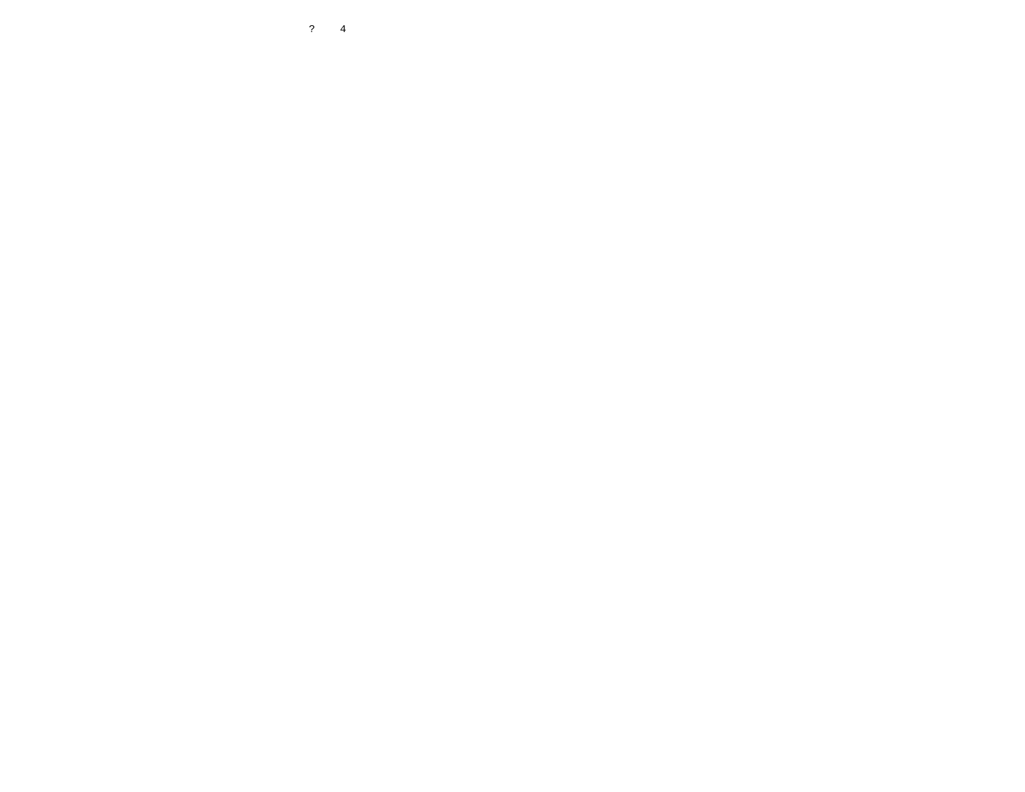? 4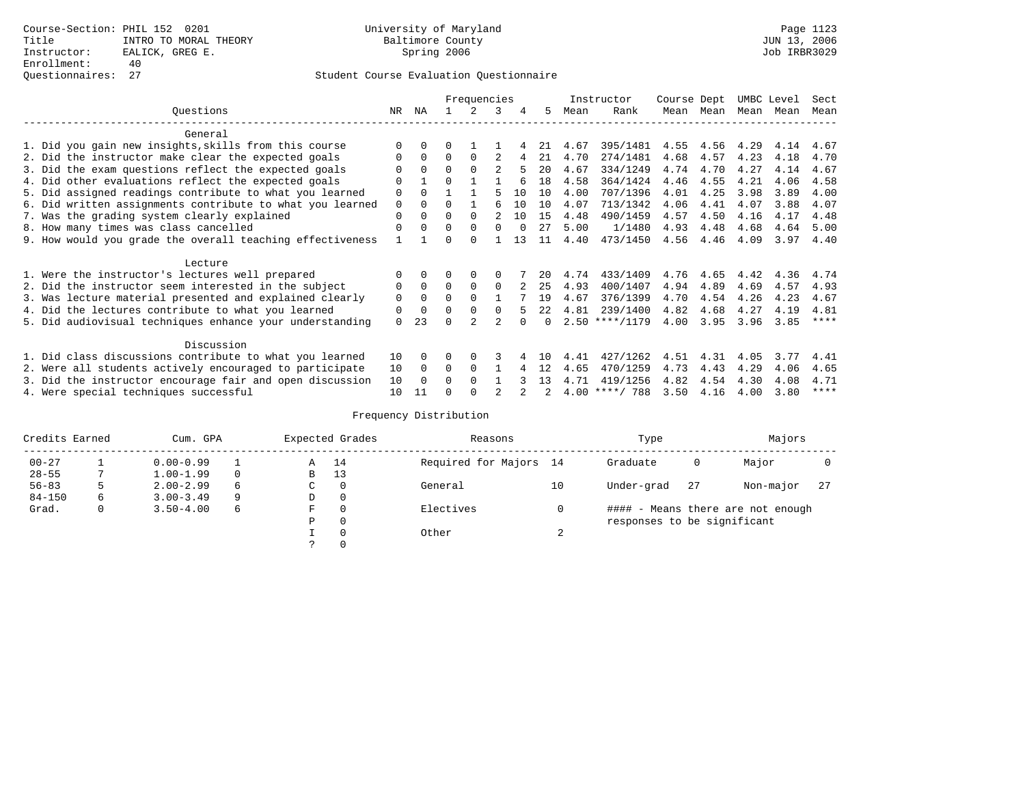## Questionnaires: 27 Student Course Evaluation Questionnaire

|                                                           |             |          |          | Frequencies |          |    |     |      | Instructor       | Course Dept |           | UMBC Level |      | Sect |
|-----------------------------------------------------------|-------------|----------|----------|-------------|----------|----|-----|------|------------------|-------------|-----------|------------|------|------|
| Ouestions                                                 | NR.         | ΝA       |          |             | 3        | 4  | 5.  | Mean | Rank             |             | Mean Mean | Mean       | Mean | Mean |
| General                                                   |             |          |          |             |          |    |     |      |                  |             |           |            |      |      |
| 1. Did you gain new insights, skills from this course     |             | $\Omega$ | 0        |             |          |    | 21  | 4.67 | 395/1481         | 4.55        | 4.56      | 4.29       | 4.14 | 4.67 |
| 2. Did the instructor make clear the expected goals       | O           | $\Omega$ | $\Omega$ | $\Omega$    |          |    | 21  | 4.70 | 274/1481         | 4.68        | 4.57      | 4.23       | 4.18 | 4.70 |
| 3. Did the exam questions reflect the expected goals      |             | $\Omega$ | $\Omega$ | $\Omega$    |          |    | 20  | 4.67 | 334/1249         | 4.74        | 4.70      | 4.27       | 4.14 | 4.67 |
| 4. Did other evaluations reflect the expected goals       | $\Omega$    |          | $\Omega$ |             |          |    | 1.8 | 4.58 | 364/1424         | 4.46        | 4.55      | 4.21       | 4.06 | 4.58 |
| 5. Did assigned readings contribute to what you learned   | $\mathbf 0$ | $\Omega$ |          |             |          | 10 | 1 O | 4.00 | 707/1396         | 4.01        | 4.25      | 3.98       | 3.89 | 4.00 |
| 6. Did written assignments contribute to what you learned | $\mathbf 0$ | $\Omega$ | $\Omega$ |             | ศ        | 10 | 1 O | 4.07 | 713/1342         | 4.06        | 4.41      | 4.07       | 3.88 | 4.07 |
| 7. Was the grading system clearly explained               | $\mathbf 0$ | $\Omega$ | $\Omega$ | $\Omega$    |          | 10 | 15  | 4.48 | 490/1459         | 4.57        | 4.50      | 4.16       | 4.17 | 4.48 |
| 8. How many times was class cancelled                     | 0           | $\Omega$ | $\Omega$ | $\Omega$    | $\Omega$ |    | 27  | 5.00 | 1/1480           | 4.93        | 4.48      | 4.68       | 4.64 | 5.00 |
| 9. How would you grade the overall teaching effectiveness |             |          | U        | ∩           |          | 13 | 11  | 4.40 | 473/1450         | 4.56        | 4.46      | 4.09       | 3.97 | 4.40 |
| Lecture                                                   |             |          |          |             |          |    |     |      |                  |             |           |            |      |      |
| 1. Were the instructor's lectures well prepared           | $\Omega$    |          |          | $\Omega$    | $\Omega$ |    | 20  | 4.74 | 433/1409         | 4.76        | 4.65      | 4.42       | 4.36 | 4.74 |
| 2. Did the instructor seem interested in the subject      | 0           | $\Omega$ | $\Omega$ | $\Omega$    | $\Omega$ |    | 25  | 4.93 | 400/1407         | 4.94        | 4.89      | 4.69       | 4.57 | 4.93 |
| 3. Was lecture material presented and explained clearly   | 0           | $\Omega$ | 0        | $\Omega$    |          |    | 19  | 4.67 | 376/1399         | 4.70        | 4.54      | 4.26       | 4.23 | 4.67 |
| 4. Did the lectures contribute to what you learned        | 0           | $\Omega$ | $\Omega$ | $\Omega$    |          |    | 2.2 | 4.81 | 239/1400         | 4.82        | 4.68      | 4.27       | 4.19 | 4.81 |
| 5. Did audiovisual techniques enhance your understanding  | $\Omega$    | 23       |          |             |          |    |     |      | $2.50$ ****/1179 | 4.00        | 3.95      | 3.96       | 3.85 | **** |
| Discussion                                                |             |          |          |             |          |    |     |      |                  |             |           |            |      |      |
| 1. Did class discussions contribute to what you learned   | 10          | $\Omega$ | O        | $\Omega$    | κ        |    | 1 N | 4.41 | 427/1262         | 4.51        | 4.31      | 4.05       | 3.77 | 4.41 |
| 2. Were all students actively encouraged to participate   | 10          | $\Omega$ | $\Omega$ | $\Omega$    |          |    | 12  | 4.65 | 470/1259         | 4.73        | 4.43      | 4.29       | 4.06 | 4.65 |
| 3. Did the instructor encourage fair and open discussion  | 10          | $\Omega$ | 0        | $\Omega$    |          |    | 13  | 4.71 | 419/1256         | 4.82        | 4.54      | 4.30       | 4.08 | 4.71 |
| 4. Were special techniques successful                     | 10          | 11       |          |             |          |    |     |      | $4.00$ ****/ 788 | 3.50        | 4.16      | 4.00       | 3.80 | **** |

| Credits Earned |              | Cum. GPA      |          |               | Expected Grades | Reasons                |             | Type                        |     | Majors                            |     |
|----------------|--------------|---------------|----------|---------------|-----------------|------------------------|-------------|-----------------------------|-----|-----------------------------------|-----|
| $00 - 27$      |              | $0.00 - 0.99$ |          | Α             | 14              | Required for Majors 14 |             | Graduate                    | 0   | Major                             |     |
| $28 - 55$      |              | $1.00 - 1.99$ | $\Omega$ | В             | 13              |                        |             |                             |     |                                   |     |
| $56 - 83$      |              | $2.00 - 2.99$ | 6        | C.            | 0               | General                | 10          | Under-grad                  | -27 | Non-major                         | -27 |
| $84 - 150$     | 6            | $3.00 - 3.49$ | 9        | D             | 0               |                        |             |                             |     |                                   |     |
| Grad.          | $\mathbf{0}$ | $3.50 - 4.00$ | 6        | F             | $\Omega$        | Electives              |             |                             |     | #### - Means there are not enough |     |
|                |              |               |          | P             | $\Omega$        |                        |             | responses to be significant |     |                                   |     |
|                |              |               |          |               | $\Omega$        | Other                  | $\sim$<br>▵ |                             |     |                                   |     |
|                |              |               |          | $\mathcal{L}$ | $\Omega$        |                        |             |                             |     |                                   |     |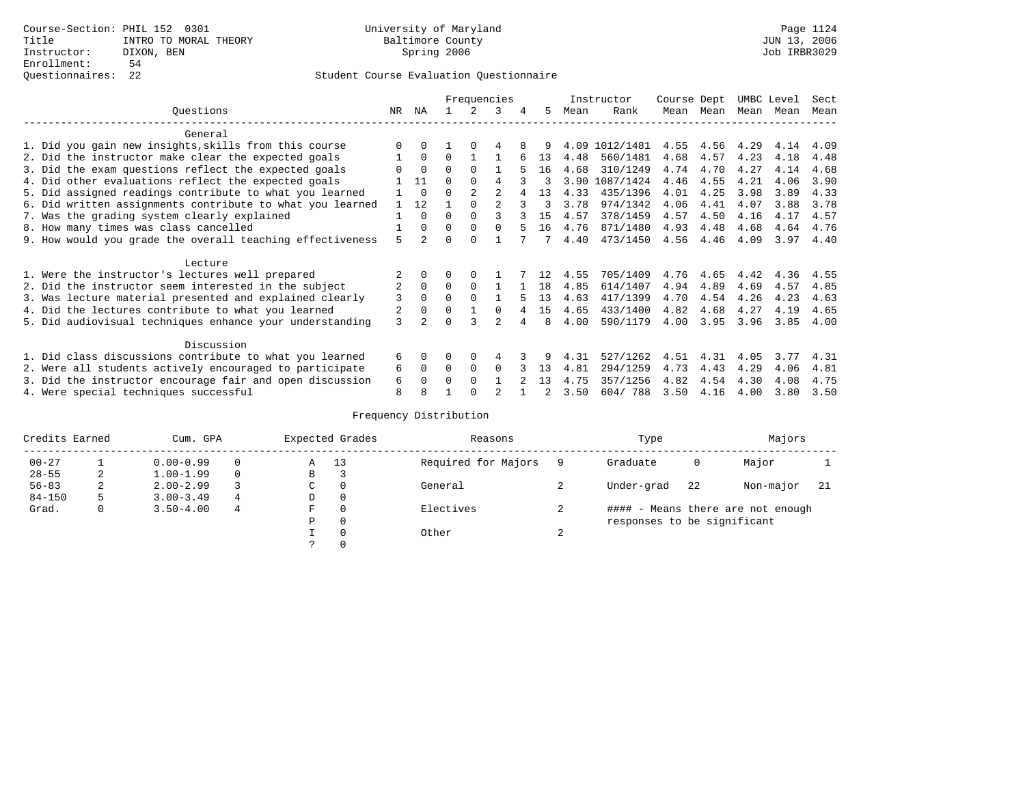## Questionnaires: 22 Student Course Evaluation Questionnaire

|                                                           |     |                |          |                | Frequencies |   |    |      | Instructor | Course Dept |      | UMBC Level |      | Sect |
|-----------------------------------------------------------|-----|----------------|----------|----------------|-------------|---|----|------|------------|-------------|------|------------|------|------|
| Ouestions                                                 | NR. | ΝA             |          |                | 3           | 4 | 5  | Mean | Rank       | Mean        | Mean | Mean       | Mean | Mean |
| General                                                   |     |                |          |                |             |   |    |      |            |             |      |            |      |      |
| 1. Did you gain new insights, skills from this course     |     | 0              |          |                |             |   |    | 4.09 | 1012/1481  | 4.55        | 4.56 | 4.29       | 4.14 | 4.09 |
| 2. Did the instructor make clear the expected goals       |     | $\Omega$       | 0        |                |             |   | 13 | 4.48 | 560/1481   | 4.68        | 4.57 | 4.23       | 4.18 | 4.48 |
| 3. Did the exam questions reflect the expected goals      |     | $\Omega$       | $\Omega$ | $\Omega$       |             |   | 16 | 4.68 | 310/1249   | 4.74        | 4.70 | 4.27       | 4.14 | 4.68 |
| 4. Did other evaluations reflect the expected goals       |     | 11             | 0        | $\Omega$       | 4           |   |    | 3.90 | 1087/1424  | 4.46        | 4.55 | 4.21       | 4.06 | 3.90 |
| 5. Did assigned readings contribute to what you learned   |     | $\Omega$       |          | $\overline{2}$ | 2           |   | 13 | 4.33 | 435/1396   | 4.01        | 4.25 | 3.98       | 3.89 | 4.33 |
| 6. Did written assignments contribute to what you learned |     | 12             |          |                |             |   |    | 3.78 | 974/1342   | 4.06        | 4.41 | 4.07       | 3.88 | 3.78 |
| 7. Was the grading system clearly explained               |     | 0              |          | $\Omega$       |             |   | 15 | 4.57 | 378/1459   | 4.57        | 4.50 | 4.16       | 4.17 | 4.57 |
| 8. How many times was class cancelled                     |     | $\Omega$       | 0        | $\Omega$       | $\cap$      |   | 16 | 4.76 | 871/1480   | 4.93        | 4.48 | 4.68       | 4.64 | 4.76 |
| 9. How would you grade the overall teaching effectiveness | 5   | $\mathcal{L}$  |          | $\cap$         |             |   |    | 4.40 | 473/1450   | 4.56        | 4.46 | 4.09       | 3.97 | 4.40 |
|                                                           |     |                |          |                |             |   |    |      |            |             |      |            |      |      |
| Lecture                                                   |     |                |          |                |             |   |    |      |            |             |      |            |      |      |
| 1. Were the instructor's lectures well prepared           |     |                |          |                |             |   |    | 4.55 | 705/1409   | 4.76        | 4.65 | 4.42       | 4.36 | 4.55 |
| 2. Did the instructor seem interested in the subject      | 2   | $\mathbf 0$    | $\Omega$ | $\Omega$       |             |   | 18 | 4.85 | 614/1407   | 4.94        | 4.89 | 4.69       | 4.57 | 4.85 |
| 3. Was lecture material presented and explained clearly   | 3   | $\Omega$       | 0        | $\Omega$       |             |   | 13 | 4.63 | 417/1399   | 4.70        | 4.54 | 4.26       | 4.23 | 4.63 |
| 4. Did the lectures contribute to what you learned        |     | 0              | 0        |                |             |   | 15 | 4.65 | 433/1400   | 4.82        | 4.68 | 4.27       | 4.19 | 4.65 |
| 5. Did audiovisual techniques enhance your understanding  | 3   | $\mathfrak{D}$ |          |                |             |   |    | 4.00 | 590/1179   | 4.00        | 3.95 | 3.96       | 3.85 | 4.00 |
|                                                           |     |                |          |                |             |   |    |      |            |             |      |            |      |      |
| Discussion                                                |     |                |          |                |             |   |    |      |            |             |      |            |      |      |
| 1. Did class discussions contribute to what you learned   | б.  | $\Omega$       | U        | $\Omega$       |             |   |    | 4.31 | 527/1262   | 4.51        | 4.31 | 4.05       | 3.77 | 4.31 |
| 2. Were all students actively encouraged to participate   | 6   | $\Omega$       | 0        | $\Omega$       | $\Omega$    |   | 13 | 4.81 | 294/1259   | 4.73        | 4.43 | 4.29       | 4.06 | 4.81 |
| 3. Did the instructor encourage fair and open discussion  | 6   |                |          | $\Omega$       |             |   | 13 | 4.75 | 357/1256   | 4.82        | 4.54 | 4.30       | 4.08 | 4.75 |
| 4. Were special techniques successful                     | 8   |                |          |                |             |   |    | 3.50 | 604/788    | 3.50        | 4.16 | 4.00       | 3.80 | 3.50 |

| Credits Earned |   | Cum. GPA      |   |               | Expected Grades | Reasons             |        | Type                        |    | Majors                            |     |
|----------------|---|---------------|---|---------------|-----------------|---------------------|--------|-----------------------------|----|-----------------------------------|-----|
| $00 - 27$      |   | $0.00 - 0.99$ |   | Α             | 13              | Required for Majors |        | Graduate                    | 0  | Major                             |     |
| $28 - 55$      | 2 | $1.00 - 1.99$ |   | В             |                 |                     |        |                             |    |                                   |     |
| $56 - 83$      | 2 | $2.00 - 2.99$ |   | $\sim$<br>◡   | 0               | General             |        | Under-grad                  | 22 | Non-major                         | -21 |
| $84 - 150$     | 5 | $3.00 - 3.49$ | 4 | D             | 0               |                     |        |                             |    |                                   |     |
| Grad.          | 0 | $3.50 - 4.00$ | 4 | F             | 0               | Electives           |        |                             |    | #### - Means there are not enough |     |
|                |   |               |   | Ρ             | 0               |                     |        | responses to be significant |    |                                   |     |
|                |   |               |   |               | 0               | Other               | $\sim$ |                             |    |                                   |     |
|                |   |               |   | $\mathcal{L}$ |                 |                     |        |                             |    |                                   |     |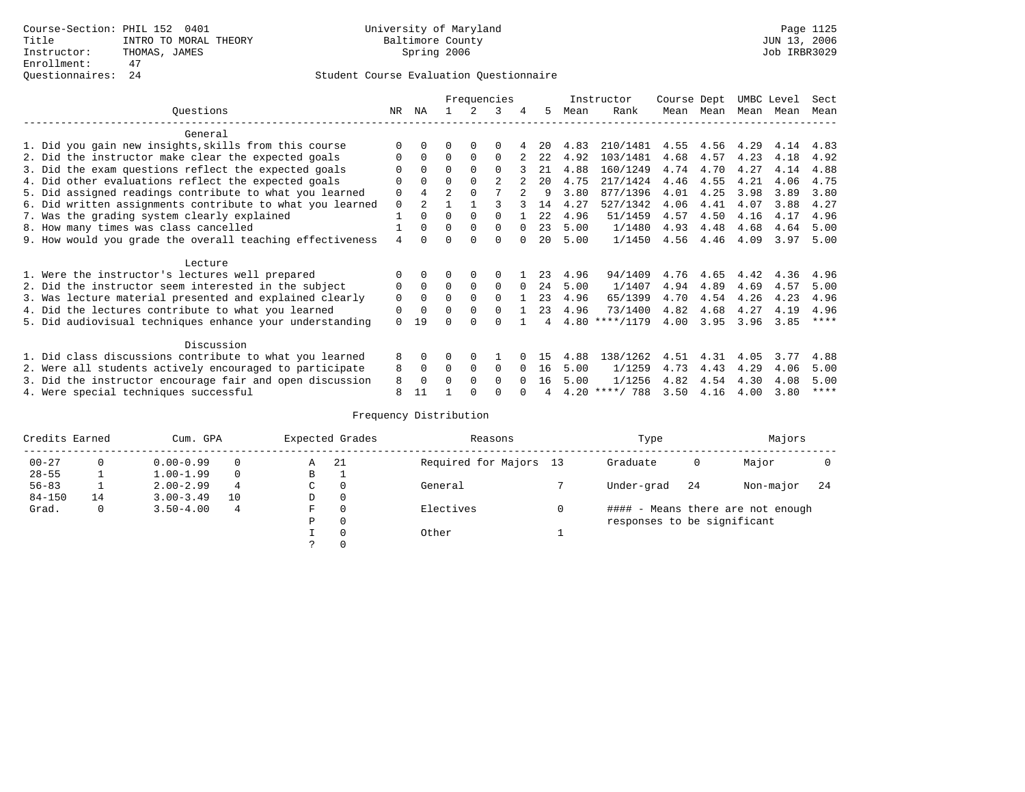|                                                           |             |                |                |          | Frequencies |                |      |      | Instructor       | Course Dept |           | UMBC Level |      | Sect        |
|-----------------------------------------------------------|-------------|----------------|----------------|----------|-------------|----------------|------|------|------------------|-------------|-----------|------------|------|-------------|
| Ouestions                                                 | NR.         | ΝA             |                |          | 3           | 4              | 5.   | Mean | Rank             |             | Mean Mean | Mean       | Mean | Mean        |
| General                                                   |             |                |                |          |             |                |      |      |                  |             |           |            |      |             |
| 1. Did you gain new insights, skills from this course     |             | $\Omega$       | 0              | $\Omega$ | $\Omega$    |                | 20   | 4.83 | 210/1481         | 4.55        | 4.56      | 4.29       | 4.14 | 4.83        |
| 2. Did the instructor make clear the expected goals       | O           | $\Omega$       | $\Omega$       | $\Omega$ | $\Omega$    |                | 22.2 | 4.92 | 103/1481         | 4.68        | 4.57      | 4.23       | 4.18 | 4.92        |
| 3. Did the exam questions reflect the expected goals      |             | $\Omega$       | $\Omega$       | $\Omega$ | $\Omega$    |                | 21   | 4.88 | 160/1249         | 4.74        | 4.70      | 4.27       | 4.14 | 4.88        |
| 4. Did other evaluations reflect the expected goals       | O           | $\Omega$       | $\Omega$       | $\Omega$ |             |                | 20   | 4.75 | 217/1424         | 4.46        | 4.55      | 4.21       | 4.06 | 4.75        |
| 5. Did assigned readings contribute to what you learned   | $\mathbf 0$ | 4              | $\mathfrak{D}$ | $\Omega$ |             | $\overline{2}$ | 9    | 3.80 | 877/1396         | 4.01        | 4.25      | 3.98       | 3.89 | 3.80        |
| 6. Did written assignments contribute to what you learned | $\Omega$    | $\mathfrak{D}$ |                |          |             |                | 14   | 4.27 | 527/1342         | 4.06        | 4.41      | 4.07       | 3.88 | 4.27        |
| 7. Was the grading system clearly explained               |             | $\Omega$       | $\Omega$       | $\Omega$ | $\cap$      |                | 2.2. | 4.96 | 51/1459          | 4.57        | 4.50      | 4.16       | 4.17 | 4.96        |
| 8. How many times was class cancelled                     |             | $\Omega$       | $\Omega$       | $\Omega$ | $\Omega$    | $\Omega$       | 23   | 5.00 | 1/1480           | 4.93        | 4.48      | 4.68       | 4.64 | 5.00        |
| 9. How would you grade the overall teaching effectiveness | 4           | <sup>n</sup>   | ∩              | ∩        | $\cap$      | $\cap$         | 20   | 5.00 | 1/1450           | 4.56        | 4.46      | 4.09       | 3.97 | 5.00        |
| Lecture                                                   |             |                |                |          |             |                |      |      |                  |             |           |            |      |             |
| 1. Were the instructor's lectures well prepared           | $\Omega$    |                |                | $\Omega$ | $\Omega$    |                | 23   | 4.96 | 94/1409          | 4.76        | 4.65      | 4.42       | 4.36 | 4.96        |
| 2. Did the instructor seem interested in the subject      | 0           | $\Omega$       | $\Omega$       | $\Omega$ | $\Omega$    | $\Omega$       | 24   | 5.00 | 1/1407           | 4.94        | 4.89      | 4.69       | 4.57 | 5.00        |
| 3. Was lecture material presented and explained clearly   | 0           | $\Omega$       | $\Omega$       | $\Omega$ | $\Omega$    |                | 23   | 4.96 | 65/1399          | 4.70        | 4.54      | 4.26       | 4.23 | 4.96        |
| 4. Did the lectures contribute to what you learned        | 0           | $\Omega$       | 0              | $\Omega$ | $\Omega$    |                | 23   | 4.96 | 73/1400          | 4.82        | 4.68      | 4.27       | 4.19 | 4.96        |
| 5. Did audiovisual techniques enhance your understanding  | $\Omega$    | 19             |                |          |             |                |      | 4.80 | $***/1179$       | 4.00        | 3.95      | 3.96       | 3.85 | ****        |
| Discussion                                                |             |                |                |          |             |                |      |      |                  |             |           |            |      |             |
| 1. Did class discussions contribute to what you learned   | 8           | $\Omega$       | 0              | $\Omega$ |             |                | 15   | 4.88 | 138/1262         | 4.51        | 4.31      | 4.05       | 3.77 | 4.88        |
| 2. Were all students actively encouraged to participate   | 8           | $\Omega$       | $\Omega$       | $\Omega$ | $\Omega$    | $\Omega$       | 16   | 5.00 | 1/1259           | 4.73        | 4.43      | 4.29       | 4.06 | 5.00        |
| 3. Did the instructor encourage fair and open discussion  | 8           | $\Omega$       | O              | $\Omega$ | $\Omega$    | $\cap$         | 16   | 5.00 | 1/1256           | 4.82        | 4.54      | 4.30       | 4.08 | 5.00        |
| 4. Were special techniques successful                     | 8           | 11             |                |          |             |                |      |      | $4.20$ ****/ 788 | 3.50        | 4.16      | 4.00       | 3.80 | $***$ * * * |

| Credits Earned |          | Cum. GPA      |    |   | Expected Grades | Reasons                | Type                        |     | Majors                            |     |
|----------------|----------|---------------|----|---|-----------------|------------------------|-----------------------------|-----|-----------------------------------|-----|
| $00 - 27$      | $\Omega$ | $0.00 - 0.99$ |    | Α | -21             | Required for Majors 13 | Graduate                    | 0   | Major                             |     |
| $28 - 55$      |          | $1.00 - 1.99$ |    | B | <b>.</b>        |                        |                             |     |                                   |     |
| $56 - 83$      |          | $2.00 - 2.99$ | 4  | C | 0               | General                | Under-grad                  | -24 | Non-major                         | -24 |
| $84 - 150$     | 14       | $3.00 - 3.49$ | 10 | D | 0               |                        |                             |     |                                   |     |
| Grad.          | 0        | $3.50 - 4.00$ | 4  | F | 0               | Electives              |                             |     | #### - Means there are not enough |     |
|                |          |               |    | Ρ | 0               |                        | responses to be significant |     |                                   |     |
|                |          |               |    |   | $\Omega$        | Other                  |                             |     |                                   |     |
|                |          |               |    |   |                 |                        |                             |     |                                   |     |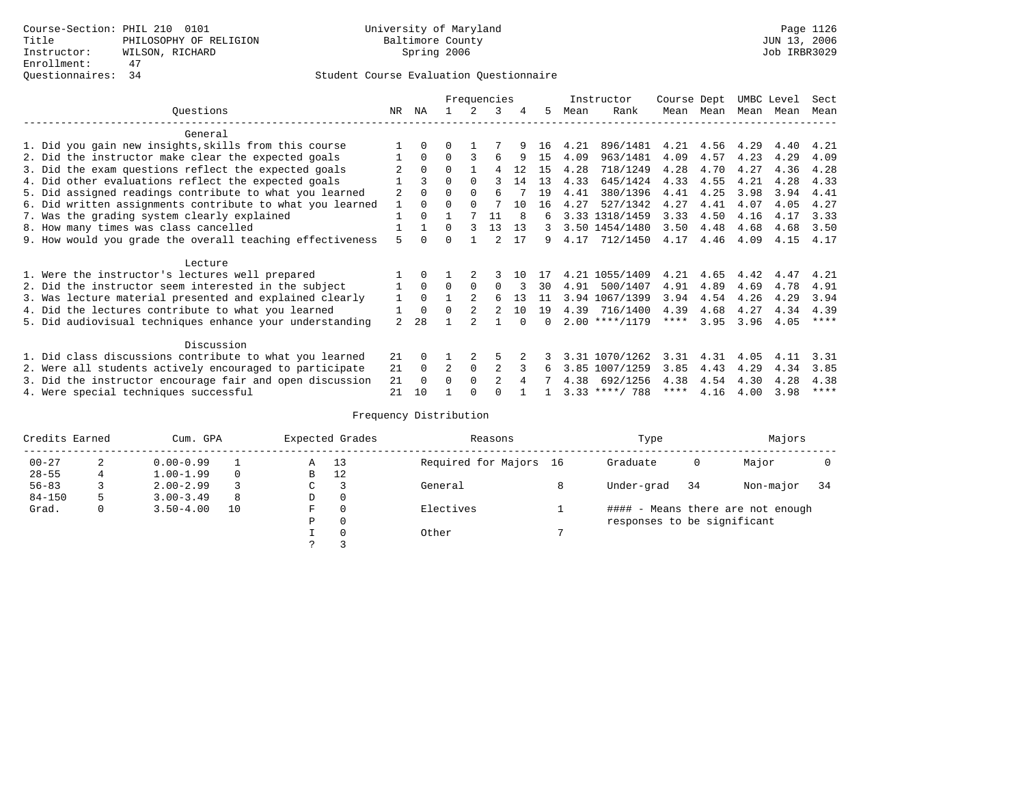|                                                           | Frequencies    |          |          |          | Instructor     | Course Dept |    |      | UMBC Level       | Sect |           |           |      |             |
|-----------------------------------------------------------|----------------|----------|----------|----------|----------------|-------------|----|------|------------------|------|-----------|-----------|------|-------------|
| Ouestions                                                 | NR.            | ΝA       |          |          | 3              | 4           | 5. | Mean | Rank             |      | Mean Mean | Mean Mean |      | Mean        |
| General                                                   |                |          |          |          |                |             |    |      |                  |      |           |           |      |             |
| 1. Did you gain new insights, skills from this course     |                |          |          |          |                |             | 16 | 4.21 | 896/1481         | 4.21 | 4.56      | 4.29      | 4.40 | 4.21        |
| 2. Did the instructor make clear the expected goals       |                | $\Omega$ | $\Omega$ | 3        | 6              | 9           | 15 | 4.09 | 963/1481         | 4.09 | 4.57      | 4.23      | 4.29 | 4.09        |
| 3. Did the exam questions reflect the expected goals      |                | $\Omega$ | $\Omega$ |          |                | 12          | 15 | 4.28 | 718/1249         | 4.28 | 4.70      | 4.27      | 4.36 | 4.28        |
| 4. Did other evaluations reflect the expected goals       |                |          | $\Omega$ | $\cap$   |                | 14          | 13 | 4.33 | 645/1424         | 4.33 | 4.55      | 4.21      | 4.28 | 4.33        |
| 5. Did assigned readings contribute to what you learned   | $\overline{2}$ |          | $\Omega$ | $\Omega$ | б              |             | 19 | 4.41 | 380/1396         | 4.41 | 4.25      | 3.98      | 3.94 | 4.41        |
| 6. Did written assignments contribute to what you learned |                | $\Omega$ | $\Omega$ |          |                | 10          | 16 | 4.27 | 527/1342         | 4.27 | 4.41      | 4.07      | 4.05 | 4.27        |
| 7. Was the grading system clearly explained               |                | $\Omega$ |          |          | 11             | 8           | 6  | 3.33 | 1318/1459        | 3.33 | 4.50      | 4.16      | 4.17 | 3.33        |
| 8. How many times was class cancelled                     |                |          | $\Omega$ | २        | 13             | 13          | 3  |      | 3.50 1454/1480   | 3.50 | 4.48      | 4.68      | 4.68 | 3.50        |
| 9. How would you grade the overall teaching effectiveness | 5              |          |          |          |                | 17          | 9  | 4.17 | 712/1450         | 4.17 | 4.46      | 4.09      | 4.15 | 4.17        |
| Lecture                                                   |                |          |          |          |                |             |    |      |                  |      |           |           |      |             |
| 1. Were the instructor's lectures well prepared           |                | $\Omega$ |          |          |                |             |    |      | 4.21 1055/1409   | 4.21 | 4.65      | 4.42      | 4.47 | 4.21        |
| 2. Did the instructor seem interested in the subject      |                | $\Omega$ | $\Omega$ |          | O              |             | 30 | 4.91 | 500/1407         | 4.91 | 4.89      | 4.69      | 4.78 | 4.91        |
| 3. Was lecture material presented and explained clearly   | 1              | $\Omega$ |          |          |                | 13          | 11 | 3.94 | 1067/1399        | 3.94 | 4.54      | 4.26      | 4.29 | 3.94        |
| 4. Did the lectures contribute to what you learned        |                | $\Omega$ | $\Omega$ |          |                | 1 O         | 19 | 4.39 | 716/1400         | 4.39 | 4.68      | 4.27      | 4.34 | 4.39        |
| 5. Did audiovisual techniques enhance your understanding  | $\mathfrak{D}$ | 28       |          |          |                |             |    |      | $2.00$ ****/1179 | **** | 3.95      | 3.96      | 4.05 | $***$ * * * |
| Discussion                                                |                |          |          |          |                |             |    |      |                  |      |           |           |      |             |
| 1. Did class discussions contribute to what you learned   | 21             | $\Omega$ |          |          |                |             |    |      | 3.31 1070/1262   | 3.31 | 4.31      | 4.05      | 4.11 | 3.31        |
| 2. Were all students actively encouraged to participate   |                | $\Omega$ | 2        | $\Omega$ |                |             | 6  | 3.85 | 1007/1259        | 3.85 | 4.43      | 4.29      | 4.34 | 3.85        |
| 3. Did the instructor encourage fair and open discussion  | 21             | $\Omega$ | $\Omega$ | $\Omega$ | $\mathfrak{D}$ |             |    | 4.38 | 692/1256         | 4.38 | 4.54      | 4.30      | 4.28 | 4.38        |
| 4. Were special techniques successful                     | 21             | 10       |          |          |                |             |    |      | $3.33$ ****/ 788 | **** | 4.16      | 4.00      | 3.98 | $***$ * * * |

| Credits Earned |   | Cum. GPA      |    |               | Expected Grades | Reasons                | Type                        |    | Majors                            |     |
|----------------|---|---------------|----|---------------|-----------------|------------------------|-----------------------------|----|-----------------------------------|-----|
| $00 - 27$      | 2 | $0.00 - 0.99$ |    | A             | 13              | Required for Majors 16 | Graduate                    | 0  | Major                             |     |
| $28 - 55$      | 4 | $1.00 - 1.99$ |    | B             | 12              |                        |                             |    |                                   |     |
| $56 - 83$      |   | $2.00 - 2.99$ |    | $\sim$<br>◡   |                 | General                | Under-grad                  | 34 | Non-major                         | -34 |
| $84 - 150$     | 5 | $3.00 - 3.49$ | 8  | D             | 0               |                        |                             |    |                                   |     |
| Grad.          | 0 | $3.50 - 4.00$ | 10 | F             | 0               | Electives              |                             |    | #### - Means there are not enough |     |
|                |   |               |    | Ρ             | 0               |                        | responses to be significant |    |                                   |     |
|                |   |               |    |               | 0               | Other                  |                             |    |                                   |     |
|                |   |               |    | $\mathcal{D}$ |                 |                        |                             |    |                                   |     |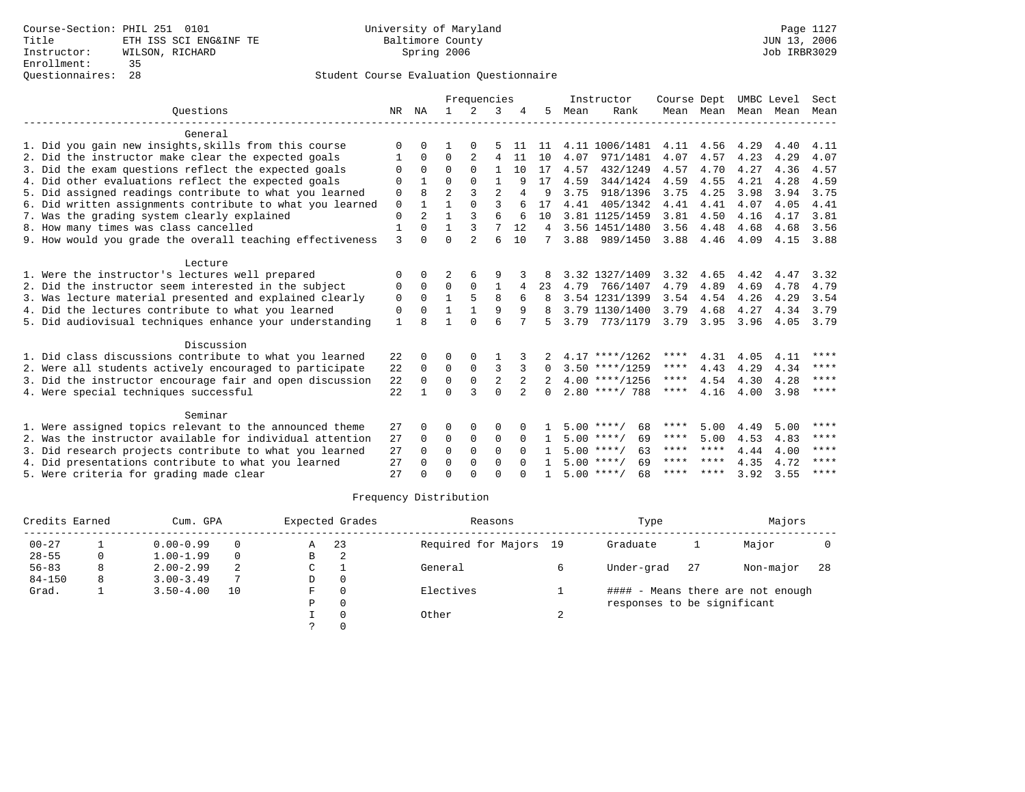|                                                           | Frequencies |          |                |                |                | Instructor | Course Dept |      |                    | UMBC Level | Sect      |      |      |             |
|-----------------------------------------------------------|-------------|----------|----------------|----------------|----------------|------------|-------------|------|--------------------|------------|-----------|------|------|-------------|
| Ouestions                                                 | NR          | NA       | $\mathbf{1}$   | 2              | 3              |            | 5           | Mean | Rank               |            | Mean Mean | Mean | Mean | Mean        |
| General                                                   |             |          |                |                |                |            |             |      |                    |            |           |      |      |             |
| 1. Did you gain new insights, skills from this course     | $\Omega$    |          |                |                |                |            | 11          |      | 4.11 1006/1481     | 4.11       | 4.56      | 4.29 | 4.40 | 4.11        |
| 2. Did the instructor make clear the expected goals       |             | $\Omega$ | $\Omega$       | 2              | 4              | 11         | 10          | 4.07 | 971/1481           | 4.07       | 4.57      | 4.23 | 4.29 | 4.07        |
| 3. Did the exam questions reflect the expected goals      | $\Omega$    | $\Omega$ | $\Omega$       |                |                | 10         | -17         | 4.57 | 432/1249           | 4.57       | 4.70      | 4.27 | 4.36 | 4.57        |
| 4. Did other evaluations reflect the expected goals       | $\Omega$    |          | $\Omega$       | $\cap$         |                |            | 17          | 4.59 | 344/1424           | 4.59       | 4.55      | 4.21 | 4.28 | 4.59        |
| 5. Did assigned readings contribute to what you learned   | $\mathbf 0$ | 8        | $\overline{a}$ | 3              | $\overline{2}$ | 4          | 9           | 3.75 | 918/1396           | 3.75       | 4.25      | 3.98 | 3.94 | 3.75        |
| 6. Did written assignments contribute to what you learned | $\mathbf 0$ |          |                | $\Omega$       | ζ              |            | 17          | 4.41 | 405/1342           | 4.41       | 4.41      | 4.07 | 4.05 | 4.41        |
| 7. Was the grading system clearly explained               | $\mathbf 0$ | 2        |                | 3              |                |            | 10          |      | 3.81 1125/1459     | 3.81       | 4.50      | 4.16 | 4.17 | 3.81        |
| 8. How many times was class cancelled                     | 1           | $\Omega$ |                | 3              |                | 12         | 4           |      | 3.56 1451/1480     | 3.56       | 4.48      | 4.68 | 4.68 | 3.56        |
| 9. How would you grade the overall teaching effectiveness | 3           | $\Omega$ | $\Omega$       | $\mathfrak{D}$ | 6              | 10         |             | 3.88 | 989/1450           | 3.88       | 4.46      | 4.09 | 4.15 | 3.88        |
| Lecture                                                   |             |          |                |                |                |            |             |      |                    |            |           |      |      |             |
| 1. Were the instructor's lectures well prepared           |             |          |                |                |                |            |             |      | 3.32 1327/1409     | 3.32       | 4.65      | 4.42 | 4.47 | 3.32        |
| 2. Did the instructor seem interested in the subject      | 0           | $\Omega$ | $\Omega$       | $\Omega$       | $\mathbf{1}$   |            | 23          | 4.79 | 766/1407           | 4.79       | 4.89      | 4.69 | 4.78 | 4.79        |
| 3. Was lecture material presented and explained clearly   | $\Omega$    | $\Omega$ |                | 5              | 8              | 6          | 8           |      | 3.54 1231/1399     | 3.54       | 4.54      | 4.26 | 4.29 | 3.54        |
| 4. Did the lectures contribute to what you learned        | 0           | $\Omega$ |                |                | 9              | 9          |             |      | 3.79 1130/1400     | 3.79       | 4.68      | 4.27 | 4.34 | 3.79        |
| 5. Did audiovisual techniques enhance your understanding  | 1           |          |                | $\cap$         |                |            | 5           | 3.79 | 773/1179           | 3.79       | 3.95      | 3.96 | 4.05 | 3.79        |
| Discussion                                                |             |          |                |                |                |            |             |      |                    |            |           |      |      |             |
| 1. Did class discussions contribute to what you learned   | 22          |          | ∩              |                |                |            |             |      | $4.17$ ****/1262   | ****       | 4.31      | 4.05 | 4.11 | ****        |
| 2. Were all students actively encouraged to participate   | 22          | $\Omega$ | $\Omega$       | $\Omega$       | ζ              |            | $\Omega$    |      | $3.50$ ****/1259   | $***$ * *  | 4.43      | 4.29 | 4.34 | ****        |
| 3. Did the instructor encourage fair and open discussion  | 22          | $\Omega$ | $\Omega$       | $\Omega$       | $\overline{a}$ | 2          | 2           |      | $4.00$ ****/1256   | ****       | 4.54      | 4.30 | 4.28 | ****        |
| 4. Were special techniques successful                     | 22          |          | $\Omega$       | 3              | $\Omega$       | 2          | $\Omega$    |      | $2.80$ ****/ 788   | ****       | 4.16      | 4.00 | 3.98 | $***$ * * * |
| Seminar                                                   |             |          |                |                |                |            |             |      |                    |            |           |      |      |             |
| 1. Were assigned topics relevant to the announced theme   | 27          |          | ∩              | $\Omega$       | $\Omega$       |            |             |      | $5.00$ ****/<br>68 | ****       | 5.00      | 4.49 | 5.00 | ****        |
| 2. Was the instructor available for individual attention  | 27          | $\Omega$ | 0              | 0              | 0              |            |             |      | $5.00$ ****/<br>69 | ****       | 5.00      | 4.53 | 4.83 | ****        |
| 3. Did research projects contribute to what you learned   | 27          | $\Omega$ | $\Omega$       | $\Omega$       | $\Omega$       | $\Omega$   |             |      | $5.00$ ****/<br>63 | ****       | ****      | 4.44 | 4.00 | $* * * *$   |
| 4. Did presentations contribute to what you learned       | 27          | $\Omega$ | $\Omega$       | $\Omega$       | $\Omega$       |            |             |      | $5.00$ ****/<br>69 | ****       | ****      | 4.35 | 4.72 | ****        |
| 5. Were criteria for grading made clear                   | 27          |          | ∩              | $\cap$         | $\cap$         |            |             |      | $5.00$ ****/<br>68 | ****       | * * * *   | 3.92 | 3.55 | $***$ * * * |

| Credits Earned |   | Cum. GPA      |          |   | Expected Grades | Reasons                |  | Type                        |     | Majors                            |     |
|----------------|---|---------------|----------|---|-----------------|------------------------|--|-----------------------------|-----|-----------------------------------|-----|
| $00 - 27$      |   | $0.00 - 0.99$ | $\Omega$ | Α | -23             | Required for Majors 19 |  | Graduate                    |     | Major                             |     |
| $28 - 55$      | 0 | $1.00 - 1.99$ | $\Omega$ | B | 2               |                        |  |                             |     |                                   |     |
| $56 - 83$      | 8 | $2.00 - 2.99$ | -2       | C |                 | General                |  | Under-grad                  | -27 | Non-major                         | -28 |
| $84 - 150$     | 8 | $3.00 - 3.49$ |          | D | $\circ$         |                        |  |                             |     |                                   |     |
| Grad.          |   | $3.50 - 4.00$ | 10       | F | 0               | Electives              |  |                             |     | #### - Means there are not enough |     |
|                |   |               |          | Р | 0               |                        |  | responses to be significant |     |                                   |     |
|                |   |               |          |   | $\Omega$        | Other                  |  |                             |     |                                   |     |
|                |   |               |          |   |                 |                        |  |                             |     |                                   |     |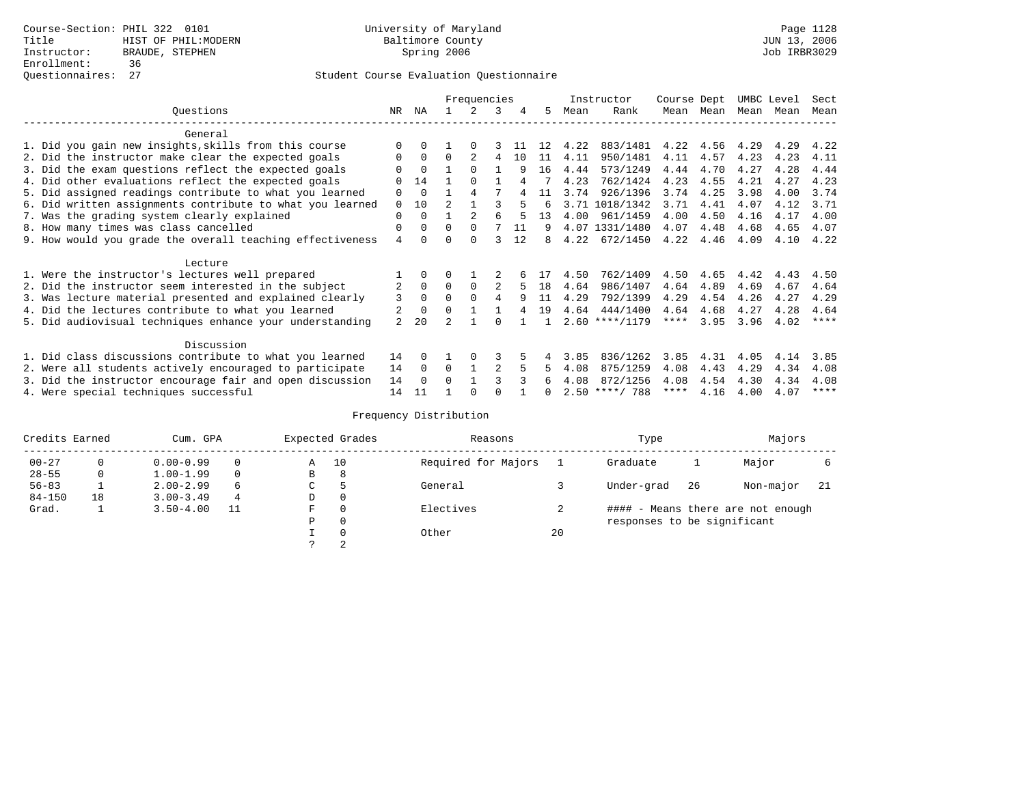# Questionnaires: 27 Student Course Evaluation Questionnaire

|                                                           | Frequencies    |             |                |          |                | Instructor | Course Dept  |      | UMBC Level       |           | Sect |      |      |             |
|-----------------------------------------------------------|----------------|-------------|----------------|----------|----------------|------------|--------------|------|------------------|-----------|------|------|------|-------------|
| Ouestions                                                 | NR.            | ΝA          |                |          | 3              | 4          | 5.           | Mean | Rank             | Mean      | Mean | Mean | Mean | Mean        |
| General                                                   |                |             |                |          |                |            |              |      |                  |           |      |      |      |             |
|                                                           |                |             |                |          |                |            |              |      |                  |           |      |      |      |             |
| 1. Did you gain new insights, skills from this course     | $\Omega$       | $\Omega$    |                | $\Omega$ |                |            | 12           | 4.22 | 883/1481         | 4.22      | 4.56 | 4.29 | 4.29 | 4.22        |
| 2. Did the instructor make clear the expected goals       | 0              | $\Omega$    | $\Omega$       |          | 4              | 10         | 11           | 4.11 | 950/1481         | 4.11      | 4.57 | 4.23 | 4.23 | 4.11        |
| 3. Did the exam questions reflect the expected goals      |                | $\Omega$    |                | $\Omega$ |                | 9          | 16           | 4.44 | 573/1249         | 4.44      | 4.70 | 4.27 | 4.28 | 4.44        |
| 4. Did other evaluations reflect the expected goals       | $\Omega$       | 14          |                | $\Omega$ |                |            |              | 4.23 | 762/1424         | 4.23      | 4.55 | 4.21 | 4.27 | 4.23        |
| 5. Did assigned readings contribute to what you learned   | 0              | $\Omega$    |                | 4        |                |            | 11           | 3.74 | 926/1396         | 3.74      | 4.25 | 3.98 | 4.00 | 3.74        |
| 6. Did written assignments contribute to what you learned | $\Omega$       | 10          | $\mathfrak{D}$ |          |                |            | 6            |      | 3.71 1018/1342   | 3.71      | 4.41 | 4.07 | 4.12 | 3.71        |
| 7. Was the grading system clearly explained               | $\Omega$       | $\Omega$    |                |          |                |            | 13           | 4.00 | 961/1459         | 4.00      | 4.50 | 4.16 | 4.17 | 4.00        |
| 8. How many times was class cancelled                     | 0              | $\Omega$    | $\Omega$       | $\Omega$ |                | 11         | 9            |      | 4.07 1331/1480   | 4.07      | 4.48 | 4.68 | 4.65 | 4.07        |
| 9. How would you grade the overall teaching effectiveness | $\overline{4}$ | $\cap$      | 0              | $\cap$   | ς              | 12         | 8            | 4.22 | 672/1450         | 4.22      | 4.46 | 4.09 | 4.10 | 4.22        |
|                                                           |                |             |                |          |                |            |              |      |                  |           |      |      |      |             |
| Lecture                                                   |                |             |                |          |                |            |              |      |                  |           |      |      |      |             |
| 1. Were the instructor's lectures well prepared           |                |             |                |          |                |            |              | 4.50 | 762/1409         | 4.50      | 4.65 | 4.42 | 4.43 | 4.50        |
| 2. Did the instructor seem interested in the subject      | 2              | $\Omega$    | $\Omega$       | $\Omega$ | $\overline{c}$ |            | 18           | 4.64 | 986/1407         | 4.64      | 4.89 | 4.69 | 4.67 | 4.64        |
| 3. Was lecture material presented and explained clearly   | 3              | $\Omega$    | $\Omega$       |          | 4              | q          | 11           | 4.29 | 792/1399         | 4.29      | 4.54 | 4.26 | 4.27 | 4.29        |
| 4. Did the lectures contribute to what you learned        |                | $\mathbf 0$ | $\Omega$       |          |                |            | 19           | 4.64 | 444/1400         | 4.64      | 4.68 | 4.27 | 4.28 | 4.64        |
| 5. Did audiovisual techniques enhance your understanding  | $\mathfrak{D}$ | 20          |                |          |                |            |              |      | $2.60$ ****/1179 | $***$ * * | 3.95 | 3.96 | 4.02 | $* * * * *$ |
|                                                           |                |             |                |          |                |            |              |      |                  |           |      |      |      |             |
| Discussion                                                |                |             |                |          |                |            |              |      |                  |           |      |      |      |             |
| 1. Did class discussions contribute to what you learned   | 14             | $\Omega$    |                | ∩        | κ              |            |              | 3.85 | 836/1262         | 3.85      | 4.31 | 4.05 | 4.14 | 3.85        |
| 2. Were all students actively encouraged to participate   |                | $\Omega$    | $\Omega$       |          |                |            | 5            | 4.08 | 875/1259         | 4.08      | 4.43 | 4.29 | 4.34 | 4.08        |
| 3. Did the instructor encourage fair and open discussion  | 14<br>14       | $\Omega$    | 0              |          |                |            | 6            | 4.08 | 872/1256         | 4.08      | 4.54 | 4.30 | 4.34 | 4.08        |
| 4. Were special techniques successful                     | 14             | 11          |                |          |                |            | <sup>n</sup> |      | $2.50$ ****/ 788 | ****      | 4.16 | 4.00 | 4.07 | $***$ * * * |

| Credits Earned |    | Cum. GPA      |    |   | Expected Grades | Reasons             |    | Type                        |    | Majors                            |     |
|----------------|----|---------------|----|---|-----------------|---------------------|----|-----------------------------|----|-----------------------------------|-----|
| $00 - 27$      | 0  | $0.00 - 0.99$ |    | Α | 10              | Required for Majors |    | Graduate                    |    | Major                             |     |
| $28 - 55$      | 0  | $1.00 - 1.99$ |    | B | 8               |                     |    |                             |    |                                   |     |
| $56 - 83$      |    | $2.00 - 2.99$ | 6  | C | 5               | General             |    | Under-grad                  | 26 | Non-major                         | -21 |
| $84 - 150$     | 18 | $3.00 - 3.49$ | 4  | D | 0               |                     |    |                             |    |                                   |     |
| Grad.          |    | $3.50 - 4.00$ | 11 | F | 0               | Electives           |    |                             |    | #### - Means there are not enough |     |
|                |    |               |    | Ρ | 0               |                     |    | responses to be significant |    |                                   |     |
|                |    |               |    |   | $\Omega$        | Other               | 20 |                             |    |                                   |     |
|                |    |               |    |   | 2               |                     |    |                             |    |                                   |     |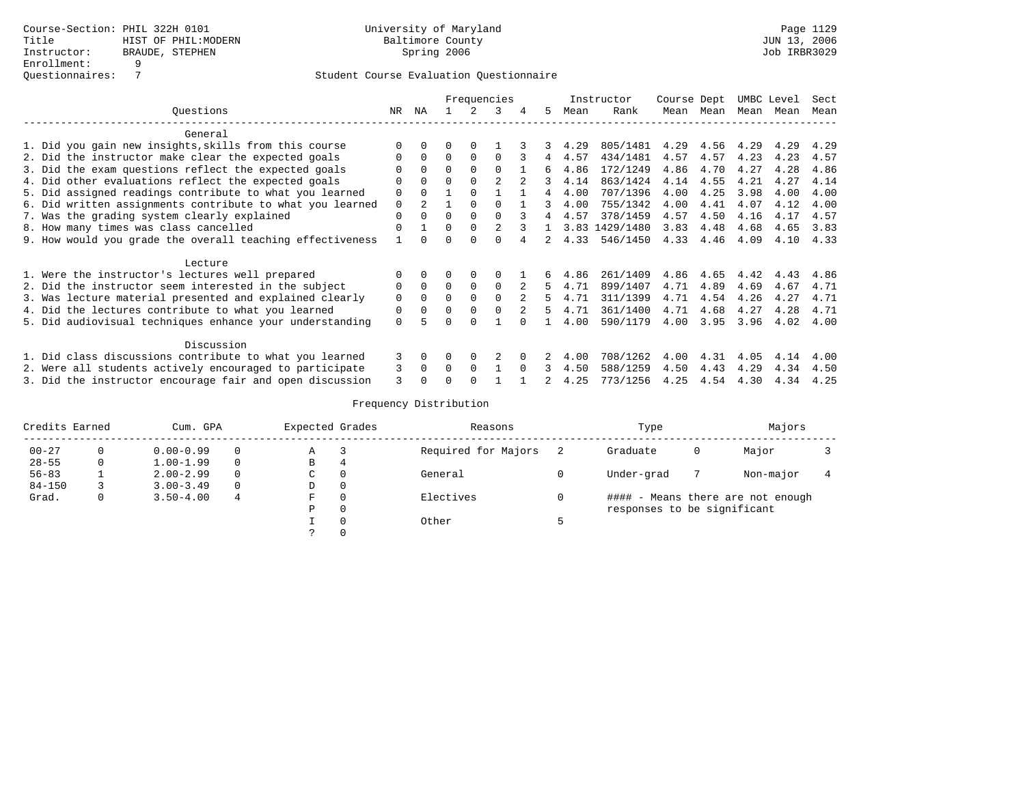|                                                           | Frequencies |          |          |          |              |   |                | Instructor | Course Dept    |      | UMBC Level |      | Sect |      |
|-----------------------------------------------------------|-------------|----------|----------|----------|--------------|---|----------------|------------|----------------|------|------------|------|------|------|
| Ouestions                                                 | NR          | ΝA       |          | 2        | 3            |   | 5.             | Mean       | Rank           | Mean | Mean       | Mean | Mean | Mean |
| General                                                   |             |          |          |          |              |   |                |            |                |      |            |      |      |      |
| 1. Did you gain new insights, skills from this course     |             |          |          |          |              |   |                | 4.29       | 805/1481       | 4.29 | 4.56       | 4.29 | 4.29 | 4.29 |
| 2. Did the instructor make clear the expected goals       |             |          | $\Omega$ |          |              |   | 4              | 4.57       | 434/1481       | 4.57 | 4.57       | 4.23 | 4.23 | 4.57 |
| 3. Did the exam questions reflect the expected goals      |             | $\Omega$ | $\Omega$ |          |              |   | б.             | 4.86       | 172/1249       | 4.86 | 4.70       | 4.27 | 4.28 | 4.86 |
| 4. Did other evaluations reflect the expected goals       |             |          |          |          |              |   |                | 4.14       | 863/1424       | 4.14 | 4.55       | 4.21 | 4.27 | 4.14 |
| 5. Did assigned readings contribute to what you learned   | $\Omega$    |          |          |          |              |   | 4              | 4.00       | 707/1396       | 4.00 | 4.25       | 3.98 | 4.00 | 4.00 |
| 6. Did written assignments contribute to what you learned | $\Omega$    |          |          |          |              |   | 3              | 4.00       | 755/1342       | 4.00 | 4.41       | 4.07 | 4.12 | 4.00 |
| 7. Was the grading system clearly explained               | $\Omega$    | $\Omega$ | $\Omega$ | $\Omega$ |              |   | $\overline{4}$ | 4.57       | 378/1459       | 4.57 | 4.50       | 4.16 | 4.17 | 4.57 |
| 8. How many times was class cancelled                     | ∩           |          | $\Omega$ | $\Omega$ |              |   |                |            | 3.83 1429/1480 | 3.83 | 4.48       | 4.68 | 4.65 | 3.83 |
| 9. How would you grade the overall teaching effectiveness |             | $\cap$   | $\cap$   | $\cap$   | <sup>n</sup> |   | $2^{\circ}$    | 4.33       | 546/1450       | 4.33 | 4.46       | 4.09 | 4.10 | 4.33 |
| Lecture                                                   |             |          |          |          |              |   |                |            |                |      |            |      |      |      |
| 1. Were the instructor's lectures well prepared           |             |          |          | 0        |              |   | 6              | 4.86       | 261/1409       | 4.86 | 4.65       | 4.42 | 4.43 | 4.86 |
| 2. Did the instructor seem interested in the subject      | $\Omega$    | $\Omega$ | $\Omega$ | $\Omega$ | $\Omega$     |   | 5.             | 4.71       | 899/1407       | 4.71 | 4.89       | 4.69 | 4.67 | 4.71 |
| 3. Was lecture material presented and explained clearly   | $\Omega$    | $\cap$   | $\Omega$ | $\cap$   | $\cap$       |   | 5              | 4.71       | 311/1399       | 4.71 | 4.54       | 4.26 | 4.27 | 4.71 |
| 4. Did the lectures contribute to what you learned        | $\Omega$    | $\Omega$ | $\Omega$ | $\Omega$ | $\Omega$     | 2 | 5.             | 4.71       | 361/1400       | 4.71 | 4.68       | 4.27 | 4.28 | 4.71 |
| 5. Did audiovisual techniques enhance your understanding  | $\Omega$    |          | ∩        |          |              |   |                | 4.00       | 590/1179       | 4.00 | 3.95       | 3.96 | 4.02 | 4.00 |
| Discussion                                                |             |          |          |          |              |   |                |            |                |      |            |      |      |      |
| 1. Did class discussions contribute to what you learned   | 3           | $\Omega$ | $\Omega$ | $\Omega$ |              |   | 2              | 4.00       | 708/1262       | 4.00 | 4.31       | 4.05 | 4.14 | 4.00 |
| 2. Were all students actively encouraged to participate   | 3           | $\Omega$ | $\Omega$ | $\Omega$ |              |   | 3              | 4.50       | 588/1259       | 4.50 | 4.43       | 4.29 | 4.34 | 4.50 |
| 3. Did the instructor encourage fair and open discussion  | 3           |          |          |          |              |   |                | 4.25       | 773/1256       | 4.25 | 4.54       | 4.30 | 4.34 | 4.25 |

| Credits Earned |   | Cum. GPA      |          | Expected Grades | Reasons             | Type                        |   | Majors                            |  |
|----------------|---|---------------|----------|-----------------|---------------------|-----------------------------|---|-----------------------------------|--|
| $00 - 27$      |   | $0.00 - 0.99$ | 0        | Α               | Required for Majors | Graduate                    | 0 | Major                             |  |
| $28 - 55$      | 0 | $1.00 - 1.99$ | $\Omega$ | B               |                     |                             |   |                                   |  |
| $56 - 83$      |   | $2.00 - 2.99$ | $\Omega$ | C               | General             | Under-grad                  |   | Non-major                         |  |
| $84 - 150$     |   | $3.00 - 3.49$ | 0        | D               |                     |                             |   |                                   |  |
| Grad.          |   | $3.50 - 4.00$ | 4        | F               | Electives           |                             |   | #### - Means there are not enough |  |
|                |   |               |          | D               |                     | responses to be significant |   |                                   |  |
|                |   |               |          |                 | Other               |                             |   |                                   |  |
|                |   |               |          |                 |                     |                             |   |                                   |  |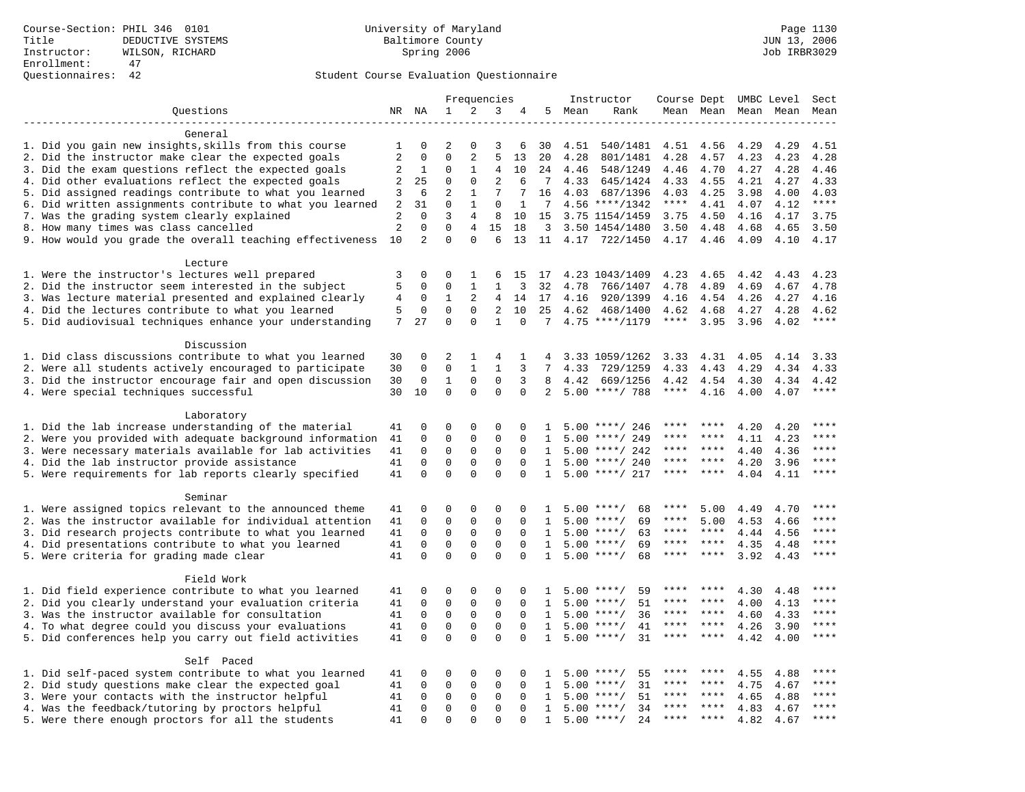|                                                                                                |                |                  |                            |                | Frequencies                |                      |                   |        | Instructor                               | Course Dept UMBC Level |                     |              |              | Sect        |
|------------------------------------------------------------------------------------------------|----------------|------------------|----------------------------|----------------|----------------------------|----------------------|-------------------|--------|------------------------------------------|------------------------|---------------------|--------------|--------------|-------------|
| Questions                                                                                      |                | NR NA            | 1                          | 2              | 3                          | 4                    |                   | 5 Mean | Rank                                     |                        | Mean Mean Mean Mean |              |              | Mean        |
|                                                                                                |                |                  |                            |                |                            |                      |                   |        |                                          |                        |                     |              |              |             |
| General                                                                                        |                |                  |                            |                |                            |                      |                   |        |                                          |                        |                     |              |              |             |
| 1. Did you gain new insights, skills from this course                                          | 1              | 0                | 2                          | $\Omega$       | 3                          | 6                    | 30                | 4.51   | 540/1481                                 | 4.51                   | 4.56                | 4.29         | 4.29         | 4.51        |
| 2. Did the instructor make clear the expected goals                                            | $\overline{a}$ | $\mathbf 0$      | $\Omega$                   | 2              | 5                          | 13                   | 20                | 4.28   | 801/1481                                 | 4.28                   | 4.57                | 4.23         | 4.23         | 4.28        |
| 3. Did the exam questions reflect the expected goals                                           | 2              | 1                | $\Omega$                   | $\mathbf{1}$   | 4                          | 10                   | 24                | 4.46   | 548/1249                                 | 4.46                   | 4.70                | 4.27         | 4.28         | 4.46        |
| 4. Did other evaluations reflect the expected goals                                            | 2              | 25               | $\Omega$                   | $\Omega$       | 2                          | 6                    | 7                 | 4.33   | 645/1424                                 | 4.33                   | 4.55                | 4.21         | 4.27         | 4.33        |
| 5. Did assigned readings contribute to what you learned                                        | 3              | 6                | $\overline{2}$             | $\mathbf{1}$   | 7                          | 7                    | 16                | 4.03   | 687/1396                                 | 4.03                   | 4.25                | 3.98         | 4.00         | 4.03        |
| 6. Did written assignments contribute to what you learned                                      | 2              | 31               | $\mathbf 0$                | $\mathbf{1}$   | 0                          | 1                    | 7                 |        | $4.56$ ****/1342                         | $***$ * * *            | 4.41                | 4.07         | 4.12         | $***$       |
| 7. Was the grading system clearly explained                                                    | 2              | $\Omega$         | 3                          | $\overline{4}$ | 8                          | 10                   | 15                |        | 3.75 1154/1459                           | 3.75                   | 4.50                | 4.16         | 4.17         | 3.75        |
| 8. How many times was class cancelled                                                          | $\overline{c}$ | $\mathbf 0$      | $\Omega$<br>$\Omega$       | 4              | 15<br>6                    | 18                   | 3                 |        | 3.50 1454/1480                           | 3.50                   | 4.48                | 4.68         | 4.65         | 3.50        |
| 9. How would you grade the overall teaching effectiveness                                      | 10             | 2                |                            | $\Omega$       |                            | 13                   |                   |        | 11 4.17 722/1450                         | 4.17                   | 4.46                | 4.09         | 4.10         | 4.17        |
| Lecture                                                                                        |                |                  |                            |                |                            |                      |                   |        |                                          |                        |                     |              |              |             |
| 1. Were the instructor's lectures well prepared                                                | 3              | $\mathbf 0$      | 0                          | 1              | 6                          |                      | 15 17             |        | 4.23 1043/1409                           | 4.23                   | 4.65                | 4.42         | 4.43         | 4.23        |
| 2. Did the instructor seem interested in the subject                                           | 5              | 0                | 0                          | 1              | 1                          | 3                    | 32                | 4.78   | 766/1407                                 | 4.78                   | 4.89                | 4.69         | 4.67         | 4.78        |
| 3. Was lecture material presented and explained clearly                                        | 4              | 0                | 1                          | 2              | 4                          | 14                   | 17                | 4.16   | 920/1399                                 | 4.16                   | 4.54                | 4.26         | 4.27         | 4.16        |
| 4. Did the lectures contribute to what you learned                                             | 5              | 0                | $\Omega$                   | $\Omega$       | 2                          | 10                   | 25                | 4.62   | 468/1400                                 | 4.62                   | 4.68                | 4.27         | 4.28         | 4.62        |
| 5. Did audiovisual techniques enhance your understanding                                       | 7              | 27               | $\Omega$                   | $\Omega$       | $\mathbf{1}$               | $\Omega$             | 7                 |        | $4.75$ ****/1179                         | $***$ * * *            | 3.95                | 3.96         | 4.02         | $***$       |
|                                                                                                |                |                  |                            |                |                            |                      |                   |        |                                          |                        |                     |              |              |             |
| Discussion                                                                                     |                |                  |                            |                |                            |                      |                   |        |                                          |                        |                     |              |              |             |
| 1. Did class discussions contribute to what you learned                                        | 30             | 0                | $\overline{2}$             | 1              | 4                          | 1                    | 4                 |        | 3.33 1059/1262                           | 3.33                   | 4.31                | 4.05         | 4.14         | 3.33        |
| 2. Were all students actively encouraged to participate                                        | 30             | 0                | $\mathbf 0$                | $\mathbf{1}$   | $\mathbf{1}$               | 3                    | 7                 | 4.33   | 729/1259                                 | 4.33                   | 4.43                | 4.29         | 4.34         | 4.33        |
| 3. Did the instructor encourage fair and open discussion                                       | 30             | 0                | 1                          | 0              | $\mathbf 0$                | 3                    | 8                 | 4.42   | 669/1256                                 | 4.42                   | 4.54                | 4.30         | 4.34         | 4.42        |
| 4. Were special techniques successful                                                          | 30             | 10               | $\mathbf 0$                | $\Omega$       | $\Omega$                   | $\Omega$             | $\overline{2}$    |        | $5.00$ ****/ 788                         | ****                   | 4.16                | 4.00         | 4.07         | $***$       |
|                                                                                                |                |                  |                            |                |                            |                      |                   |        |                                          |                        |                     |              |              |             |
| Laboratory                                                                                     |                |                  |                            |                |                            |                      |                   |        |                                          |                        |                     |              |              |             |
| 1. Did the lab increase understanding of the material                                          | 41             | 0                | 0                          | $\mathbf 0$    | $\Omega$                   | 0                    | $\mathbf{1}$      |        | $5.00$ ****/ 246                         |                        |                     | 4.20         | 4.20         |             |
| 2. Were you provided with adequate background information                                      | 41             | 0                | $\mathbf 0$                | $\mathbf{0}$   | $\mathbf 0$                | 0                    | 1                 | 5.00   | ****/ 249                                | ****                   | ****                | 4.11         | 4.23         | ****        |
| 3. Were necessary materials available for lab activities                                       | 41             | 0                | 0                          | 0              | 0                          | $\Omega$             | $\mathbf{1}$      |        | $5.00$ ****/ 242                         | ****                   | ****                | 4.40         | 4.36         | $***$       |
| 4. Did the lab instructor provide assistance                                                   | 41             | $\Omega$         | $\mathbf 0$                | 0              | $\mathbf 0$                | $\Omega$             | $\mathbf{1}$      |        | $5.00$ ****/ 240                         | ****                   | ****                | 4.20         | 3.96         | $***$       |
| 5. Were requirements for lab reports clearly specified                                         | 41             | $\Omega$         | $\Omega$                   | $\Omega$       | $\Omega$                   | $\Omega$             | $\mathbf{1}$      |        | $5.00$ ****/ 217                         | ****                   | ****                | 4.04         | 4.11         | ****        |
|                                                                                                |                |                  |                            |                |                            |                      |                   |        |                                          |                        |                     |              |              |             |
| Seminar                                                                                        |                |                  |                            |                |                            |                      |                   |        |                                          |                        |                     |              |              | ****        |
| 1. Were assigned topics relevant to the announced theme                                        | 41             | 0                | 0                          | 0              | $\mathbf 0$                | 0                    | 1                 |        | $5.00$ ****/<br>68<br>$5.00$ ****/       | ****<br>$***$ * *      | 5.00                | 4.49         | 4.70         |             |
| 2. Was the instructor available for individual attention                                       | 41             | $\mathsf 0$      | $\mathbf 0$                | $\mathsf 0$    | $\mathbf 0$                | 0                    | 1                 |        | 69                                       | ****                   | 5.00<br>****        | 4.53         | 4.66         | ****        |
| 3. Did research projects contribute to what you learned                                        | 41<br>41       | 0<br>$\mathbf 0$ | $\mathbf 0$<br>$\mathbf 0$ | 0<br>0         | $\mathbf 0$<br>$\mathbf 0$ | $\Omega$<br>$\Omega$ | 1<br>$\mathbf{1}$ |        | $5.00$ ****/<br>63<br>$5.00$ ****/<br>69 | ****                   | $***$ *             | 4.44         | 4.56         | ****        |
| 4. Did presentations contribute to what you learned<br>5. Were criteria for grading made clear | 41             | $\Omega$         | $\Omega$                   | $\Omega$       | $\Omega$                   | $\Omega$             | $\mathbf{1}$      |        | $5.00$ ****/<br>68                       | ****                   | ****                | 4.35<br>3.92 | 4.48<br>4.43 | ****        |
|                                                                                                |                |                  |                            |                |                            |                      |                   |        |                                          |                        |                     |              |              |             |
| Field Work                                                                                     |                |                  |                            |                |                            |                      |                   |        |                                          |                        |                     |              |              |             |
| 1. Did field experience contribute to what you learned                                         | 41             | 0                | 0                          | 0              | 0                          | 0                    | п.                |        | $5.00$ ****/<br>59                       |                        |                     | 4.30         | 4.48         | ****        |
| 2. Did you clearly understand your evaluation criteria                                         | 41             | 0                | 0                          | 0              | 0                          | $\Omega$             | $\mathbf{1}$      | 5.00   | $***/$<br>51                             | ****                   | ****                | 4.00         | 4.13         | ****        |
| 3. Was the instructor available for consultation                                               | 41             | 0                | $\mathbf 0$                | $\mathbf{0}$   | $\mathbf 0$                | $\mathbf 0$          | $\mathbf{1}$      |        | $5.00$ ****/<br>36                       | ****                   | ****                | 4.60         | 4.33         | ****        |
| 4. To what degree could you discuss your evaluations                                           | 41             | $\mathbf 0$      | $\mathbf 0$                | $\mathbf 0$    | $\mathbf 0$                | $\Omega$             | $\mathbf{1}$      |        | $5.00$ ****/<br>41                       | ****                   | $***$ *             | 4.26         | 3.90         | $***$       |
| 5. Did conferences help you carry out field activities                                         | 41             | $\Omega$         | $\Omega$                   | $\Omega$       | $\Omega$                   | $\Omega$             | $\mathbf{1}$      | 5.00   | $***$ /<br>31                            | ****                   | ****                | 4.42         | 4.00         | $***$       |
|                                                                                                |                |                  |                            |                |                            |                      |                   |        |                                          |                        |                     |              |              |             |
| Self Paced                                                                                     |                |                  |                            |                |                            |                      |                   |        |                                          |                        |                     |              |              |             |
| 1. Did self-paced system contribute to what you learned                                        | 41             | 0                | 0                          | 0              | $\Omega$                   | 0                    | 1                 |        | $5.00$ ****/<br>55                       | ****                   |                     | 4.55         | 4.88         | $***$ * * * |
| 2. Did study questions make clear the expected goal                                            | 41             | $\mathbf 0$      | $\mathbf 0$                | 0              | $\mathbf 0$                | $\mathbf 0$          | 1                 | 5.00   | $***/$<br>31                             | ****                   | ****                | 4.75         | 4.67         | ****        |
| 3. Were your contacts with the instructor helpful                                              | 41             | 0                | 0                          | 0              | 0                          | $\Omega$             | 1                 | 5.00   | $***$ /<br>51                            | ****                   | ****                | 4.65         | 4.88         | ****        |
| 4. Was the feedback/tutoring by proctors helpful                                               | 41             | 0                | $\mathbf 0$                | $\mathbf{0}$   | $\mathbf 0$                | $\Omega$             | $\mathbf{1}$      |        | 34<br>$5.00$ ****/                       | ***                    | ****                | 4.83         | 4.67         | ****        |
| 5. Were there enough proctors for all the students                                             | 41             | $\Omega$         | $\Omega$                   | $\Omega$       | $\Omega$                   | $\Omega$             | $\mathbf{1}$      |        | $5.00$ ****/<br>24                       | $***$ * *              | $***$               | 4.82         | 4.67         | $***$       |
|                                                                                                |                |                  |                            |                |                            |                      |                   |        |                                          |                        |                     |              |              |             |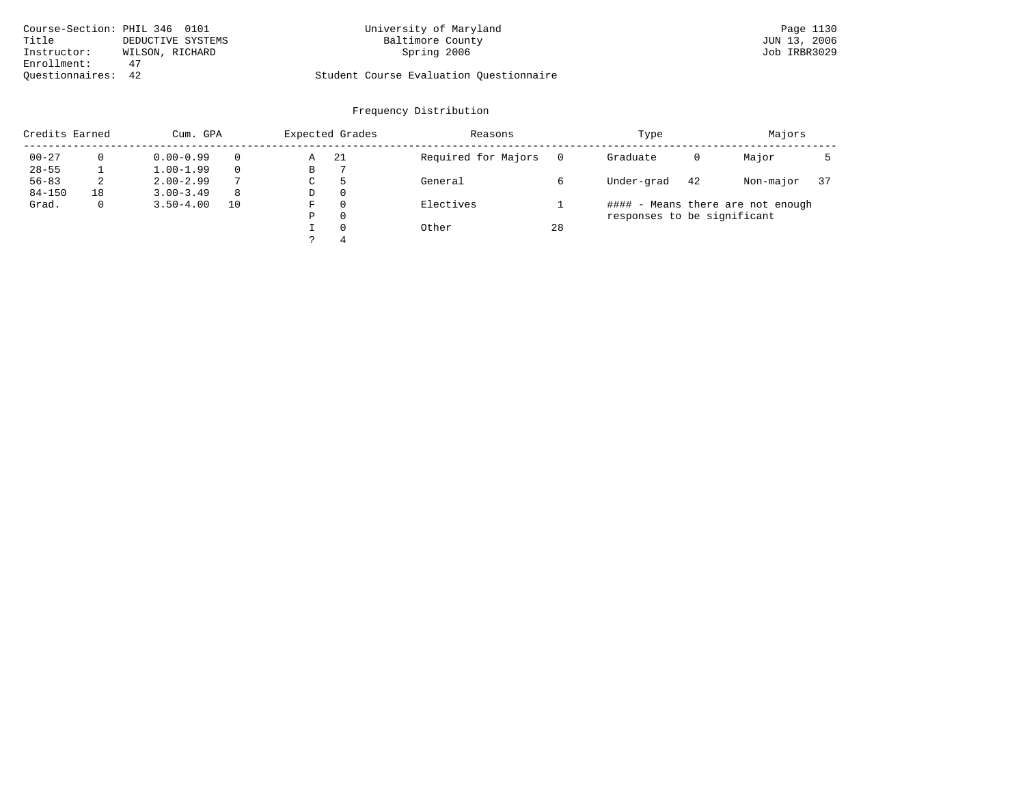| Course-Section: PHIL 346 0101 |                   | University of Maryland                  | Page 1130    |
|-------------------------------|-------------------|-----------------------------------------|--------------|
| Title                         | DEDUCTIVE SYSTEMS | Baltimore County                        | JUN 13, 2006 |
| Instructor:                   | WILSON, RICHARD   | Spring 2006                             | Job IRBR3029 |
| Enrollment:                   | 47                |                                         |              |
| Ouestionnaires: 42            |                   | Student Course Evaluation Questionnaire |              |

| Credits Earned |    | Cum. GPA      |          |   | Expected Grades | Reasons             |    | Type                        |    | Majors                            |    |
|----------------|----|---------------|----------|---|-----------------|---------------------|----|-----------------------------|----|-----------------------------------|----|
| $00 - 27$      |    | $0.00 - 0.99$ |          | Α | 21              | Required for Majors |    | Graduate                    | 0  | Major                             |    |
| $28 - 55$      |    | $1.00 - 1.99$ | $\Omega$ | B |                 |                     |    |                             |    |                                   |    |
| $56 - 83$      | 2  | $2.00 - 2.99$ | 7        | C | 5               | General             |    | Under-grad                  | 42 | Non-major                         | 37 |
| $84 - 150$     | 18 | $3.00 - 3.49$ | 8        | D | 0               |                     |    |                             |    |                                   |    |
| Grad.          |    | $3.50 - 4.00$ | 10       | F | 0               | Electives           |    |                             |    | #### - Means there are not enough |    |
|                |    |               |          | Ρ | 0               |                     |    | responses to be significant |    |                                   |    |
|                |    |               |          |   | 0               | Other               | 28 |                             |    |                                   |    |
|                |    |               |          |   | 4               |                     |    |                             |    |                                   |    |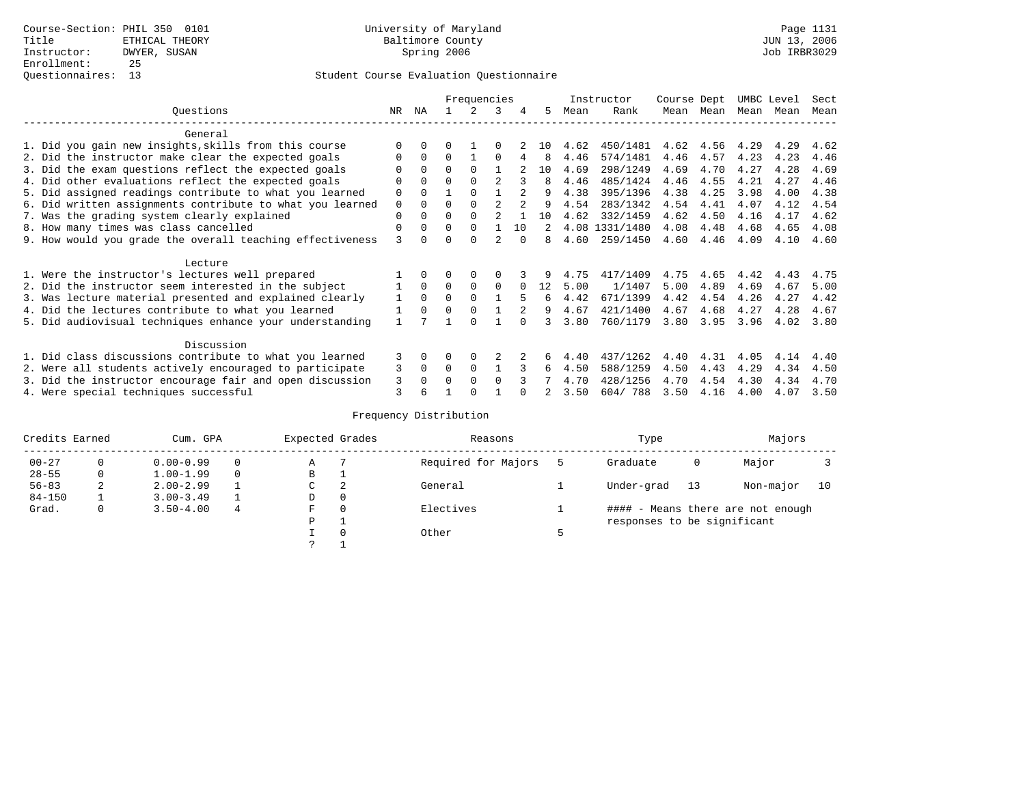|                                                           | Frequencies |              |          |              |          |          | Instructor    | Course Dept |                | UMBC Level |      | Sect |      |      |
|-----------------------------------------------------------|-------------|--------------|----------|--------------|----------|----------|---------------|-------------|----------------|------------|------|------|------|------|
| Ouestions                                                 | NR.         | ΝA           |          |              | 3        |          | 5.            | Mean        | Rank           | Mean       | Mean | Mean | Mean | Mean |
| General                                                   |             |              |          |              |          |          |               |             |                |            |      |      |      |      |
| 1. Did you gain new insights, skills from this course     | ∩           |              | U        |              | ∩        |          | 1 N           | 4.62        | 450/1481       | 4.62       | 4.56 | 4.29 | 4.29 | 4.62 |
| 2. Did the instructor make clear the expected goals       | $\Omega$    | $\Omega$     | $\Omega$ |              | $\cap$   | 4        | 8             | 4.46        | 574/1481       | 4.46       | 4.57 | 4.23 | 4.23 | 4.46 |
| 3. Did the exam questions reflect the expected goals      |             |              | $\Omega$ | $\Omega$     |          |          | 1 N           | 4.69        | 298/1249       | 4.69       | 4.70 | 4.27 | 4.28 | 4.69 |
| 4. Did other evaluations reflect the expected goals       | $\Omega$    |              | $\Omega$ |              |          |          | я             | 4.46        | 485/1424       | 4.46       | 4.55 | 4.21 | 4.27 | 4.46 |
| 5. Did assigned readings contribute to what you learned   | $\Omega$    |              |          |              |          |          |               | 4.38        | 395/1396       | 4.38       | 4.25 | 3.98 | 4.00 | 4.38 |
| 6. Did written assignments contribute to what you learned | $\mathbf 0$ |              | $\Omega$ |              |          | $2^{1}$  | q             | 4.54        | 283/1342       | 4.54       | 4.41 | 4.07 | 4.12 | 4.54 |
| 7. Was the grading system clearly explained               | $\Omega$    |              | $\Omega$ | $\cap$       |          |          | 10            | 4.62        | 332/1459       | 4.62       | 4.50 | 4.16 | 4.17 | 4.62 |
| 8. How many times was class cancelled                     | $\Omega$    | $\Omega$     | $\Omega$ | $\Omega$     |          | 10       | $\mathcal{L}$ |             | 4.08 1331/1480 | 4.08       | 4.48 | 4.68 | 4.65 | 4.08 |
| 9. How would you grade the overall teaching effectiveness | 3           | <sup>n</sup> | U        | <sup>n</sup> |          | $\cap$   | 8             | 4.60        | 259/1450       | 4.60       | 4.46 | 4.09 | 4.10 | 4.60 |
| Lecture                                                   |             |              |          |              |          |          |               |             |                |            |      |      |      |      |
| 1. Were the instructor's lectures well prepared           |             |              |          |              | $\Omega$ |          |               | 4.75        | 417/1409       | 4.75       | 4.65 | 4.42 | 4.43 | 4.75 |
| 2. Did the instructor seem interested in the subject      |             | $\Omega$     | $\Omega$ | $\Omega$     | $\Omega$ | $\Omega$ | 12.           | 5.00        | 1/1407         | 5.00       | 4.89 | 4.69 | 4.67 | 5.00 |
| 3. Was lecture material presented and explained clearly   |             | $\Omega$     | $\Omega$ |              |          |          | 6             | 4.42        | 671/1399       | 4.42       | 4.54 | 4.26 | 4.27 | 4.42 |
| 4. Did the lectures contribute to what you learned        |             | $\Omega$     | $\Omega$ |              |          |          | 9             | 4.67        | 421/1400       | 4.67       | 4.68 | 4.27 | 4.28 | 4.67 |
| 5. Did audiovisual techniques enhance your understanding  |             |              |          |              |          |          |               | 3.80        | 760/1179       | 3.80       | 3.95 | 3.96 | 4.02 | 3.80 |
|                                                           |             |              |          |              |          |          |               |             |                |            |      |      |      |      |
| Discussion                                                |             |              |          |              |          |          |               |             |                |            |      |      |      |      |
| 1. Did class discussions contribute to what you learned   | 3           | 0            | O        | 0            |          |          | 6             | 4.40        | 437/1262       | 4.40       | 4.31 | 4.05 | 4.14 | 4.40 |
| 2. Were all students actively encouraged to participate   | 3           | $\Omega$     | $\Omega$ | $\Omega$     |          |          | 6             | 4.50        | 588/1259       | 4.50       | 4.43 | 4.29 | 4.34 | 4.50 |
| 3. Did the instructor encourage fair and open discussion  | 3           |              | O        | $\Omega$     | $\cap$   |          |               | 4.70        | 428/1256       | 4.70       | 4.54 | 4.30 | 4.34 | 4.70 |
| 4. Were special techniques successful                     | 3           |              |          |              |          |          |               | 3.50        | 604/788        | 3.50       | 4.16 | 4.00 | 4.07 | 3.50 |

| Credits Earned |   | Cum. GPA      |          | Expected Grades |          | Reasons             | Type                        |    | Majors                            |    |
|----------------|---|---------------|----------|-----------------|----------|---------------------|-----------------------------|----|-----------------------------------|----|
| $00 - 27$      |   | $0.00 - 0.99$ |          | Α               |          | Required for Majors | Graduate                    | 0  | Major                             |    |
| $28 - 55$      | 0 | $1.00 - 1.99$ | $\Omega$ | В               | л.       |                     |                             |    |                                   |    |
| $56 - 83$      | 2 | $2.00 - 2.99$ |          | C               | 2        | General             | Under-grad                  | 13 | Non-major                         | 10 |
| $84 - 150$     |   | $3.00 - 3.49$ |          | D               | 0        |                     |                             |    |                                   |    |
| Grad.          | 0 | $3.50 - 4.00$ | 4        | F               | $\Omega$ | Electives           |                             |    | #### - Means there are not enough |    |
|                |   |               |          | Ρ               |          |                     | responses to be significant |    |                                   |    |
|                |   |               |          |                 | $\Omega$ | Other               |                             |    |                                   |    |
|                |   |               |          |                 |          |                     |                             |    |                                   |    |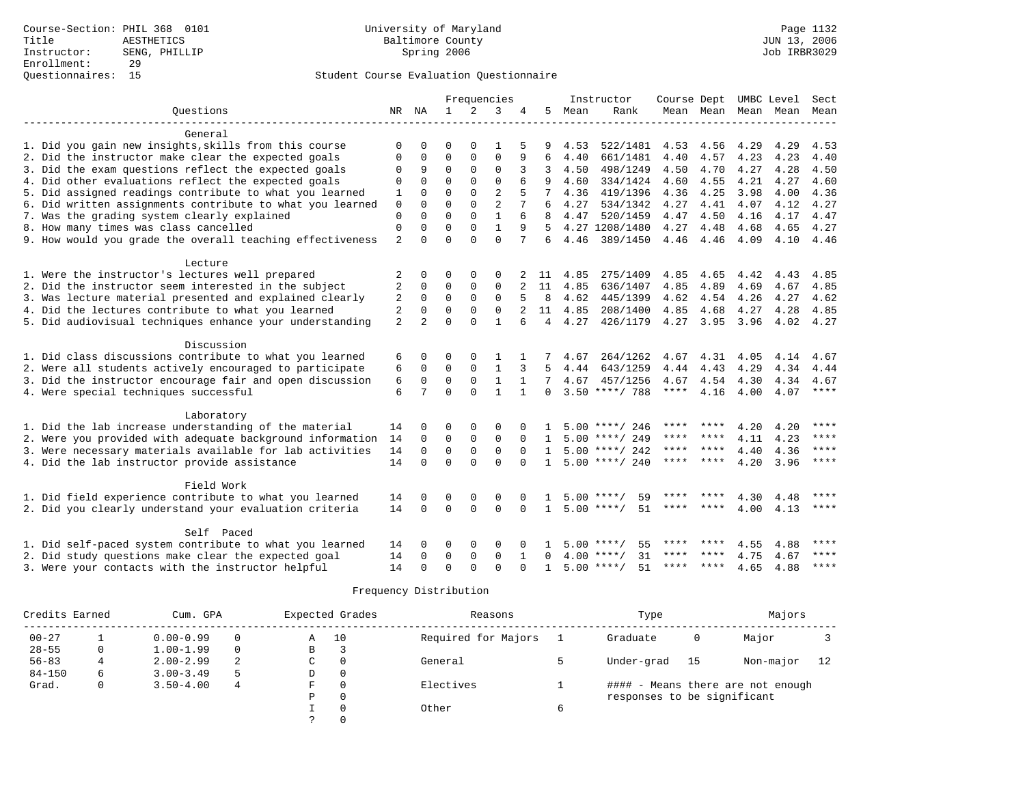|                                                           |                |                |              |                | Frequencies    |              |                |      | Instructor         | Course Dept UMBC Level |                |      |      | Sect              |
|-----------------------------------------------------------|----------------|----------------|--------------|----------------|----------------|--------------|----------------|------|--------------------|------------------------|----------------|------|------|-------------------|
| Ouestions                                                 | NR NA          |                | $\mathbf{1}$ | $\overline{2}$ | 3              | 4            | 5              | Mean | Rank               |                        | Mean Mean Mean |      | Mean | Mean              |
|                                                           |                |                |              |                |                |              |                |      |                    |                        |                |      |      |                   |
| General                                                   |                |                |              |                |                |              |                |      |                    |                        |                |      |      |                   |
| 1. Did you gain new insights, skills from this course     | 0              | 0              | 0            | $\Omega$       | 1              |              | 9              | 4.53 | 522/1481           | 4.53                   | 4.56           | 4.29 | 4.29 | 4.53              |
| 2. Did the instructor make clear the expected goals       | $\Omega$       | $\Omega$       | $\Omega$     | $\Omega$       | $\Omega$       | 9            | 6              | 4.40 | 661/1481           | 4.40                   | 4.57           | 4.23 | 4.23 | 4.40              |
| 3. Did the exam questions reflect the expected goals      | $\Omega$       | 9              | $\Omega$     | $\Omega$       | $\Omega$       | 3            | 3              | 4.50 | 498/1249           | 4.50                   | 4.70           | 4.27 | 4.28 | 4.50              |
| 4. Did other evaluations reflect the expected goals       | $\Omega$       | $\Omega$       | $\Omega$     | $\Omega$       | $\Omega$       | 6            | 9              | 4.60 | 334/1424           | 4.60                   | 4.55           | 4.21 | 4.27 | 4.60              |
| 5. Did assigned readings contribute to what you learned   | $\mathbf{1}$   | $\Omega$       | $\Omega$     | $\Omega$       | $\overline{a}$ | 5            |                | 4.36 | 419/1396           | 4.36                   | 4.25           | 3.98 | 4.00 | 4.36              |
| 6. Did written assignments contribute to what you learned | $\mathbf 0$    | $\Omega$       | $\Omega$     | $\Omega$       | $\overline{2}$ | 7            | 6              | 4.27 | 534/1342           | 4.27                   | 4.41           | 4.07 | 4.12 | 4.27              |
| 7. Was the grading system clearly explained               | $\mathbf 0$    | 0              | $\Omega$     | $\Omega$       | $\mathbf{1}$   | 6            | 8              | 4.47 | 520/1459           | 4.47                   | 4.50           | 4.16 | 4.17 | 4.47              |
| 8. How many times was class cancelled                     | $\Omega$       | $\Omega$       | $\Omega$     | $\Omega$       | $\mathbf{1}$   | 9            | 5              |      | 4.27 1208/1480     | 4.27                   | 4.48           | 4.68 | 4.65 | 4.27              |
| 9. How would you grade the overall teaching effectiveness | $\overline{2}$ | $\Omega$       | $\Omega$     | $\Omega$       | $\Omega$       | 7            | 6              | 4.46 | 389/1450           | 4.46                   | 4.46           | 4.09 | 4.10 | 4.46              |
|                                                           |                |                |              |                |                |              |                |      |                    |                        |                |      |      |                   |
| Lecture                                                   |                |                |              |                |                |              |                |      |                    |                        |                |      |      |                   |
| 1. Were the instructor's lectures well prepared           | 2              | 0              | 0            | 0              | 0              |              | 11             | 4.85 | 275/1409           | 4.85                   | 4.65           | 4.42 | 4.43 | 4.85              |
| 2. Did the instructor seem interested in the subject      | $\sqrt{2}$     | 0              | $\Omega$     | $\Omega$       | $\Omega$       |              | 11             | 4.85 | 636/1407           | 4.85                   | 4.89           | 4.69 | 4.67 | 4.85              |
| 3. Was lecture material presented and explained clearly   | 2              | 0              | $\Omega$     | $\Omega$       | $\Omega$       | 5            | 8              | 4.62 | 445/1399           | 4.62                   | 4.54           | 4.26 | 4.27 | 4.62              |
| 4. Did the lectures contribute to what you learned        | $\overline{2}$ | $\mathbf 0$    | $\Omega$     | $\Omega$       | $\Omega$       |              | 11             | 4.85 | 208/1400           | 4.85                   | 4.68           | 4.27 | 4.28 | 4.85              |
| 5. Did audiovisual techniques enhance your understanding  | 2              | $\overline{2}$ | $\Omega$     | $\Omega$       | $\mathbf{1}$   | 6            | $\overline{4}$ | 4.27 | 426/1179           |                        | 4.27 3.95      | 3.96 |      | $4.02 \quad 4.27$ |
|                                                           |                |                |              |                |                |              |                |      |                    |                        |                |      |      |                   |
| Discussion                                                |                |                |              |                |                |              |                |      |                    |                        |                |      |      |                   |
| 1. Did class discussions contribute to what you learned   | 6              | 0              | $\Omega$     | $\Omega$       |                |              |                | 4.67 | 264/1262           | 4.67                   | 4.31           | 4.05 | 4.14 | 4.67              |
| 2. Were all students actively encouraged to participate   | 6              | $\mathbf 0$    | 0            | 0              | $\mathbf{1}$   | 3            | 5              | 4.44 | 643/1259           | 4.44                   | 4.43           | 4.29 | 4.34 | 4.44              |
| 3. Did the instructor encourage fair and open discussion  | 6              | $\mathbf 0$    | $\Omega$     | $\mathbf 0$    | $\mathbf{1}$   | 1            |                | 4.67 | 457/1256           | 4.67                   | 4.54           | 4.30 | 4.34 | 4.67              |
| 4. Were special techniques successful                     | 6              | 7              | $\Omega$     | $\Omega$       | $\mathbf{1}$   | $\mathbf{1}$ | $\Omega$       |      | $3.50$ ****/ 788   | $***$ * * *            | 4.16           | 4.00 | 4.07 | $***$ * * *       |
|                                                           |                |                |              |                |                |              |                |      |                    |                        |                |      |      |                   |
| Laboratory                                                |                |                |              |                |                |              |                |      |                    |                        |                |      |      |                   |
| 1. Did the lab increase understanding of the material     | 14             | 0              | O            | 0              | $\Omega$       |              |                |      | $5.00$ ****/ 246   | ****                   | ****           | 4.20 | 4.20 | ****              |
| 2. Were you provided with adequate background information | 14             | $\Omega$       | 0            | $\mathbf 0$    | $\mathbf 0$    | $\Omega$     | 1              |      | $5.00$ ****/ 249   | ****                   | ****           | 4.11 | 4.23 | ****              |
| 3. Were necessary materials available for lab activities  | 14             | $\Omega$       | $\Omega$     | $\Omega$       | $\Omega$       | $\Omega$     | $\mathbf{1}$   |      | $5.00$ ****/ 242   | ****                   | ****           | 4.40 | 4.36 | ****              |
| 4. Did the lab instructor provide assistance              | 14             | $\Omega$       | $\Omega$     | $\Omega$       | $\Omega$       | $\Omega$     | $\mathbf{1}$   |      | $5.00$ ****/ 240   | ****                   | ****           | 4.20 | 3.96 | ****              |
| Field Work                                                |                |                |              |                |                |              |                |      |                    |                        |                |      |      |                   |
| 1. Did field experience contribute to what you learned    | 14             | $\Omega$       | 0            | $\mathbf 0$    | $\mathbf 0$    | $\Omega$     |                |      | $5.00$ ****/<br>59 |                        |                | 4.30 | 4.48 | ****              |
|                                                           | 14             | $\Omega$       | $\mathbf 0$  | $\Omega$       | $\Omega$       | $\Omega$     | $\mathbf{1}$   |      | $5.00$ ****/<br>51 | ****                   | ****           | 4.00 | 4.13 | ****              |
| 2. Did you clearly understand your evaluation criteria    |                |                |              |                |                |              |                |      |                    |                        |                |      |      |                   |
| Self Paced                                                |                |                |              |                |                |              |                |      |                    |                        |                |      |      |                   |
| 1. Did self-paced system contribute to what you learned   | 14             | 0              | $\Omega$     | 0              | $\mathbf 0$    | $\Omega$     |                |      | 55<br>$5.00$ ****/ | ****                   | ****           | 4.55 | 4.88 | ****              |
| 2. Did study questions make clear the expected goal       | 14             | 0              | 0            | $\mathbf 0$    | $\mathbf 0$    | $\mathbf{1}$ | $\Omega$       | 4.00 | 31<br>$* * * * /$  | ****                   |                | 4.75 | 4.67 | ****              |
| 3. Were your contacts with the instructor helpful         | 14             | O              | $\Omega$     | $\Omega$       | $\Omega$       | $\Omega$     |                |      | $5.00$ ****/<br>51 | ****                   | ****           | 4.65 | 4.88 | ****              |
|                                                           |                |                |              |                |                |              |                |      |                    |                        |                |      |      |                   |

| Credits Earned |   | Cum. GPA      |          |   | Expected Grades | Reasons             |   | Type                        |    | Majors                            |    |
|----------------|---|---------------|----------|---|-----------------|---------------------|---|-----------------------------|----|-----------------------------------|----|
| $00 - 27$      |   | $0.00 - 0.99$ | $\Omega$ | A | 10              | Required for Majors |   | Graduate                    | 0  | Major                             |    |
| $28 - 55$      | 0 | $1.00 - 1.99$ | $\Omega$ | В |                 |                     |   |                             |    |                                   |    |
| $56 - 83$      | 4 | $2.00 - 2.99$ | 2        | C | $\Omega$        | General             |   | Under-grad                  | 15 | Non-major                         | 12 |
| $84 - 150$     | 6 | $3.00 - 3.49$ |          | D | $\Omega$        |                     |   |                             |    |                                   |    |
| Grad.          | 0 | $3.50 - 4.00$ | 4        | F | $\Omega$        | Electives           |   |                             |    | #### - Means there are not enough |    |
|                |   |               |          | Ρ | $\Omega$        |                     |   | responses to be significant |    |                                   |    |
|                |   |               |          |   | $\Omega$        | Other               | 6 |                             |    |                                   |    |
|                |   |               |          |   |                 |                     |   |                             |    |                                   |    |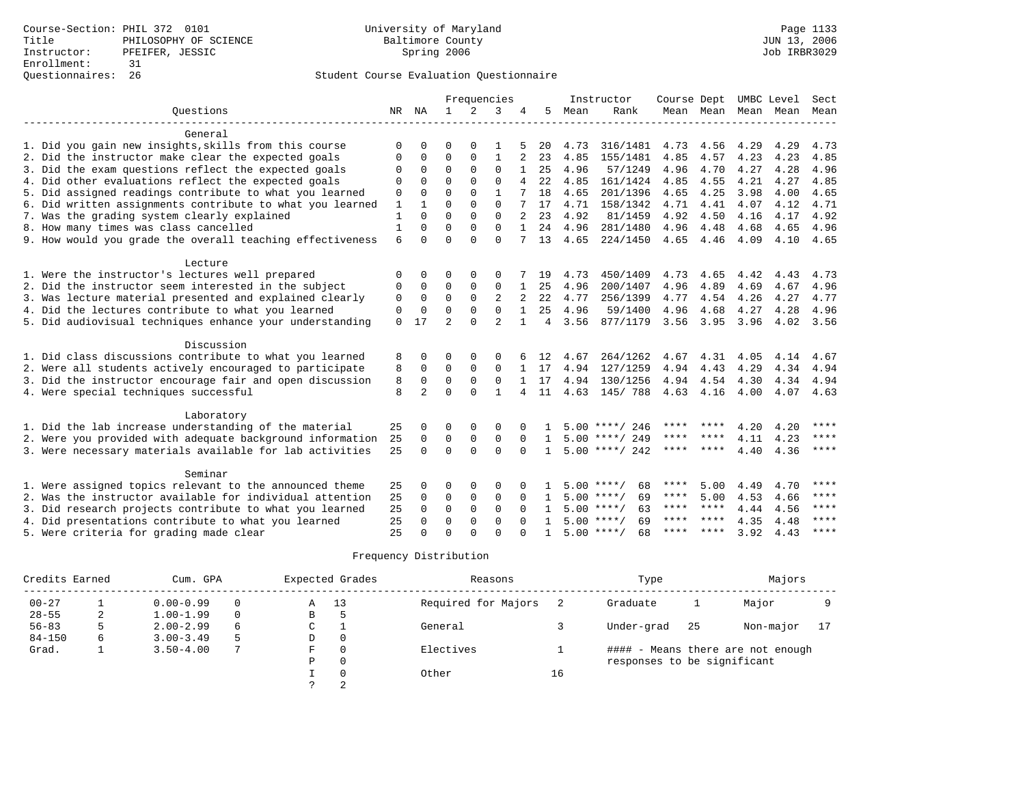|                                                           |             |                |                |             | Frequencies    |                |              |      | Instructor         | Course Dept |         |      | UMBC Level               | Sect        |
|-----------------------------------------------------------|-------------|----------------|----------------|-------------|----------------|----------------|--------------|------|--------------------|-------------|---------|------|--------------------------|-------------|
| Ouestions                                                 |             | NR NA          | 1              | 2           | 3              | 4              | 5            | Mean | Rank               |             |         |      | Mean Mean Mean Mean Mean |             |
|                                                           |             |                |                |             |                |                |              |      |                    |             |         |      |                          |             |
| General                                                   |             |                |                |             |                |                |              |      |                    |             |         |      |                          |             |
| 1. Did you gain new insights, skills from this course     | $\Omega$    | 0              | O              | $\Omega$    |                |                | 20           | 4.73 | 316/1481           | 4.73        | 4.56    | 4.29 | 4.29                     | 4.73        |
| 2. Did the instructor make clear the expected goals       | $\Omega$    | 0              | $\Omega$       | $\Omega$    | $\mathbf{1}$   | 2              | 23           | 4.85 | 155/1481           | 4.85        | 4.57    | 4.23 | 4.23                     | 4.85        |
| 3. Did the exam questions reflect the expected goals      | $\Omega$    | $\Omega$       | $\Omega$       | $\Omega$    | $\Omega$       | $\mathbf{1}$   | 25           | 4.96 | 57/1249            | 4.96        | 4.70    | 4.27 | 4.28                     | 4.96        |
| 4. Did other evaluations reflect the expected goals       | $\Omega$    | $\Omega$       | $\Omega$       | $\Omega$    | $\Omega$       | 4              | 22           | 4.85 | 161/1424           | 4.85        | 4.55    | 4.21 | 4.27                     | 4.85        |
| 5. Did assigned readings contribute to what you learned   | $\mathsf 0$ | $\Omega$       | $\Omega$       | $\Omega$    | $\mathbf{1}$   |                | 18           | 4.65 | 201/1396           | 4.65        | 4.25    | 3.98 | 4.00                     | 4.65        |
| 6. Did written assignments contribute to what you learned | 1           |                | $\Omega$       | $\Omega$    | $\Omega$       |                | 17           | 4.71 | 158/1342           | 4.71        | 4.41    | 4.07 | 4.12                     | 4.71        |
| 7. Was the grading system clearly explained               | 1           | $\Omega$       | $\Omega$       | $\Omega$    | $\Omega$       | $\overline{2}$ | 23           | 4.92 | 81/1459            | 4.92        | 4.50    | 4.16 | 4.17                     | 4.92        |
| 8. How many times was class cancelled                     | 1           | $\Omega$       | 0              | 0           | $\Omega$       | $\mathbf{1}$   | 2.4          | 4.96 | 281/1480           | 4.96        | 4.48    | 4.68 | 4.65                     | 4.96        |
| 9. How would you grade the overall teaching effectiveness | 6           | $\Omega$       | $\Omega$       | $\Omega$    | $\Omega$       |                | 13           | 4.65 | 224/1450           | 4.65        | 4.46    | 4.09 | 4.10                     | 4.65        |
| Lecture                                                   |             |                |                |             |                |                |              |      |                    |             |         |      |                          |             |
| 1. Were the instructor's lectures well prepared           | $\Omega$    | 0              | 0              | $\Omega$    | $\Omega$       |                | 19           | 4.73 | 450/1409           | 4.73        | 4.65    | 4.42 | 4.43                     | 4.73        |
| 2. Did the instructor seem interested in the subject      | $\Omega$    | $\Omega$       | $\Omega$       | 0           | $\mathbf 0$    |                | 25           | 4.96 | 200/1407           | 4.96        | 4.89    | 4.69 | 4.67                     | 4.96        |
| 3. Was lecture material presented and explained clearly   | $\mathbf 0$ | 0              | 0              | 0           | 2              |                | 22           | 4.77 | 256/1399           | 4.77        | 4.54    | 4.26 | 4.27                     | 4.77        |
|                                                           | $\mathbf 0$ | $\Omega$       | $\Omega$       | $\Omega$    | $\Omega$       | $\mathbf{1}$   | 25           | 4.96 | 59/1400            | 4.96        | 4.68    | 4.27 | 4.28                     | 4.96        |
| 4. Did the lectures contribute to what you learned        |             | 17             | $\overline{a}$ | $\Omega$    | $\mathfrak{D}$ |                |              |      |                    | 3.56        |         |      |                          |             |
| 5. Did audiovisual techniques enhance your understanding  | $\mathbf 0$ |                |                |             |                |                | 4            | 3.56 | 877/1179           |             | 3.95    | 3.96 | 4.02                     | 3.56        |
| Discussion                                                |             |                |                |             |                |                |              |      |                    |             |         |      |                          |             |
| 1. Did class discussions contribute to what you learned   | 8           | 0              | O              | $\Omega$    | $\Omega$       |                | 12           | 4.67 | 264/1262           | 4.67        | 4.31    | 4.05 | 4.14                     | 4.67        |
| 2. Were all students actively encouraged to participate   | 8           | $\Omega$       | $\Omega$       | $\mathbf 0$ | $\Omega$       |                | $1 \quad 17$ | 4.94 | 127/1259           | 4.94        | 4.43    | 4.29 | 4.34                     | 4.94        |
| 3. Did the instructor encourage fair and open discussion  | 8           | $\Omega$       | $\Omega$       | $\Omega$    | $\Omega$       |                | $1 \quad 17$ | 4.94 | 130/1256           | 4.94        | 4.54    | 4.30 | 4.34                     | 4.94        |
| 4. Were special techniques successful                     | 8           | $\overline{a}$ | $\Omega$       | $\Omega$    | $\mathbf{1}$   | 4              | 11           | 4.63 | 145/788            | 4.63        | 4.16    | 4.00 | 4.07 4.63                |             |
| Laboratory                                                |             |                |                |             |                |                |              |      |                    |             |         |      |                          |             |
| 1. Did the lab increase understanding of the material     | 25          | $\Omega$       | $\Omega$       | 0           | $\Omega$       |                |              |      | $5.00$ ****/ 246   | ****        |         | 4.20 | 4.20                     | ****        |
| 2. Were you provided with adequate background information | 25          | 0              | 0              | $\mathsf 0$ | $\mathsf 0$    | $\Omega$       | $\mathbf{1}$ |      | $5.00$ ****/ 249   | ****        | ****    | 4.11 | 4.23                     | $* * * * *$ |
| 3. Were necessary materials available for lab activities  | 25          | $\Omega$       | $\Omega$       | $\Omega$    | $\Omega$       | $\Omega$       | $\mathbf{1}$ |      | $5.00$ ****/ 242   | ****        | ****    | 4.40 | 4.36                     | $***$ * * * |
|                                                           |             |                |                |             |                |                |              |      |                    |             |         |      |                          |             |
| Seminar                                                   |             |                |                |             |                |                |              |      |                    |             |         |      |                          |             |
| 1. Were assigned topics relevant to the announced theme   | 25          | 0              | O              | $\Omega$    | $\Omega$       | <sup>0</sup>   |              |      | 68<br>$5.00$ ****/ | ****        | 5.00    | 4.49 | 4.70                     | ****        |
| 2. Was the instructor available for individual attention  | 25          | $\Omega$       | $\Omega$       | $\mathbf 0$ | $\mathbf 0$    | $\Omega$       | 1            |      | $5.00$ ****/<br>69 | ****        | 5.00    | 4.53 | 4.66                     | ****        |
| 3. Did research projects contribute to what you learned   | 25          | $\Omega$       | $\mathbf 0$    | $\mathbf 0$ | $\mathbf 0$    | $\Omega$       |              |      | $5.00$ ****/<br>63 | ****        | $***$ * | 4.44 | 4.56                     | ****        |
| 4. Did presentations contribute to what you learned       | 25          | 0              | $\Omega$       | $\Omega$    | $\Omega$       | $\Omega$       |              | 5.00 | 69<br>$* * * * /$  | ****        | ****    | 4.35 | 4.48                     | $***$ * * * |
| 5. Were criteria for grading made clear                   | 25          | U              | $\Omega$       | ∩           | $\cap$         |                |              |      | $5.00$ ****/<br>68 | ****        | $***$ * | 3.92 | 4.43                     | $* * * * *$ |

| Credits Earned |    | Cum. GPA      |   | Expected Grades |          | Reasons             |    | Type                        |    | Majors                            |    |
|----------------|----|---------------|---|-----------------|----------|---------------------|----|-----------------------------|----|-----------------------------------|----|
| $00 - 27$      |    | $0.00 - 0.99$ |   | Α               | 13       | Required for Majors |    | Graduate                    |    | Major                             |    |
| $28 - 55$      | ∠  | $1.00 - 1.99$ |   | B               | 5        |                     |    |                             |    |                                   |    |
| $56 - 83$      |    | $2.00 - 2.99$ | 6 | C               |          | General             |    | Under-grad                  | 25 | Non-major                         | 17 |
| $84 - 150$     | 6. | $3.00 - 3.49$ | 5 | D               | 0        |                     |    |                             |    |                                   |    |
| Grad.          |    | $3.50 - 4.00$ |   | F               | $\Omega$ | Electives           |    |                             |    | #### - Means there are not enough |    |
|                |    |               |   | Ρ               | 0        |                     |    | responses to be significant |    |                                   |    |
|                |    |               |   |                 | $\Omega$ | Other               | 16 |                             |    |                                   |    |
|                |    |               |   |                 |          |                     |    |                             |    |                                   |    |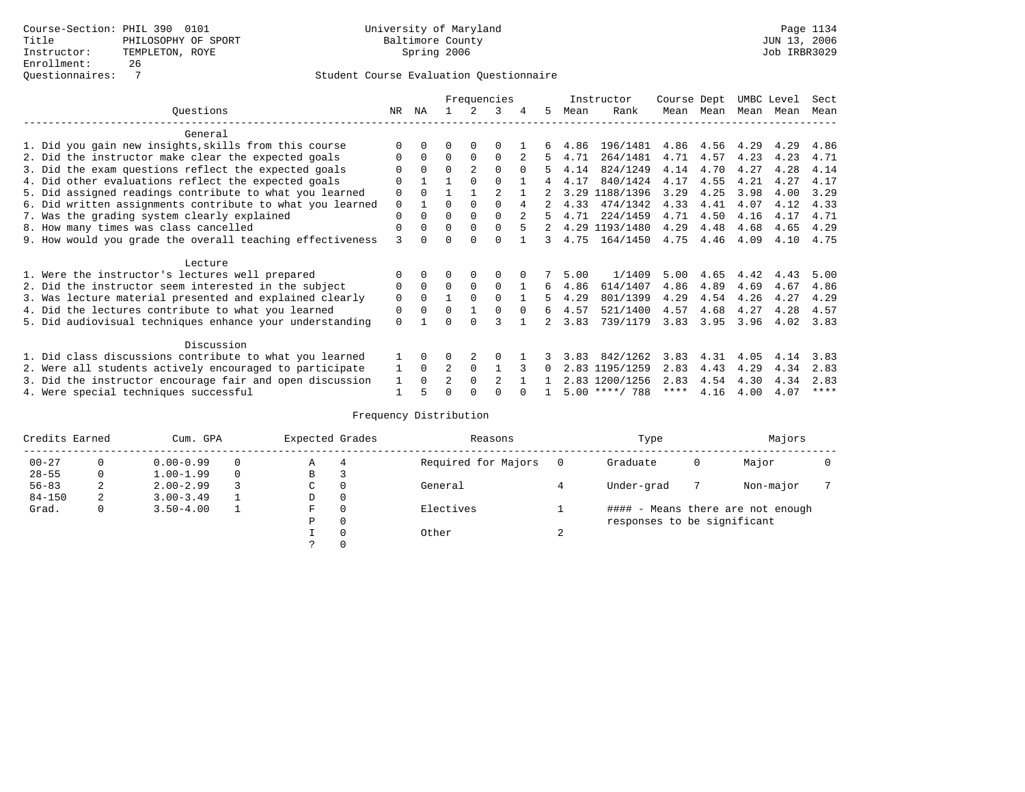### Questionnaires: 7 Student Course Evaluation Questionnaire

|                                                           |          |              |          |                | Frequencies    |          |    |      | Instructor       | Course Dept |      | UMBC Level |      | Sect        |
|-----------------------------------------------------------|----------|--------------|----------|----------------|----------------|----------|----|------|------------------|-------------|------|------------|------|-------------|
| Ouestions                                                 | NR.      | ΝA           |          |                | 3              | 4        | 5  | Mean | Rank             | Mean        | Mean | Mean       | Mean | Mean        |
| General                                                   |          |              |          |                |                |          |    |      |                  |             |      |            |      |             |
| 1. Did you gain new insights, skills from this course     |          | <sup>0</sup> |          | $\Omega$       |                |          |    | 4.86 | 196/1481         | 4.86        | 4.56 | 4.29       | 4.29 | 4.86        |
| 2. Did the instructor make clear the expected goals       |          | $\Omega$     | $\Omega$ | $\Omega$       | $\Omega$       |          | 5  | 4.71 | 264/1481         | 4.71        | 4.57 | 4.23       | 4.23 | 4.71        |
| 3. Did the exam questions reflect the expected goals      |          | $\Omega$     | $\Omega$ | $\overline{2}$ | $\Omega$       | $\Omega$ | 5  | 4.14 | 824/1249         | 4.14        | 4.70 | 4.27       | 4.28 | 4.14        |
| 4. Did other evaluations reflect the expected goals       | 0        |              |          | $\Omega$       | $\Omega$       |          | 4  | 4.17 | 840/1424         | 4.17        | 4.55 | 4.21       | 4.27 | 4.17        |
| 5. Did assigned readings contribute to what you learned   | 0        |              |          |                | $\overline{a}$ |          |    | 3.29 | 1188/1396        | 3.29        | 4.25 | 3.98       | 4.00 | 3.29        |
| 6. Did written assignments contribute to what you learned | 0        |              | U        | $\Omega$       |                |          |    | 4.33 | 474/1342         | 4.33        | 4.41 | 4.07       | 4.12 | 4.33        |
| 7. Was the grading system clearly explained               | 0        |              |          | $\Omega$       |                |          |    | 4.71 | 224/1459         | 4.71        | 4.50 | 4.16       | 4.17 | 4.71        |
| 8. How many times was class cancelled                     | 0        | $\Omega$     | $\Omega$ | $\Omega$       | $\Omega$       | 5        | 2  |      | 4.29 1193/1480   | 4.29        | 4.48 | 4.68       | 4.65 | 4.29        |
| 9. How would you grade the overall teaching effectiveness | 3        |              |          |                |                |          |    | 4.75 | 164/1450         | 4.75        | 4.46 | 4.09       | 4.10 | 4.75        |
| Lecture                                                   |          |              |          |                |                |          |    |      |                  |             |      |            |      |             |
| 1. Were the instructor's lectures well prepared           |          |              |          |                |                |          |    | 5.00 | 1/1409           | 5.00        | 4.65 | 4.42       | 4.43 | 5.00        |
| 2. Did the instructor seem interested in the subject      | 0        | $\Omega$     | $\Omega$ | 0              | $\Omega$       |          | б. | 4.86 | 614/1407         | 4.86        | 4.89 | 4.69       | 4.67 | 4.86        |
| 3. Was lecture material presented and explained clearly   | 0        | $\Omega$     |          | $\Omega$       | $\Omega$       |          | 5  | 4.29 | 801/1399         | 4.29        | 4.54 | 4.26       | 4.27 | 4.29        |
| 4. Did the lectures contribute to what you learned        | 0        | $\Omega$     | $\Omega$ |                | 0              |          | б. | 4.57 | 521/1400         | 4.57        | 4.68 | 4.27       | 4.28 | 4.57        |
| 5. Did audiovisual techniques enhance your understanding  | $\Omega$ |              |          |                |                |          |    | 3.83 | 739/1179         | 3.83        | 3.95 | 3.96       | 4.02 | 3.83        |
| Discussion                                                |          |              |          |                |                |          |    |      |                  |             |      |            |      |             |
| 1. Did class discussions contribute to what you learned   |          | $\Omega$     | U        |                | $\Omega$       |          |    | 3.83 | 842/1262         | 3.83        | 4.31 | 4.05       | 4.14 | 3.83        |
| 2. Were all students actively encouraged to participate   |          | $\Omega$     | 2        | 0              |                |          |    |      | 2.83 1195/1259   | 2.83        | 4.43 | 4.29       | 4.34 | 2.83        |
| 3. Did the instructor encourage fair and open discussion  |          | 0            | 2        | $\Omega$       | 2              |          |    |      | 2.83 1200/1256   | 2.83        | 4.54 | 4.30       | 4.34 | 2.83        |
| 4. Were special techniques successful                     |          | 5            |          |                |                |          |    |      | $5.00$ ****/ 788 | ****        | 4.16 | 4.00       | 4.07 | $***$ * * * |

| Credits Earned |          | Cum. GPA      | Expected Grades |          | Reasons             |          | Type                        |   | Majors                            |  |
|----------------|----------|---------------|-----------------|----------|---------------------|----------|-----------------------------|---|-----------------------------------|--|
| $00 - 27$      | $\Omega$ | $0.00 - 0.99$ | А               | 4        | Required for Majors | $\Omega$ | Graduate                    | 0 | Major                             |  |
| $28 - 55$      | 0        | $1.00 - 1.99$ | В               | 3        |                     |          |                             |   |                                   |  |
| $56 - 83$      | 2        | $2.00 - 2.99$ | $\sim$<br>◡     | 0        | General             |          | Under-grad                  |   | Non-major                         |  |
| $84 - 150$     | 2        | $3.00 - 3.49$ | D               | 0        |                     |          |                             |   |                                   |  |
| Grad.          | 0        | $3.50 - 4.00$ | F               | 0        | Electives           |          |                             |   | #### - Means there are not enough |  |
|                |          |               | Ρ               | 0        |                     |          | responses to be significant |   |                                   |  |
|                |          |               |                 | $\Omega$ | Other               | $\sim$   |                             |   |                                   |  |
|                |          |               |                 |          |                     |          |                             |   |                                   |  |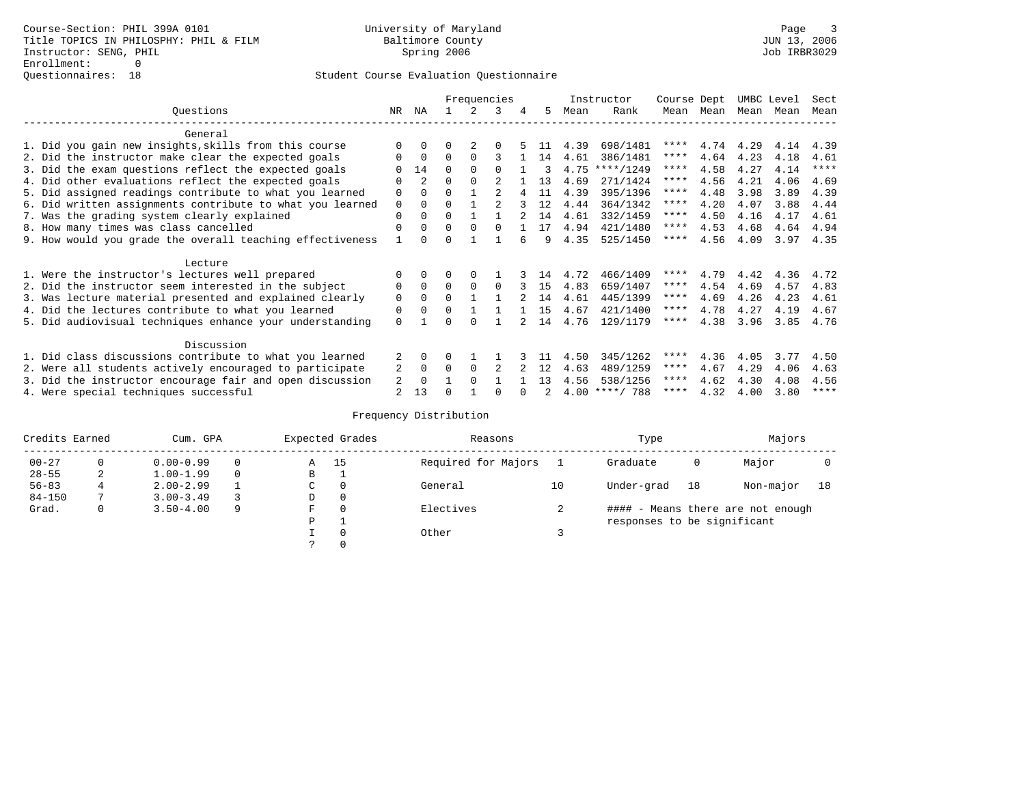|                                                           |              |                |          |          | Frequencies    |    |    |      | Instructor       | Course Dept |           | UMBC Level |           | Sect        |
|-----------------------------------------------------------|--------------|----------------|----------|----------|----------------|----|----|------|------------------|-------------|-----------|------------|-----------|-------------|
| Ouestions                                                 | NR           | ΝA             |          | 2        | 3              | 4  | .5 | Mean | Rank             |             | Mean Mean |            | Mean Mean | Mean        |
| General                                                   |              |                |          |          |                |    |    |      |                  |             |           |            |           |             |
| 1. Did you gain new insights, skills from this course     | <sup>0</sup> | $\Omega$       | 0        | 2        | 0              |    | 11 | 4.39 | 698/1481         | ****        | 4.74      | 4.29       | 4.14      | 4.39        |
| 2. Did the instructor make clear the expected goals       | <sup>0</sup> | $\mathbf 0$    | $\Omega$ | $\Omega$ | 3              |    | 14 | 4.61 | 386/1481         | ****        | 4.64      | 4.23       | 4.18      | 4.61        |
| 3. Did the exam questions reflect the expected goals      | 0            | 14             | $\Omega$ | $\Omega$ |                |    |    | 4.75 | $***/1249$       | ****        | 4.58      | 4.27       | 4.14      | $***$ * * * |
| 4. Did other evaluations reflect the expected goals       | U            | $\overline{a}$ |          | $\Omega$ |                |    | 13 | 4.69 | 271/1424         | $***$ * *   | 4.56      | 4.21       | 4.06      | 4.69        |
| 5. Did assigned readings contribute to what you learned   | 0            | $\Omega$       | 0        |          | $\overline{a}$ |    | 11 | 4.39 | 395/1396         | ****        | 4.48      | 3.98       | 3.89      | 4.39        |
| 6. Did written assignments contribute to what you learned | $\mathbf 0$  | $\Omega$       | 0        |          | $\mathfrak{D}$ |    | 12 | 4.44 | 364/1342         | ****        | 4.20      | 4.07       | 3.88      | 4.44        |
| 7. Was the grading system clearly explained               | $\Omega$     | $\Omega$       | U        |          |                |    | 14 | 4.61 | 332/1459         | ****        | 4.50      | 4.16       | 4.17      | 4.61        |
| 8. How many times was class cancelled                     | 0            | 0              | $\Omega$ | $\Omega$ | $\Omega$       |    | 17 | 4.94 | 421/1480         | $***$ * *   | 4.53      | 4.68       | 4.64      | 4.94        |
| 9. How would you grade the overall teaching effectiveness |              | <sup>n</sup>   | U        |          |                | б. | 9  | 4.35 | 525/1450         | ****        | 4.56      | 4.09       | 3.97      | 4.35        |
| Lecture                                                   |              |                |          |          |                |    |    |      |                  |             |           |            |           |             |
| 1. Were the instructor's lectures well prepared           | 0            | $\Omega$       |          | $\Omega$ |                |    | 14 | 4.72 | 466/1409         | ****        | 4.79      | 4.42       | 4.36      | 4.72        |
| 2. Did the instructor seem interested in the subject      | 0            | $\Omega$       | $\Omega$ | $\Omega$ | $\Omega$       | 3  | 15 | 4.83 | 659/1407         | ****        | 4.54      | 4.69       | 4.57      | 4.83        |
| 3. Was lecture material presented and explained clearly   | 0            | $\Omega$       | $\Omega$ |          |                |    | 14 | 4.61 | 445/1399         | ****        | 4.69      | 4.26       | 4.23      | 4.61        |
| 4. Did the lectures contribute to what you learned        | 0            | $\Omega$       | $\Omega$ |          |                |    | 15 | 4.67 | 421/1400         | ****        | 4.78      | 4.27       | 4.19      | 4.67        |
| 5. Did audiovisual techniques enhance your understanding  | 0            |                |          |          |                |    | 14 | 4.76 | 129/1179         | $***$ * *   | 4.38      | 3.96       | 3.85      | 4.76        |
| Discussion                                                |              |                |          |          |                |    |    |      |                  |             |           |            |           |             |
| 1. Did class discussions contribute to what you learned   | 2            | $\Omega$       |          |          |                |    |    | 4.50 | 345/1262         | ****        | 4.36      | 4.05       | 3.77      | 4.50        |
| 2. Were all students actively encouraged to participate   | 2            | $\Omega$       | $\Omega$ | $\Omega$ | 2              |    | 12 | 4.63 | 489/1259         | ****        | 4.67      | 4.29       | 4.06      | 4.63        |
| 3. Did the instructor encourage fair and open discussion  | 2            | $\Omega$       |          | $\cap$   |                |    | 13 | 4.56 | 538/1256         | ****        | 4.62      | 4.30       | 4.08      | 4.56        |
| 4. Were special techniques successful                     | 2            | 13             |          |          |                |    |    |      | $4.00$ ****/ 788 | ****        | 4.32      | 4.00       | 3.80      | $***$ * *   |

| Credits Earned |              | Cum. GPA      |          |               | Expected Grades | Reasons             |                          | Type                        |    | Majors                            |    |
|----------------|--------------|---------------|----------|---------------|-----------------|---------------------|--------------------------|-----------------------------|----|-----------------------------------|----|
| $00 - 27$      |              | $0.00 - 0.99$ |          | Α             | 15              | Required for Majors |                          | Graduate                    | 0  | Major                             |    |
| $28 - 55$      | 2            | $1.00 - 1.99$ | $\Omega$ | В             | - 11            |                     |                          |                             |    |                                   |    |
| $56 - 83$      |              | $2.00 - 2.99$ |          | C.            | 0               | General             | 10                       | Under-grad                  | 18 | Non-major                         | 18 |
| $84 - 150$     |              | $3.00 - 3.49$ |          | D             | 0               |                     |                          |                             |    |                                   |    |
| Grad.          | $\mathbf{0}$ | $3.50 - 4.00$ | 9        | F             | $\Omega$        | Electives           | $\overline{\phantom{a}}$ |                             |    | #### - Means there are not enough |    |
|                |              |               |          | P             |                 |                     |                          | responses to be significant |    |                                   |    |
|                |              |               |          |               | $\Omega$        | Other               |                          |                             |    |                                   |    |
|                |              |               |          | $\mathcal{L}$ | $\Omega$        |                     |                          |                             |    |                                   |    |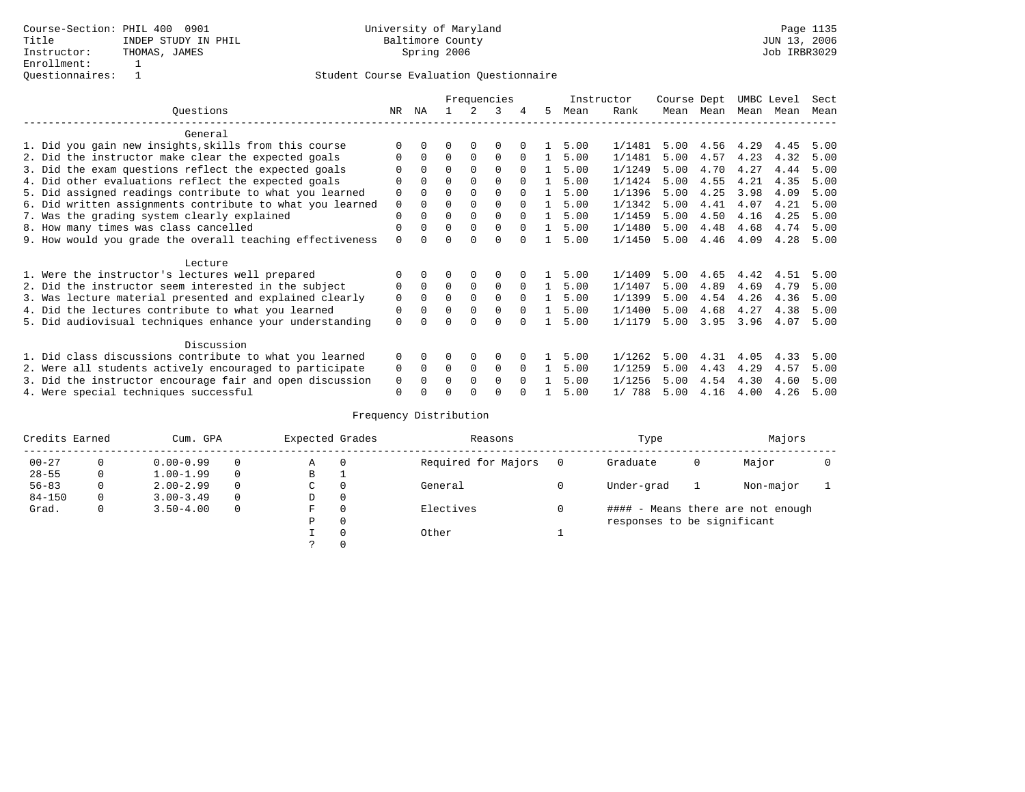|                                                           |          |          |          |             | Frequencies |          |    | Instructor |        | Course Dept |      | UMBC Level |      | Sect |
|-----------------------------------------------------------|----------|----------|----------|-------------|-------------|----------|----|------------|--------|-------------|------|------------|------|------|
| Questions                                                 | NR.      | ΝA       |          |             | 3           | 4        | 5. | Mean       | Rank   | Mean        | Mean | Mean       | Mean | Mean |
| General                                                   |          |          |          |             |             |          |    |            |        |             |      |            |      |      |
| 1. Did you gain new insights, skills from this course     |          | $\Omega$ | O        | $\Omega$    | $\Omega$    |          |    | 5.00       | 1/1481 | 5.00        | 4.56 | 4.29       | 4.45 | 5.00 |
| 2. Did the instructor make clear the expected goals       |          | $\Omega$ | $\Omega$ | $\Omega$    | $\Omega$    | $\Omega$ | 1  | 5.00       | 1/1481 | 5.00        | 4.57 | 4.23       | 4.32 | 5.00 |
| 3. Did the exam questions reflect the expected goals      |          | $\Omega$ | $\Omega$ | $\Omega$    | $\Omega$    | $\Omega$ |    | 5.00       | 1/1249 | 5.00        | 4.70 | 4.27       | 4.44 | 5.00 |
| 4. Did other evaluations reflect the expected goals       | O        | $\Omega$ | O        | $\Omega$    | $\Omega$    | $\Omega$ |    | 5.00       | 1/1424 | 5.00        | 4.55 | 4.21       | 4.35 | 5.00 |
| 5. Did assigned readings contribute to what you learned   | 0        | $\Omega$ | O        | $\Omega$    | $\Omega$    | $\Omega$ |    | 5.00       | 1/1396 | 5.00        | 4.25 | 3.98       | 4.09 | 5.00 |
| 6. Did written assignments contribute to what you learned | 0        | $\Omega$ |          | $\Omega$    | $\Omega$    | $\Omega$ |    | 5.00       | 1/1342 | 5.00        | 4.41 | 4.07       | 4.21 | 5.00 |
| 7. Was the grading system clearly explained               | 0        |          |          | $\Omega$    | $\Omega$    | $\Omega$ |    | 5.00       | 1/1459 | 5.00        | 4.50 | 4.16       | 4.25 | 5.00 |
| 8. How many times was class cancelled                     | 0        | $\Omega$ | 0        | $\Omega$    | $\Omega$    | $\Omega$ |    | 5.00       | 1/1480 | 5.00        | 4.48 | 4.68       | 4.74 | 5.00 |
| 9. How would you grade the overall teaching effectiveness | $\Omega$ |          |          | U           | U           |          |    | 5.00       | 1/1450 | 5.00        | 4.46 | 4.09       | 4.28 | 5.00 |
| Lecture                                                   |          |          |          |             |             |          |    |            |        |             |      |            |      |      |
| 1. Were the instructor's lectures well prepared           |          |          |          | $\Omega$    | $\Omega$    |          |    | 5.00       | 1/1409 | 5.00        | 4.65 | 4.42       | 4.51 | 5.00 |
| 2. Did the instructor seem interested in the subject      | 0        | $\Omega$ | $\Omega$ | $\mathbf 0$ | 0           | $\Omega$ |    | 5.00       | 1/1407 | 5.00        | 4.89 | 4.69       | 4.79 | 5.00 |
| 3. Was lecture material presented and explained clearly   | 0        | $\Omega$ | 0        | $\Omega$    | $\Omega$    | $\Omega$ |    | 5.00       | 1/1399 | 5.00        | 4.54 | 4.26       | 4.36 | 5.00 |
| 4. Did the lectures contribute to what you learned        | 0        | $\Omega$ | 0        | $\mathbf 0$ | 0           | $\Omega$ |    | 5.00       | 1/1400 | 5.00        | 4.68 | 4.27       | 4.38 | 5.00 |
| 5. Did audiovisual techniques enhance your understanding  | $\Omega$ |          |          | U           | U           |          |    | 5.00       | 1/1179 | 5.00        | 3.95 | 3.96       | 4.07 | 5.00 |
| Discussion                                                |          |          |          |             |             |          |    |            |        |             |      |            |      |      |
| 1. Did class discussions contribute to what you learned   | $\Omega$ | $\Omega$ | U        | $\Omega$    | $\Omega$    |          |    | 5.00       | 1/1262 | 5.00        | 4.31 | 4.05       | 4.33 | 5.00 |
| 2. Were all students actively encouraged to participate   | 0        | $\Omega$ | $\Omega$ | $\mathbf 0$ | 0           | $\Omega$ |    | 5.00       | 1/1259 | 5.00        | 4.43 | 4.29       | 4.57 | 5.00 |
| 3. Did the instructor encourage fair and open discussion  | 0        |          | U        | $\Omega$    | $\Omega$    | $\Omega$ |    | 5.00       | 1/1256 | 5.00        | 4.54 | 4.30       | 4.60 | 5.00 |
| 4. Were special techniques successful                     | $\Omega$ |          |          |             | O           |          |    | 5.00       | 1/ 788 | 5.00        | 4.16 | 4.00       | 4.26 | 5.00 |

| Credits Earned |             | Cum. GPA      | Expected Grades |          | Reasons             | Type                        |   | Majors                            |  |
|----------------|-------------|---------------|-----------------|----------|---------------------|-----------------------------|---|-----------------------------------|--|
| $00 - 27$      | 0           | $0.00 - 0.99$ | Α               | 0        | Required for Majors | Graduate                    | 0 | Major                             |  |
| $28 - 55$      | $\mathbf 0$ | $1.00 - 1.99$ | В               | <b>.</b> |                     |                             |   |                                   |  |
| $56 - 83$      | 0           | $2.00 - 2.99$ | $\sim$<br>◡     | 0        | General             | Under-grad                  |   | Non-major                         |  |
| $84 - 150$     | 0           | $3.00 - 3.49$ | D               | 0        |                     |                             |   |                                   |  |
| Grad.          | 0           | $3.50 - 4.00$ | F               | 0        | Electives           |                             |   | #### - Means there are not enough |  |
|                |             |               | Ρ               | 0        |                     | responses to be significant |   |                                   |  |
|                |             |               |                 | $\Omega$ | Other               |                             |   |                                   |  |
|                |             |               | C.              |          |                     |                             |   |                                   |  |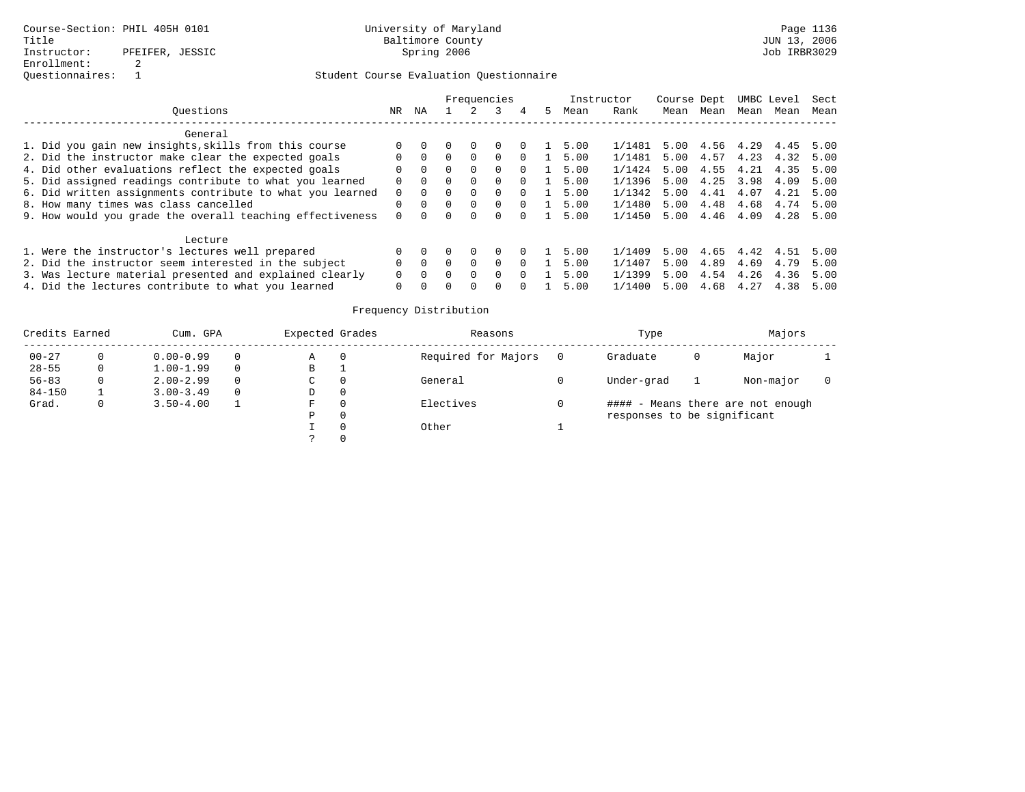|                                                           |          |          | Frequencies  |          |                  |    |      | Instructor | Course Dept |           |      | UMBC Level | Sect |
|-----------------------------------------------------------|----------|----------|--------------|----------|------------------|----|------|------------|-------------|-----------|------|------------|------|
| Ouestions                                                 | NR.      | ΝA       |              |          | 4                | 5. | Mean | Rank       | Mean        | Mean      | Mean | Mean       | Mean |
| General                                                   |          |          |              |          |                  |    |      |            |             |           |      |            |      |
| 1. Did you gain new insights, skills from this course     |          |          |              |          | $\left( \right)$ |    | 5.00 | 1/1481     | 5.00        | 4.56 4.29 |      | 4.45       | 5.00 |
| 2. Did the instructor make clear the expected goals       |          |          | $\Omega$     | 0        | $\Omega$         |    | 5.00 | 1/1481     | 5.00        | 4.57      | 4.23 | 4.32       | 5.00 |
| 4. Did other evaluations reflect the expected goals       | $\Omega$ | $\Omega$ | $\Omega$     | 0        | $\Omega$         |    | 5.00 | 1/1424     | 5.00        | 4.55      | 4.21 | 4.35       | 5.00 |
| 5. Did assigned readings contribute to what you learned   | $\Omega$ | $\Omega$ | $\Omega$     | 0        | $\Omega$         |    | 5.00 | 1/1396     | 5.00        | 4.25      | 3.98 | 4.09       | 5.00 |
| 6. Did written assignments contribute to what you learned | $\Omega$ |          | $\Omega$     | 0        | $\Omega$         |    | 5.00 | 1/1342     | 5.00        | 4.41      | 4.07 | 4.21       | 5.00 |
| 8. How many times was class cancelled                     |          | $\Omega$ | $\Omega$     | $\Omega$ | $\Omega$         |    | 5.00 | 1/1480     | 5.00        | 4.48      | 4.68 | 4.74       | 5.00 |
| 9. How would you grade the overall teaching effectiveness |          |          | <sup>0</sup> | 0        |                  |    | 5.00 | 1/1450     | 5.00        | 4.46      | 4.09 | 4.28       | 5.00 |
| Lecture                                                   |          |          |              |          |                  |    |      |            |             |           |      |            |      |
| 1. Were the instructor's lectures well prepared           |          |          |              |          |                  |    | 5.00 | 1/1409     | 5.00        | 4.65      | 4.42 | 4.51       | 5.00 |
| 2. Did the instructor seem interested in the subject      |          | $\Omega$ | $\Omega$     | 0        | $\Omega$         |    | 5.00 | 1/1407     | 5.00        | 4.89      | 4.69 | 4.79       | 5.00 |
| 3. Was lecture material presented and explained clearly   |          | 0        | $\Omega$     | $\Omega$ | $\Omega$         |    | 5.00 | 1/1399     | 5.00        | 4.54      | 4.26 | 4.36       | 5.00 |
| 4. Did the lectures contribute to what you learned        | 0        |          | $\Omega$     | U        |                  |    | 5.00 | 1/1400     | 5.00        | 4.68      | 4.27 | 4.38       | 5.00 |

| Credits Earned<br>Cum. GPA |   |               | Expected Grades |   |          | Reasons             | Type                        |   | Majors                            |  |
|----------------------------|---|---------------|-----------------|---|----------|---------------------|-----------------------------|---|-----------------------------------|--|
| $00 - 27$                  |   | $0.00 - 0.99$ | 0               | A |          | Required for Majors | Graduate                    | 0 | Major                             |  |
| $28 - 55$                  |   | $1.00 - 1.99$ | $\Omega$        | в |          |                     |                             |   |                                   |  |
| $56 - 83$                  |   | $2.00 - 2.99$ | $\Omega$        | C |          | General             | Under-grad                  |   | Non-major                         |  |
| $84 - 150$                 |   | $3.00 - 3.49$ | $\Omega$        | D | $\Omega$ |                     |                             |   |                                   |  |
| Grad.                      | 0 | $3.50 - 4.00$ |                 | F |          | Electives           |                             |   | #### - Means there are not enough |  |
|                            |   |               |                 | Ρ |          |                     | responses to be significant |   |                                   |  |
|                            |   |               |                 |   |          | Other               |                             |   |                                   |  |
|                            |   |               |                 |   |          |                     |                             |   |                                   |  |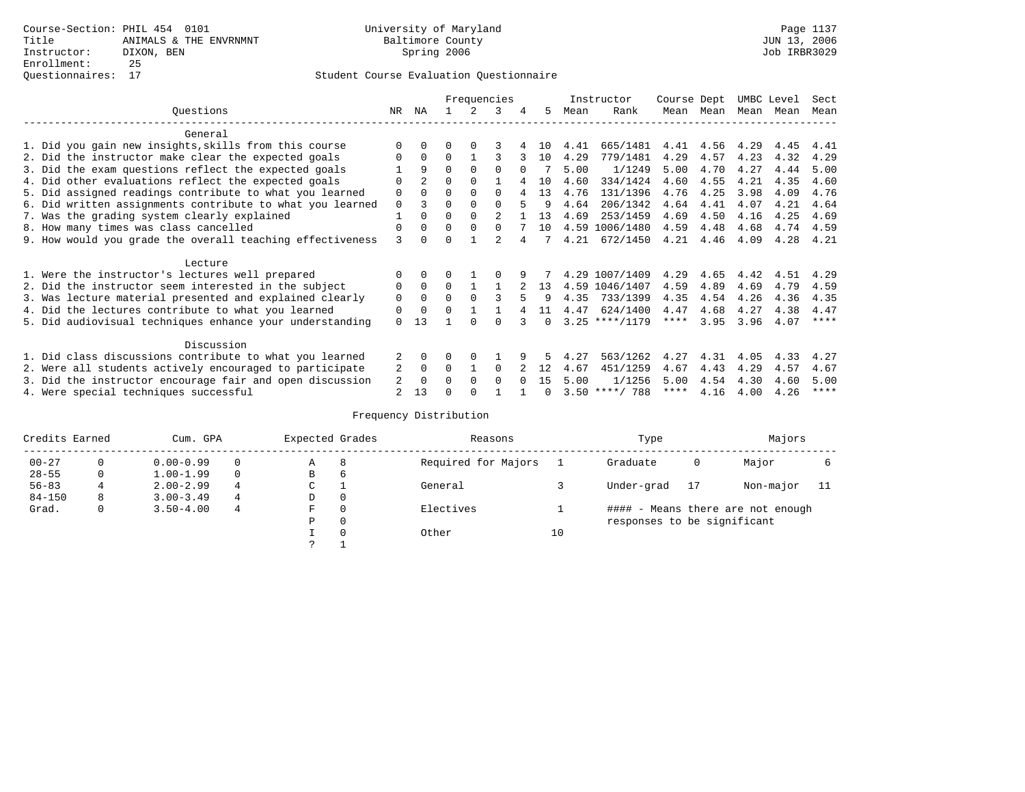|                                                           |             |                | Frequencies |               |                | Instructor | Course Dept     |      | UMBC Level       |      | Sect      |           |      |             |
|-----------------------------------------------------------|-------------|----------------|-------------|---------------|----------------|------------|-----------------|------|------------------|------|-----------|-----------|------|-------------|
| Ouestions                                                 | NR          | ΝA             |             | $\mathcal{L}$ | 3              | 4          | 5.              | Mean | Rank             |      | Mean Mean | Mean Mean |      | Mean        |
| General                                                   |             |                |             |               |                |            |                 |      |                  |      |           |           |      |             |
| 1. Did you gain new insights, skills from this course     | $\Omega$    | $\Omega$       | 0           | $\Omega$      |                |            | 1 N             | 4.41 | 665/1481         | 4.41 | 4.56      | 4.29      | 4.45 | 4.41        |
| 2. Did the instructor make clear the expected goals       | O           | $\Omega$       | $\Omega$    |               |                |            | 10              | 4.29 | 779/1481         | 4.29 | 4.57      | 4.23      | 4.32 | 4.29        |
| 3. Did the exam questions reflect the expected goals      |             | 9              | $\Omega$    | $\Omega$      | $\Omega$       | $\Omega$   |                 | 5.00 | 1/1249           | 5.00 | 4.70      | 4.27      | 4.44 | 5.00        |
| 4. Did other evaluations reflect the expected goals       | O           | $\overline{a}$ | O           | $\Omega$      |                | 4          | 10              | 4.60 | 334/1424         | 4.60 | 4.55      | 4.21      | 4.35 | 4.60        |
| 5. Did assigned readings contribute to what you learned   | 0           | $\Omega$       | 0           | $\Omega$      | $\Omega$       | 4          | 13              | 4.76 | 131/1396         | 4.76 | 4.25      | 3.98      | 4.09 | 4.76        |
| 6. Did written assignments contribute to what you learned | $\mathbf 0$ |                | O           | $\Omega$      |                |            | 9               | 4.64 | 206/1342         | 4.64 | 4.41      | 4.07      | 4.21 | 4.64        |
| 7. Was the grading system clearly explained               |             | $\Omega$       | O           | $\Omega$      |                |            | 13              | 4.69 | 253/1459         | 4.69 | 4.50      | 4.16      | 4.25 | 4.69        |
| 8. How many times was class cancelled                     | 0           | $\Omega$       | $\Omega$    | $\Omega$      | $\cap$         |            | 10 <sup>°</sup> |      | 4.59 1006/1480   | 4.59 | 4.48      | 4.68      | 4.74 | 4.59        |
| 9. How would you grade the overall teaching effectiveness | ζ           | 0              | U           |               | $\mathfrak{D}$ |            |                 | 4.21 | 672/1450         | 4.21 | 4.46      | 4.09      | 4.28 | 4.21        |
| Lecture                                                   |             |                |             |               |                |            |                 |      |                  |      |           |           |      |             |
| 1. Were the instructor's lectures well prepared           |             |                |             |               |                |            |                 |      | 4.29 1007/1409   | 4.29 | 4.65      | 4.42      | 4.51 | 4.29        |
| 2. Did the instructor seem interested in the subject      | 0           | $\Omega$       | $\Omega$    |               |                | 2          | 13              |      | 4.59 1046/1407   | 4.59 | 4.89      | 4.69      | 4.79 | 4.59        |
| 3. Was lecture material presented and explained clearly   | $\Omega$    | $\Omega$       | 0           | $\cap$        | २              |            | 9               | 4.35 | 733/1399         | 4.35 | 4.54      | 4.26      | 4.36 | 4.35        |
| 4. Did the lectures contribute to what you learned        | 0           | $\Omega$       | $\Omega$    |               |                |            | 11              | 4.47 | 624/1400         | 4.47 | 4.68      | 4.27      | 4.38 | 4.47        |
| 5. Did audiovisual techniques enhance your understanding  | $\Omega$    | 13             |             | $\cap$        |                |            | $\cap$          |      | $3.25$ ****/1179 | **** | 3.95      | 3.96      | 4.07 | $* * * * *$ |
| Discussion                                                |             |                |             |               |                |            |                 |      |                  |      |           |           |      |             |
| 1. Did class discussions contribute to what you learned   | 2           | $\Omega$       |             |               |                |            |                 | 4.27 | 563/1262         | 4.27 | 4.31      | 4.05      | 4.33 | 4.27        |
| 2. Were all students actively encouraged to participate   | 2           | $\Omega$       | $\Omega$    |               | $\Omega$       |            | 12              | 4.67 | 451/1259         | 4.67 | 4.43      | 4.29      | 4.57 | 4.67        |
| 3. Did the instructor encourage fair and open discussion  | 2           | $\Omega$       |             | $\Omega$      | $\cap$         | $\cap$     | 15              | 5.00 | 1/1256           | 5.00 | 4.54      | 4.30      | 4.60 | 5.00        |
| 4. Were special techniques successful                     | 2           | 13             |             |               |                |            | $\Omega$        |      | $3.50$ ****/ 788 | **** | 4.16      | 4.00      | 4.26 | $***$ * *   |

| Credits Earned |   | Cum. GPA      | Expected Grades |   | Reasons  |                     | Type | Majors                      |    |                                   |  |
|----------------|---|---------------|-----------------|---|----------|---------------------|------|-----------------------------|----|-----------------------------------|--|
| $00 - 27$      | 0 | $0.00 - 0.99$ |                 | Α | 8        | Required for Majors |      | Graduate                    | 0  | Major                             |  |
| $28 - 55$      | 0 | $1.00 - 1.99$ |                 | B | 6        |                     |      |                             |    |                                   |  |
| $56 - 83$      |   | $2.00 - 2.99$ | 4               | ◡ |          | General             |      | Under-grad                  | 17 | Non-major                         |  |
| $84 - 150$     | 8 | $3.00 - 3.49$ | 4               | D | 0        |                     |      |                             |    |                                   |  |
| Grad.          | 0 | $3.50 - 4.00$ | 4               | F | 0        | Electives           |      |                             |    | #### - Means there are not enough |  |
|                |   |               |                 | Ρ | 0        |                     |      | responses to be significant |    |                                   |  |
|                |   |               |                 |   | $\Omega$ | Other               | 10   |                             |    |                                   |  |
|                |   |               |                 | っ |          |                     |      |                             |    |                                   |  |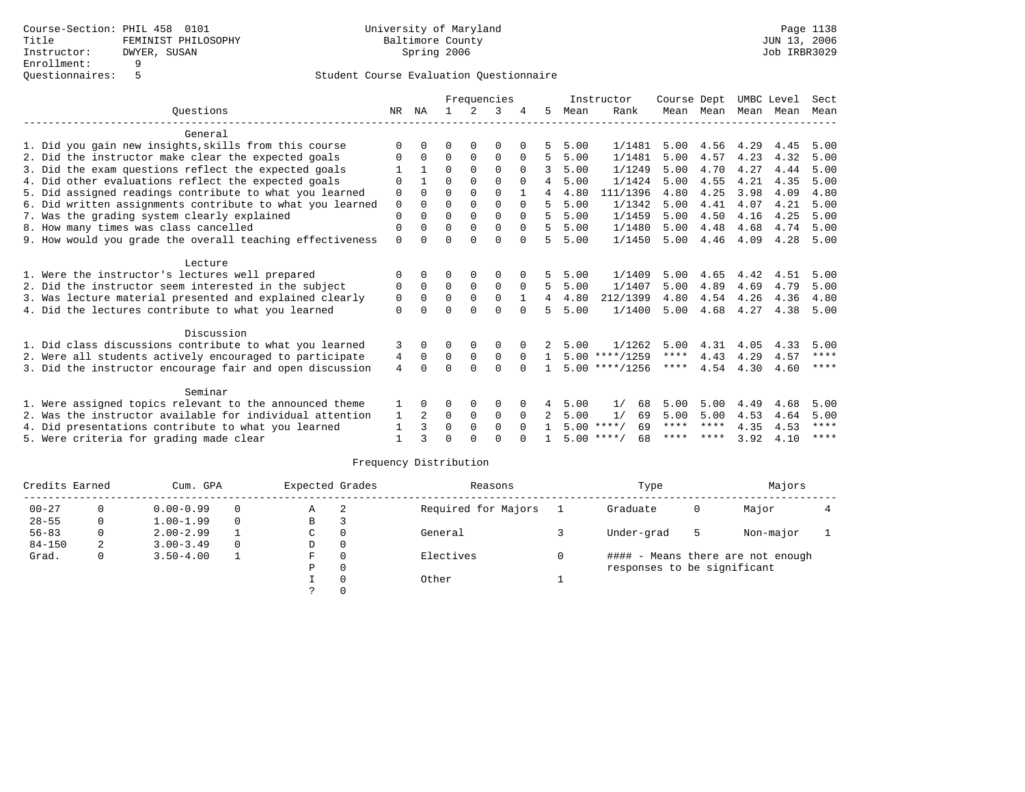|                                                           |          |          | Frequencies  |          |              |              |              |      | Instructor         | Course Dept |                | UMBC Level |      | Sect        |
|-----------------------------------------------------------|----------|----------|--------------|----------|--------------|--------------|--------------|------|--------------------|-------------|----------------|------------|------|-------------|
| Ouestions                                                 | NR       | ΝA       |              | $2^{1}$  | 3            |              | 5            | Mean | Rank               |             | Mean Mean Mean |            | Mean | Mean        |
| General                                                   |          |          |              |          |              |              |              |      |                    |             |                |            |      |             |
| 1. Did you gain new insights, skills from this course     |          |          |              |          |              |              |              | 5.00 | 1/1481             | 5.00        | 4.56           | 4.29       | 4.45 | 5.00        |
| 2. Did the instructor make clear the expected goals       |          |          | $\Omega$     | $\Omega$ | $\Omega$     | $\Omega$     | 5.           | 5.00 | 1/1481             | 5.00        | 4.57           | 4.23       | 4.32 | 5.00        |
| 3. Did the exam questions reflect the expected goals      |          |          | $\Omega$     | $\Omega$ | $\Omega$     |              |              | 5.00 | 1/1249             | 5.00        | 4.70           | 4.27       | 4.44 | 5.00        |
| 4. Did other evaluations reflect the expected goals       |          |          | $\Omega$     |          | $\cap$       |              | 4            | 5.00 | 1/1424             | 5.00        | 4.55           | 4.21       | 4.35 | 5.00        |
| 5. Did assigned readings contribute to what you learned   | $\Omega$ |          | $\Omega$     | $\Omega$ | $\Omega$     |              | 4            | 4.80 | 111/1396           | 4.80        | 4.25           | 3.98       | 4.09 | 4.80        |
| 6. Did written assignments contribute to what you learned | $\Omega$ |          | $\Omega$     | $\Omega$ | $\Omega$     | $\Omega$     | 5.           | 5.00 | 1/1342             | 5.00        | 4.41           | 4.07       | 4.21 | 5.00        |
| 7. Was the grading system clearly explained               | $\Omega$ | $\Omega$ | $\Omega$     | $\Omega$ | $\Omega$     |              | 5            | 5.00 | 1/1459             | 5.00        | 4.50           | 4.16       | 4.25 | 5.00        |
| 8. How many times was class cancelled                     | $\Omega$ |          | $\Omega$     | $\Omega$ | $\Omega$     | $\Omega$     | 5            | 5.00 | 1/1480             | 5.00        | 4.48           | 4.68       | 4.74 | 5.00        |
| 9. How would you grade the overall teaching effectiveness | $\Omega$ |          | $\Omega$     |          | $\cap$       |              | 5            | 5.00 | 1/1450             | 5.00        | 4.46           | 4.09       | 4.28 | 5.00        |
| Lecture                                                   |          |          |              |          |              |              |              |      |                    |             |                |            |      |             |
| 1. Were the instructor's lectures well prepared           |          | $\Omega$ | $\Omega$     | $\Omega$ | $\Omega$     |              | 5.           | 5.00 | 1/1409             | 5.00        | 4.65           | 4.42       | 4.51 | 5.00        |
| 2. Did the instructor seem interested in the subject      | $\Omega$ | $\Omega$ | $\Omega$     | $\Omega$ | $\Omega$     | $\Omega$     | .5           | 5.00 | 1/1407             | 5.00        | 4.89           | 4.69       | 4.79 | 5.00        |
| 3. Was lecture material presented and explained clearly   | $\Omega$ | $\Omega$ | $\Omega$     | $\Omega$ | $\Omega$     |              | 4            | 4.80 | 212/1399           | 4.80        | 4.54           | 4.26       | 4.36 | 4.80        |
| 4. Did the lectures contribute to what you learned        | $\Omega$ | $\cap$   | $\Omega$     | $\cap$   | $\Omega$     |              | 5            | 5.00 | 1/1400             | 5.00        | 4.68           | 4.27       | 4.38 | 5.00        |
| Discussion                                                |          |          |              |          |              |              |              |      |                    |             |                |            |      |             |
| 1. Did class discussions contribute to what you learned   | 3        | $\Omega$ | <sup>0</sup> | $\Omega$ | <sup>0</sup> |              |              | 5.00 | 1/1262             | 5.00        | 4.31           | 4.05       | 4.33 | 5.00        |
| 2. Were all students actively encouraged to participate   | 4        | $\Omega$ | $\Omega$     | $\Omega$ | $\Omega$     | $\Omega$     | $\mathbf{1}$ |      | $5.00$ ****/1259   | $***$ * * * | 4.43           | 4.29       | 4.57 | $***$ * * * |
| 3. Did the instructor encourage fair and open discussion  | 4        | $\cap$   | $\cap$       | $\cap$   | $\cap$       | <sup>n</sup> |              |      | $5.00$ ****/1256   | $***$ * * * | 4.54           | 4.30       | 4.60 | $***$ * * * |
|                                                           |          |          |              |          |              |              |              |      |                    |             |                |            |      |             |
| Seminar                                                   |          |          |              |          |              |              |              |      |                    |             |                |            |      |             |
| 1. Were assigned topics relevant to the announced theme   |          | $\Omega$ | 0            | 0        | 0            |              |              | 5.00 | 1/<br>68           | 5.00        | 5.00           | 4.49       | 4.68 | 5.00        |
| 2. Was the instructor available for individual attention  | 1        | 2        | $\Omega$     | $\Omega$ | $\Omega$     | $\Omega$     |              | 5.00 | 1/<br>69           | 5.00        | 5.00           | 4.53       | 4.64 | 5.00        |
| 4. Did presentations contribute to what you learned       |          | 3        | $\Omega$     | $\Omega$ | $\Omega$     | $\cap$       |              |      | $5.00$ ****/<br>69 | ****        | ****           | 4.35       | 4.53 | ****        |
| 5. Were criteria for grading made clear                   |          | २        | ∩            |          | ∩            |              |              |      | $5.00$ ****/<br>68 |             | **** ****      | 3.92       | 4.10 | ****        |

|            | Credits Earned<br>Cum. GPA |               |          | Expected Grades |          | Reasons             | Type                        | Majors |                                   |  |
|------------|----------------------------|---------------|----------|-----------------|----------|---------------------|-----------------------------|--------|-----------------------------------|--|
| $00 - 27$  |                            | $0.00 - 0.99$ |          | Α               | -2       | Required for Majors | Graduate                    | U      | Major                             |  |
| $28 - 55$  | 0                          | $1.00 - 1.99$ | 0        | B               |          |                     |                             |        |                                   |  |
| $56 - 83$  |                            | $2.00 - 2.99$ |          | C               | $\Omega$ | General             | Under-grad                  | 5      | Non-major                         |  |
| $84 - 150$ | 2                          | $3.00 - 3.49$ | $\Omega$ | D               | 0        |                     |                             |        |                                   |  |
| Grad.      | 0                          | $3.50 - 4.00$ |          | F               | $\Omega$ | Electives           |                             |        | #### - Means there are not enough |  |
|            |                            |               |          | Ρ               | 0        |                     | responses to be significant |        |                                   |  |
|            |                            |               |          |                 | $\Omega$ | Other               |                             |        |                                   |  |
|            |                            |               |          |                 |          |                     |                             |        |                                   |  |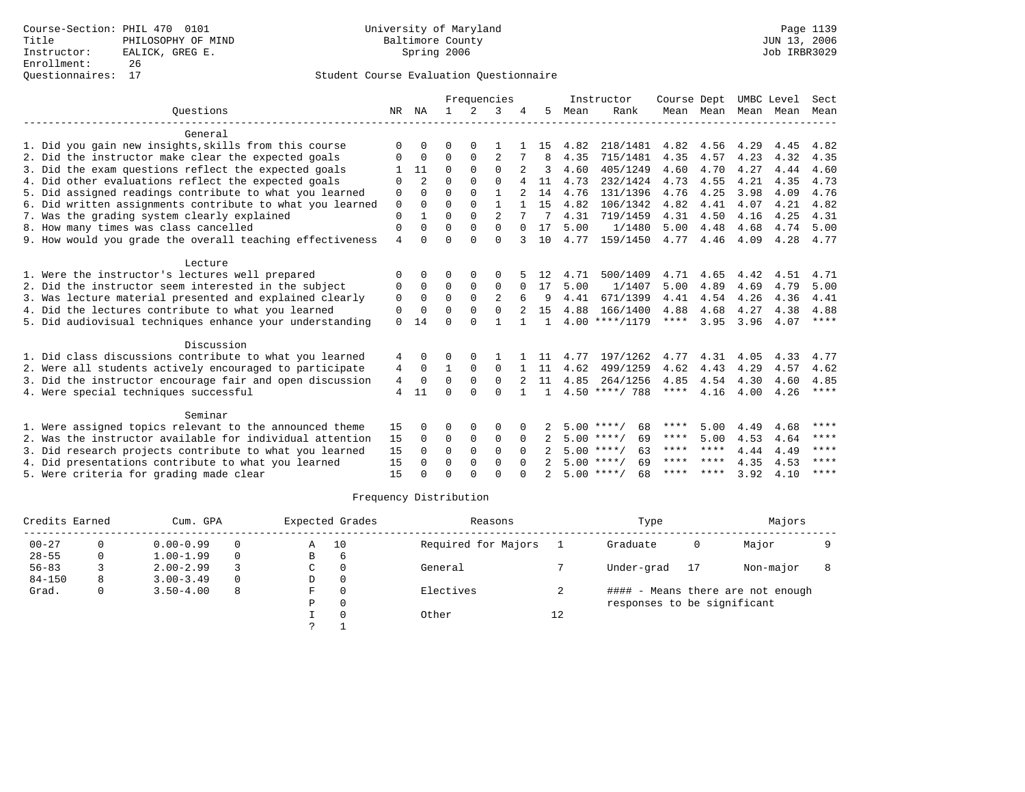|                |              | Frequencies  |                |                |              |              | Instructor |          |                                                                                                                      |                      |                                          |      | Sect               |
|----------------|--------------|--------------|----------------|----------------|--------------|--------------|------------|----------|----------------------------------------------------------------------------------------------------------------------|----------------------|------------------------------------------|------|--------------------|
| NR             | NA           | $\mathbf{1}$ | $\mathfrak{D}$ | 3              |              | 5            | Mean       | Rank     |                                                                                                                      |                      | Mean                                     | Mean | Mean               |
|                |              |              |                |                |              |              |            |          |                                                                                                                      |                      |                                          |      |                    |
| $\Omega$       | $\Omega$     | O            | $\Omega$       |                |              | 15           | 4.82       |          | 4.82                                                                                                                 | 4.56                 | 4.29                                     | 4.45 | 4.82               |
| $\Omega$       | $\mathbf 0$  | $\Omega$     | $\mathbf 0$    | $\overline{2}$ |              | 8            | 4.35       | 715/1481 | 4.35                                                                                                                 | 4.57                 | 4.23                                     | 4.32 | 4.35               |
|                | 11           | $\Omega$     | $\Omega$       | $\mathbf 0$    |              |              | 4.60       | 405/1249 | 4.60                                                                                                                 | 4.70                 | 4.27                                     | 4.44 | 4.60               |
| $\Omega$       | 2            | $\Omega$     | $\Omega$       | $\Omega$       | 4            | 11           | 4.73       | 232/1424 | 4.73                                                                                                                 | 4.55                 | 4.21                                     | 4.35 | 4.73               |
| 0              | $\Omega$     | $\Omega$     | $\Omega$       | $\mathbf{1}$   |              | 14           | 4.76       | 131/1396 | 4.76                                                                                                                 | 4.25                 | 3.98                                     | 4.09 | 4.76               |
| $\mathbf 0$    | $\Omega$     | $\Omega$     | $\Omega$       | $\mathbf{1}$   |              | 15           | 4.82       | 106/1342 | 4.82                                                                                                                 | 4.41                 | 4.07                                     | 4.21 | 4.82               |
| $\mathbf{0}$   | $\mathbf{1}$ | $\Omega$     | $\Omega$       | $\overline{2}$ |              |              | 4.31       | 719/1459 | 4.31                                                                                                                 | 4.50                 | 4.16                                     | 4.25 | 4.31               |
| $\mathbf{0}$   | $\Omega$     |              | $\Omega$       | $\Omega$       | $\Omega$     | 17           | 5.00       | 1/1480   | 5.00                                                                                                                 | 4.48                 | 4.68                                     | 4.74 | 5.00               |
| $\overline{4}$ | $\cap$       | $\Omega$     | $\Omega$       | $\Omega$       | 3            | 10           | 4.77       | 159/1450 | 4.77                                                                                                                 |                      | 4.09                                     | 4.28 | 4.77               |
|                |              |              |                |                |              |              |            |          |                                                                                                                      |                      |                                          |      |                    |
|                | 0            | O            | $\Omega$       | $\Omega$       |              | 12           | 4.71       | 500/1409 | 4.71                                                                                                                 | 4.65                 | 4.42                                     | 4.51 | 4.71               |
| 0              | $\Omega$     | $\Omega$     | $\Omega$       | $\Omega$       | $\Omega$     | 17           | 5.00       | 1/1407   | 5.00                                                                                                                 | 4.89                 | 4.69                                     | 4.79 | 5.00               |
| $\mathbf 0$    | $\mathbf 0$  | $\mathbf 0$  | $\mathbf 0$    | $\overline{2}$ | 6            | 9            | 4.41       | 671/1399 | 4.41                                                                                                                 | 4.54                 | 4.26                                     | 4.36 | 4.41               |
| $\mathbf 0$    | $\Omega$     | $\Omega$     | $\Omega$       | $\Omega$       |              | 15           | 4.88       | 166/1400 | 4.88                                                                                                                 | 4.68                 | 4.27                                     | 4.38 | 4.88               |
| $\Omega$       | 14           | $\cap$       | ∩              |                |              | $\mathbf{1}$ |            |          | $***$ * * *                                                                                                          | 3.95                 | 3.96                                     | 4.07 | $***$ * * *        |
|                |              |              |                |                |              |              |            |          |                                                                                                                      |                      |                                          |      |                    |
| 4              | $\Omega$     | O            | $\Omega$       | -1             |              | 11           | 4.77       |          | 4.77                                                                                                                 | 4.31                 | 4.05                                     | 4.33 | 4.77               |
| 4              | $\mathbf 0$  | $\mathbf{1}$ | $\mathbf 0$    | $\Omega$       |              | 11           | 4.62       | 499/1259 | 4.62                                                                                                                 | 4.43                 | 4.29                                     | 4.57 | 4.62               |
| 4              | $\Omega$     | $\Omega$     | $\Omega$       | $\Omega$       |              | 11           | 4.85       | 264/1256 | 4.85                                                                                                                 | 4.54                 | 4.30                                     | 4.60 | 4.85               |
| 4              | 11           | $\Omega$     | $\Omega$       | $\Omega$       | $\mathbf{1}$ | $\mathbf{1}$ |            |          | $***$ * * *                                                                                                          | 4.16                 | 4.00                                     | 4.26 | $***$ * * *        |
|                |              |              |                |                |              |              |            |          |                                                                                                                      |                      |                                          |      |                    |
|                | 0            | $\Omega$     | $\Omega$       | $\Omega$       | <sup>0</sup> |              |            | 68       | ****                                                                                                                 | 5.00                 | 4.49                                     |      | ****               |
| 15             | $\Omega$     | $\Omega$     | $\Omega$       | $\Omega$       | $\Omega$     | 2            |            | 69       | ****                                                                                                                 | 5.00                 | 4.53                                     | 4.64 | ****               |
| 15             | $\Omega$     | $\mathbf 0$  | $\mathbf 0$    | $\Omega$       | $\Omega$     |              |            | 63       | ****                                                                                                                 | ****                 | 4.44                                     | 4.49 | ****               |
| 15             | $\Omega$     | $\Omega$     | $\Omega$       | $\Omega$       | $\Omega$     |              |            | 69       | ****                                                                                                                 |                      | 4.35                                     | 4.53 | ****               |
| 15             |              | U            | ∩              | $\cap$         |              |              |            | 68       | ****                                                                                                                 | ****                 | 3.92                                     | 4.10 | ****               |
|                | 15           |              | $\Omega$       |                |              |              |            |          | $4.00$ ****/1179<br>$4.50$ ****/ 788<br>$5.00$ ****/<br>$5.00$ ****/<br>$5.00$ ****/<br>$5.00$ ****/<br>$5.00$ ****/ | 218/1481<br>197/1262 | Course Dept<br>Mean Mean<br>4.46<br>**** |      | UMBC Level<br>4.68 |

| Credits Earned |   | Cum. GPA      | Expected Grades |   |                | Reasons             |    | Type                        | Majors |                                   |  |
|----------------|---|---------------|-----------------|---|----------------|---------------------|----|-----------------------------|--------|-----------------------------------|--|
| $00 - 27$      |   | $0.00 - 0.99$ |                 | A | 10             | Required for Majors |    | Graduate                    | 0      | Major                             |  |
| $28 - 55$      | 0 | $1.00 - 1.99$ |                 | B | $\overline{6}$ |                     |    |                             |        |                                   |  |
| $56 - 83$      |   | $2.00 - 2.99$ |                 | C | $\Omega$       | General             |    | Under-grad                  | 17     | Non-major                         |  |
| $84 - 150$     | 8 | $3.00 - 3.49$ | $\Omega$        | D | $\Omega$       |                     |    |                             |        |                                   |  |
| Grad.          | 0 | $3.50 - 4.00$ | 8               | F | $\Omega$       | Electives           |    |                             |        | #### - Means there are not enough |  |
|                |   |               |                 | P | $\Omega$       |                     |    | responses to be significant |        |                                   |  |
|                |   |               |                 |   | $\Omega$       | Other               | 12 |                             |        |                                   |  |
|                |   |               |                 |   |                |                     |    |                             |        |                                   |  |